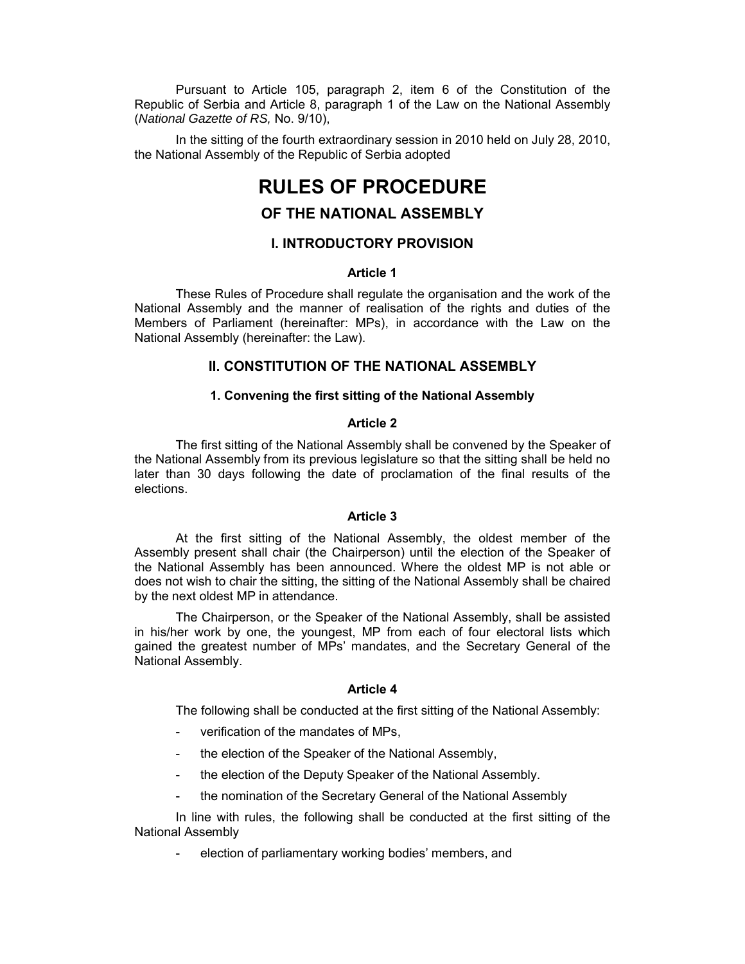Pursuant to Article 105, paragraph 2, item 6 of the Constitution of the Republic of Serbia and Article 8, paragraph 1 of the Law on the National Assembly (*National Gazette of RS,* No. 9/10),

In the sitting of the fourth extraordinary session in 2010 held on July 28, 2010, the National Assembly of the Republic of Serbia adopted

# **RULES OF PROCEDURE**

## **OF THE NATIONAL ASSEMBLY**

## **I. INTRODUCTORY PROVISION**

## **Article 1**

These Rules of Procedure shall regulate the organisation and the work of the National Assembly and the manner of realisation of the rights and duties of the Members of Parliament (hereinafter: MPs), in accordance with the Law on the National Assembly (hereinafter: the Law).

## **II. CONSTITUTION OF THE NATIONAL ASSEMBLY**

## **1. Convening the first sitting of the National Assembly**

## **Article 2**

The first sitting of the National Assembly shall be convened by the Speaker of the National Assembly from its previous legislature so that the sitting shall be held no later than 30 days following the date of proclamation of the final results of the elections.

#### **Article 3**

At the first sitting of the National Assembly, the oldest member of the Assembly present shall chair (the Chairperson) until the election of the Speaker of the National Assembly has been announced. Where the oldest MP is not able or does not wish to chair the sitting, the sitting of the National Assembly shall be chaired by the next oldest MP in attendance.

The Chairperson, or the Speaker of the National Assembly, shall be assisted in his/her work by one, the youngest, MP from each of four electoral lists which gained the greatest number of MPs' mandates, and the Secretary General of the National Assembly.

## **Article 4**

The following shall be conducted at the first sitting of the National Assembly:

- verification of the mandates of MPs,
- the election of the Speaker of the National Assembly,
- the election of the Deputy Speaker of the National Assembly.
- the nomination of the Secretary General of the National Assembly

In line with rules, the following shall be conducted at the first sitting of the National Assembly

election of parliamentary working bodies' members, and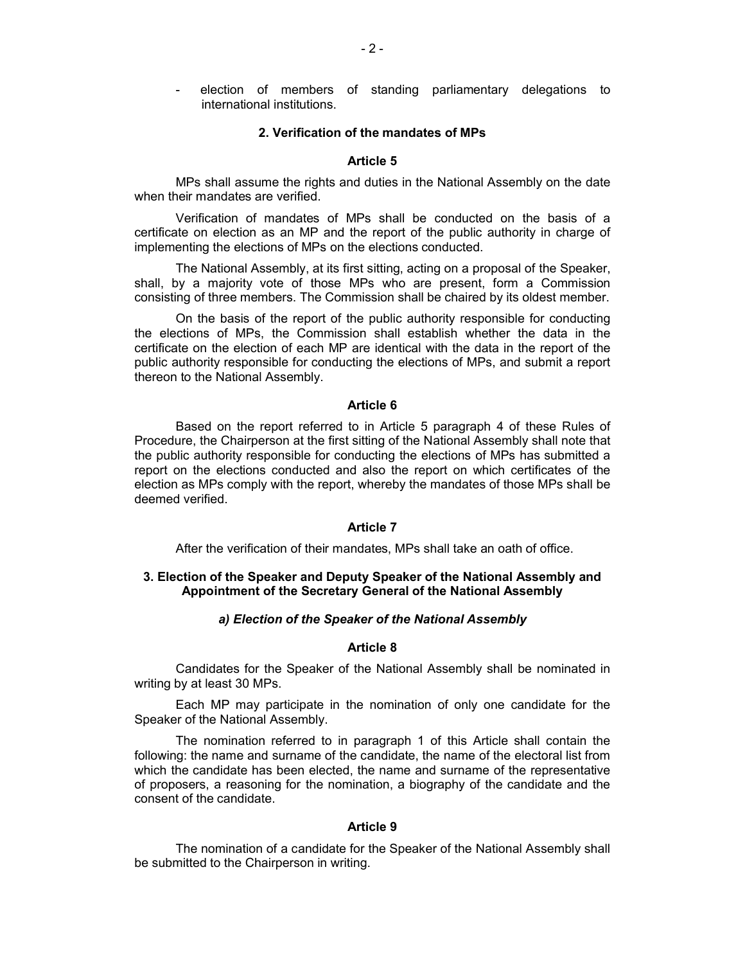election of members of standing parliamentary delegations to international institutions.

#### **2. Verification of the mandates of MPs**

## **Article 5**

MPs shall assume the rights and duties in the National Assembly on the date when their mandates are verified.

Verification of mandates of MPs shall be conducted on the basis of a certificate on election as an MP and the report of the public authority in charge of implementing the elections of MPs on the elections conducted.

The National Assembly, at its first sitting, acting on a proposal of the Speaker, shall, by a majority vote of those MPs who are present, form a Commission consisting of three members. The Commission shall be chaired by its oldest member.

On the basis of the report of the public authority responsible for conducting the elections of MPs, the Commission shall establish whether the data in the certificate on the election of each MP are identical with the data in the report of the public authority responsible for conducting the elections of MPs, and submit a report thereon to the National Assembly.

#### **Article 6**

Based on the report referred to in Article 5 paragraph 4 of these Rules of Procedure, the Chairperson at the first sitting of the National Assembly shall note that the public authority responsible for conducting the elections of MPs has submitted a report on the elections conducted and also the report on which certificates of the election as MPs comply with the report, whereby the mandates of those MPs shall be deemed verified.

#### **Article 7**

After the verification of their mandates, MPs shall take an oath of office.

## **3. Election of the Speaker and Deputy Speaker of the National Assembly and Appointment of the Secretary General of the National Assembly**

#### *а) Election of the Speaker of the National Assembly*

#### **Article 8**

Candidates for the Speaker of the National Assembly shall be nominated in writing by at least 30 MPs.

Each MP may participate in the nomination of only one candidate for the Speaker of the National Assembly.

The nomination referred to in paragraph 1 of this Article shall contain the following: the name and surname of the candidate, the name of the electoral list from which the candidate has been elected, the name and surname of the representative of proposers, a reasoning for the nomination, a biography of the candidate and the consent of the candidate.

### **Article 9**

The nomination of a candidate for the Speaker of the National Assembly shall be submitted to the Chairperson in writing.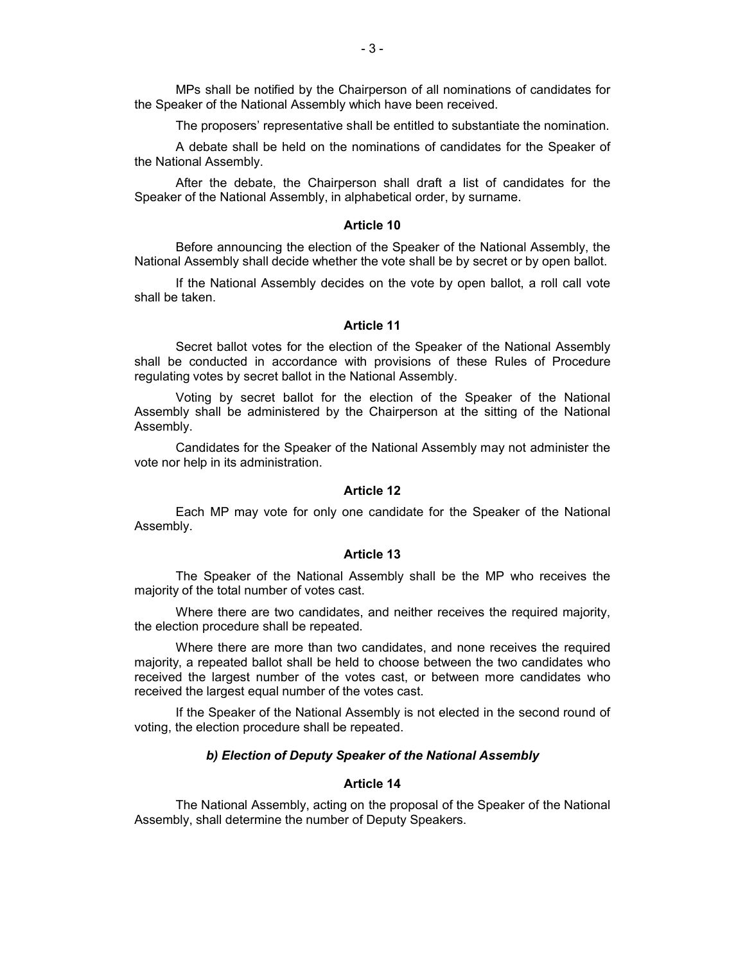MPs shall be notified by the Chairperson of all nominations of candidates for the Speaker of the National Assembly which have been received.

The proposers' representative shall be entitled to substantiate the nomination.

A debate shall be held on the nominations of candidates for the Speaker of the National Assembly.

After the debate, the Chairperson shall draft a list of candidates for the Speaker of the National Assembly, in alphabetical order, by surname.

#### **Article 10**

Before announcing the election of the Speaker of the National Assembly, the National Assembly shall decide whether the vote shall be by secret or by open ballot.

If the National Assembly decides on the vote by open ballot, a roll call vote shall be taken.

#### **Article 11**

Secret ballot votes for the election of the Speaker of the National Assembly shall be conducted in accordance with provisions of these Rules of Procedure regulating votes by secret ballot in the National Assembly.

Voting by secret ballot for the election of the Speaker of the National Assembly shall be administered by the Chairperson at the sitting of the National Assembly.

Candidates for the Speaker of the National Assembly may not administer the vote nor help in its administration.

## **Article 12**

Each MP may vote for only one candidate for the Speaker of the National Assembly.

#### **Article 13**

The Speaker of the National Assembly shall be the MP who receives the majority of the total number of votes cast.

Where there are two candidates, and neither receives the required majority, the election procedure shall be repeated.

Where there are more than two candidates, and none receives the required majority, a repeated ballot shall be held to choose between the two candidates who received the largest number of the votes cast, or between more candidates who received the largest equal number of the votes cast.

If the Speaker of the National Assembly is not elected in the second round of voting, the election procedure shall be repeated.

#### *b) Election of Deputy Speaker of the National Assembly*

## **Article 14**

The National Assembly, acting on the proposal of the Speaker of the National Assembly, shall determine the number of Deputy Speakers.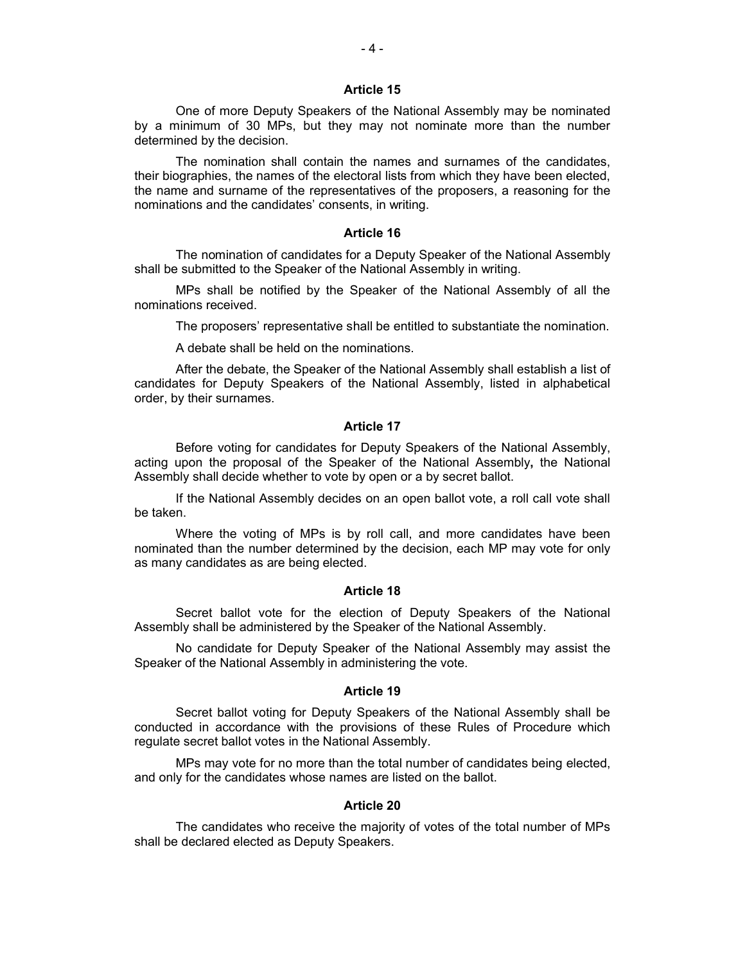One of more Deputy Speakers of the National Assembly may be nominated by a minimum of 30 MPs, but they may not nominate more than the number determined by the decision.

The nomination shall contain the names and surnames of the candidates, their biographies, the names of the electoral lists from which they have been elected, the name and surname of the representatives of the proposers, a reasoning for the nominations and the candidates' consents, in writing.

### **Article 16**

The nomination of candidates for a Deputy Speaker of the National Assembly shall be submitted to the Speaker of the National Assembly in writing.

MPs shall be notified by the Speaker of the National Assembly of all the nominations received.

The proposers' representative shall be entitled to substantiate the nomination.

A debate shall be held on the nominations.

After the debate, the Speaker of the National Assembly shall establish a list of candidates for Deputy Speakers of the National Assembly, listed in alphabetical order, by their surnames.

#### **Article 17**

Before voting for candidates for Deputy Speakers of the National Assembly, acting upon the proposal of the Speaker of the National Assembly**,** the National Assembly shall decide whether to vote by open or a by secret ballot.

If the National Assembly decides on an open ballot vote, a roll call vote shall be taken.

Where the voting of MPs is by roll call, and more candidates have been nominated than the number determined by the decision, each MP may vote for only as many candidates as are being elected.

#### **Article 18**

Secret ballot vote for the election of Deputy Speakers of the National Assembly shall be administered by the Speaker of the National Assembly.

No candidate for Deputy Speaker of the National Assembly may assist the Speaker of the National Assembly in administering the vote.

#### **Article 19**

Secret ballot voting for Deputy Speakers of the National Assembly shall be conducted in accordance with the provisions of these Rules of Procedure which regulate secret ballot votes in the National Assembly.

MPs may vote for no more than the total number of candidates being elected, and only for the candidates whose names are listed on the ballot.

## **Article 20**

The candidates who receive the majority of votes of the total number of MPs shall be declared elected as Deputy Speakers.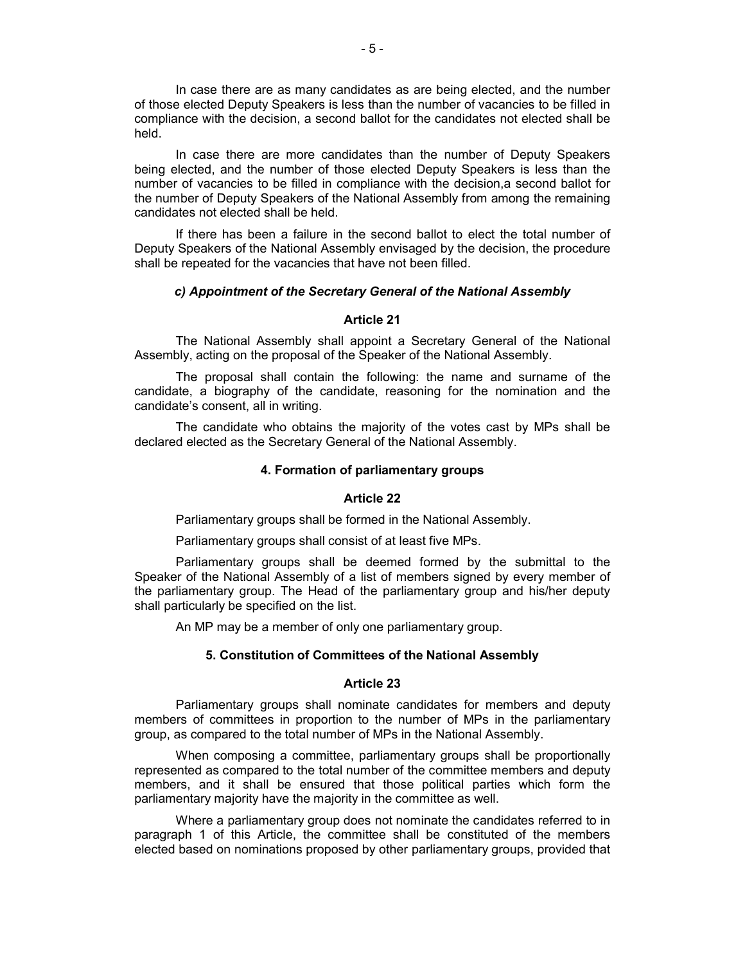In case there are as many candidates as are being elected, and the number of those elected Deputy Speakers is less than the number of vacancies to be filled in compliance with the decision, a second ballot for the candidates not elected shall be held.

In case there are more candidates than the number of Deputy Speakers being elected, and the number of those elected Deputy Speakers is less than the number of vacancies to be filled in compliance with the decision,a second ballot for the number of Deputy Speakers of the National Assembly from among the remaining candidates not elected shall be held.

If there has been a failure in the second ballot to elect the total number of Deputy Speakers of the National Assembly envisaged by the decision, the procedure shall be repeated for the vacancies that have not been filled.

### *c) Appointment of the Secretary General of the National Assembly*

#### **Article 21**

The National Assembly shall appoint a Secretary General of the National Assembly, acting on the proposal of the Speaker of the National Assembly.

The proposal shall contain the following: the name and surname of the candidate, a biography of the candidate, reasoning for the nomination and the candidate's consent, all in writing.

The candidate who obtains the majority of the votes cast by MPs shall be declared elected as the Secretary General of the National Assembly.

## **4. Formation of parliamentary groups**

## **Article 22**

Parliamentary groups shall be formed in the National Assembly.

Parliamentary groups shall consist of at least five MPs.

Parliamentary groups shall be deemed formed by the submittal to the Speaker of the National Assembly of a list of members signed by every member of the parliamentary group. The Head of the parliamentary group and his/her deputy shall particularly be specified on the list.

An MP may be a member of only one parliamentary group.

## **5. Constitution of Committees of the National Assembly**

#### **Article 23**

Parliamentary groups shall nominate candidates for members and deputy members of committees in proportion to the number of MPs in the parliamentary group, as compared to the total number of MPs in the National Assembly.

When composing a committee, parliamentary groups shall be proportionally represented as compared to the total number of the committee members and deputy members, and it shall be ensured that those political parties which form the parliamentary majority have the majority in the committee as well.

Where a parliamentary group does not nominate the candidates referred to in paragraph 1 of this Article, the committee shall be constituted of the members elected based on nominations proposed by other parliamentary groups, provided that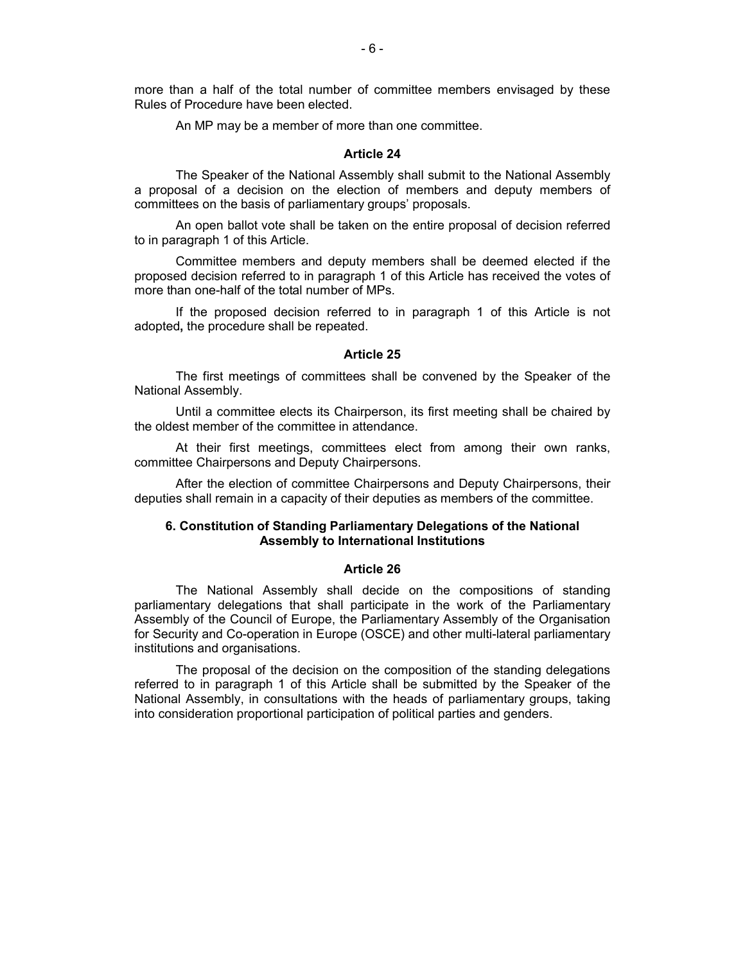more than a half of the total number of committee members envisaged by these Rules of Procedure have been elected.

An MP may be a member of more than one committee.

### **Article 24**

The Speaker of the National Assembly shall submit to the National Assembly a proposal of a decision on the election of members and deputy members of committees on the basis of parliamentary groups' proposals.

An open ballot vote shall be taken on the entire proposal of decision referred to in paragraph 1 of this Article.

Committee members and deputy members shall be deemed elected if the proposed decision referred to in paragraph 1 of this Article has received the votes of more than one-half of the total number of MPs.

If the proposed decision referred to in paragraph 1 of this Article is not adopted**,** the procedure shall be repeated.

#### **Article 25**

The first meetings of committees shall be convened by the Speaker of the National Assembly.

Until a committee elects its Chairperson, its first meeting shall be chaired by the oldest member of the committee in attendance.

At their first meetings, committees elect from among their own ranks, committee Chairpersons and Deputy Chairpersons.

After the election of committee Chairpersons and Deputy Chairpersons, their deputies shall remain in a capacity of their deputies as members of the committee.

## **6. Constitution of Standing Parliamentary Delegations of the National Assembly to International Institutions**

#### **Article 26**

The National Assembly shall decide on the compositions of standing parliamentary delegations that shall participate in the work of the Parliamentary Assembly of the Council of Europe, the Parliamentary Assembly of the Organisation for Security and Co-operation in Europe (OSCE) and other multi-lateral parliamentary institutions and organisations.

The proposal of the decision on the composition of the standing delegations referred to in paragraph 1 of this Article shall be submitted by the Speaker of the National Assembly, in consultations with the heads of parliamentary groups, taking into consideration proportional participation of political parties and genders.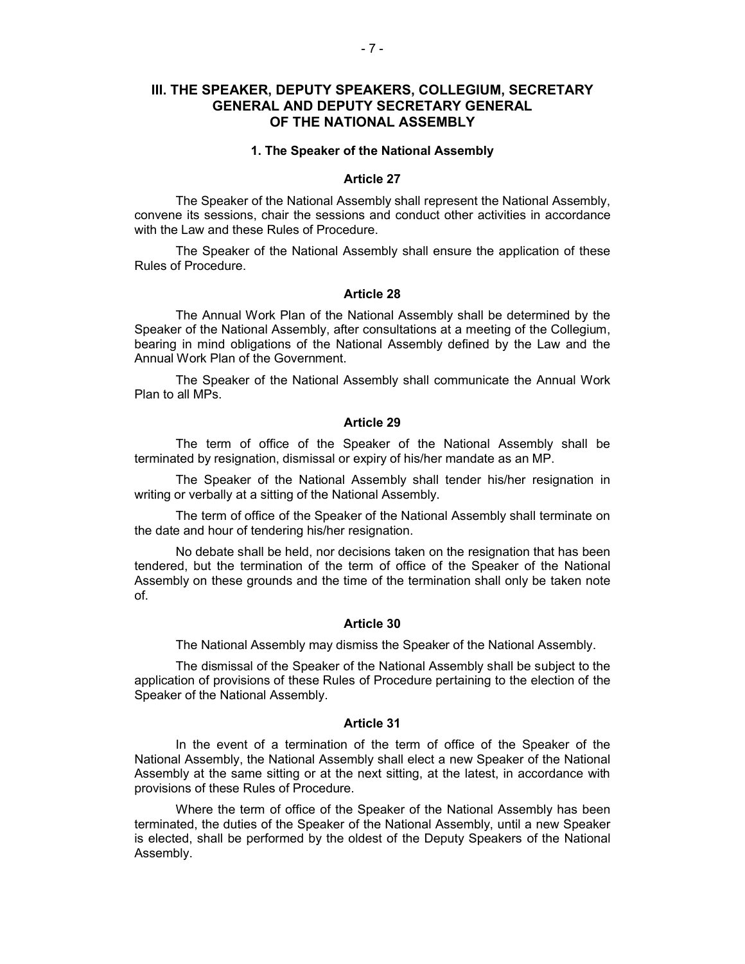## **III. THE SPEAKER, DEPUTY SPEAKERS, COLLEGIUM, SECRETARY GENERAL AND DEPUTY SECRETARY GENERAL OF THE NATIONAL ASSEMBLY**

#### **1. The Speaker of the National Assembly**

### **Article 27**

The Speaker of the National Assembly shall represent the National Assembly, convene its sessions, chair the sessions and conduct other activities in accordance with the Law and these Rules of Procedure.

The Speaker of the National Assembly shall ensure the application of these Rules of Procedure.

## **Article 28**

The Annual Work Plan of the National Assembly shall be determined by the Speaker of the National Assembly, after consultations at a meeting of the Collegium, bearing in mind obligations of the National Assembly defined by the Law and the Annual Work Plan of the Government.

The Speaker of the National Assembly shall communicate the Annual Work Plan to all MPs.

## **Article 29**

The term of office of the Speaker of the National Assembly shall be terminated by resignation, dismissal or expiry of his/her mandate as an MP.

The Speaker of the National Assembly shall tender his/her resignation in writing or verbally at a sitting of the National Assembly.

The term of office of the Speaker of the National Assembly shall terminate on the date and hour of tendering his/her resignation.

No debate shall be held, nor decisions taken on the resignation that has been tendered, but the termination of the term of office of the Speaker of the National Assembly on these grounds and the time of the termination shall only be taken note of.

## **Article 30**

The National Assembly may dismiss the Speaker of the National Assembly.

The dismissal of the Speaker of the National Assembly shall be subject to the application of provisions of these Rules of Procedure pertaining to the election of the Speaker of the National Assembly.

### **Article 31**

In the event of a termination of the term of office of the Speaker of the National Assembly, the National Assembly shall elect a new Speaker of the National Assembly at the same sitting or at the next sitting, at the latest, in accordance with provisions of these Rules of Procedure.

Where the term of office of the Speaker of the National Assembly has been terminated, the duties of the Speaker of the National Assembly, until a new Speaker is elected, shall be performed by the oldest of the Deputy Speakers of the National Assembly.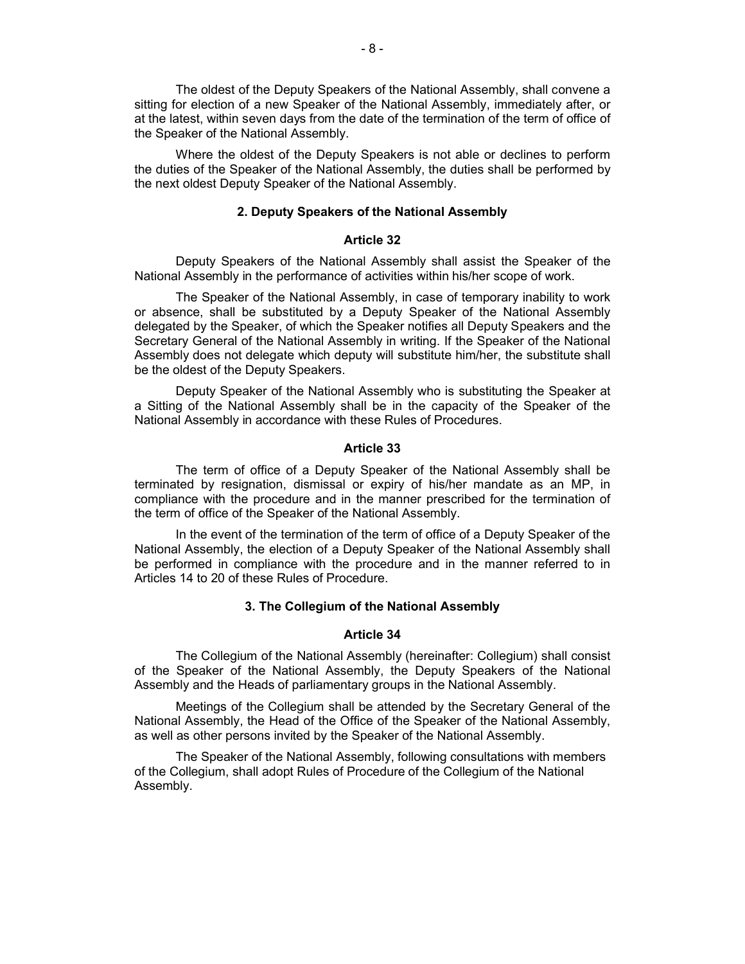The oldest of the Deputy Speakers of the National Assembly, shall convene a sitting for election of a new Speaker of the National Assembly, immediately after, or at the latest, within seven days from the date of the termination of the term of office of the Speaker of the National Assembly.

Where the oldest of the Deputy Speakers is not able or declines to perform the duties of the Speaker of the National Assembly, the duties shall be performed by the next oldest Deputy Speaker of the National Assembly.

## **2. Deputy Speakers of the National Assembly**

## **Article 32**

Deputy Speakers of the National Assembly shall assist the Speaker of the National Assembly in the performance of activities within his/her scope of work.

The Speaker of the National Assembly, in case of temporary inability to work or absence, shall be substituted by a Deputy Speaker of the National Assembly delegated by the Speaker, of which the Speaker notifies all Deputy Speakers and the Secretary General of the National Assembly in writing. If the Speaker of the National Assembly does not delegate which deputy will substitute him/her, the substitute shall be the oldest of the Deputy Speakers.

Deputy Speaker of the National Assembly who is substituting the Speaker at a Sitting of the National Assembly shall be in the capacity of the Speaker of the National Assembly in accordance with these Rules of Procedures.

## **Article 33**

The term of office of a Deputy Speaker of the National Assembly shall be terminated by resignation, dismissal or expiry of his/her mandate as an MP, in compliance with the procedure and in the manner prescribed for the termination of the term of office of the Speaker of the National Assembly.

In the event of the termination of the term of office of a Deputy Speaker of the National Assembly, the election of a Deputy Speaker of the National Assembly shall be performed in compliance with the procedure and in the manner referred to in Articles 14 to 20 of these Rules of Procedure.

## **3. The Collegium of the National Assembly**

## **Article 34**

The Collegium of the National Assembly (hereinafter: Collegium) shall consist of the Speaker of the National Assembly, the Deputy Speakers of the National Assembly and the Heads of parliamentary groups in the National Assembly.

Meetings of the Collegium shall be attended by the Secretary General of the National Assembly, the Head of the Office of the Speaker of the National Assembly, as well as other persons invited by the Speaker of the National Assembly.

The Speaker of the National Assembly, following consultations with members of the Collegium, shall adopt Rules of Procedure of the Collegium of the National Assembly.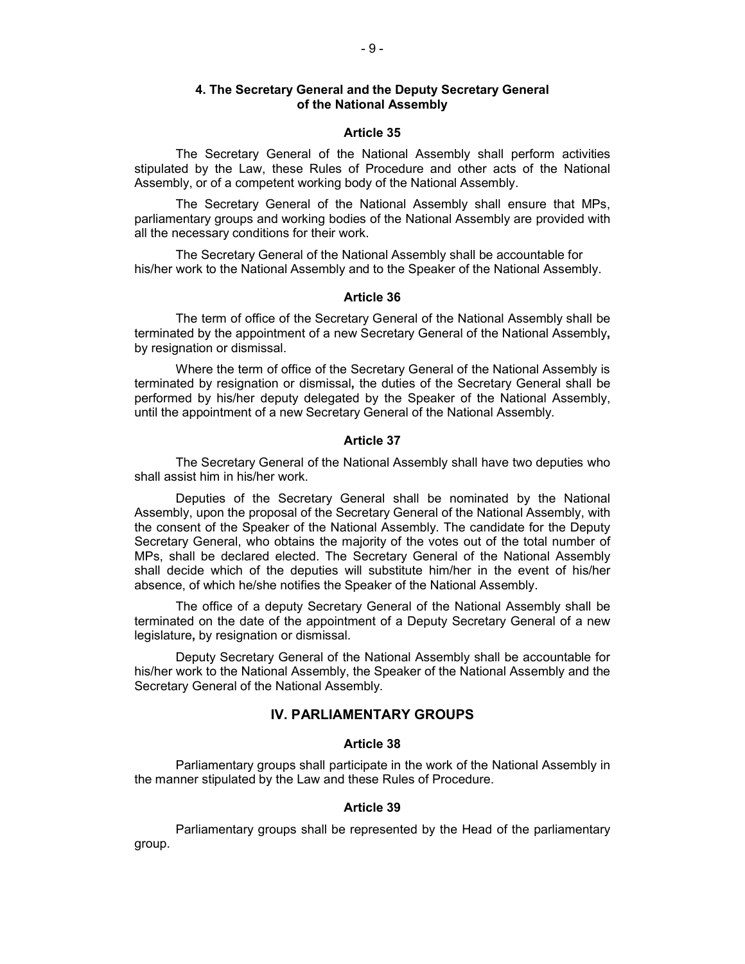## **4. The Secretary General and the Deputy Secretary General of the National Assembly**

#### **Article 35**

The Secretary General of the National Assembly shall perform activities stipulated by the Law, these Rules of Procedure and other acts of the National Assembly, or of a competent working body of the National Assembly.

The Secretary General of the National Assembly shall ensure that MPs, parliamentary groups and working bodies of the National Assembly are provided with all the necessary conditions for their work.

The Secretary General of the National Assembly shall be accountable for his/her work to the National Assembly and to the Speaker of the National Assembly.

#### **Article 36**

The term of office of the Secretary General of the National Assembly shall be terminated by the appointment of a new Secretary General of the National Assembly**,** by resignation or dismissal.

Where the term of office of the Secretary General of the National Assembly is terminated by resignation or dismissal**,** the duties of the Secretary General shall be performed by his/her deputy delegated by the Speaker of the National Assembly, until the appointment of a new Secretary General of the National Assembly.

## **Article 37**

The Secretary General of the National Assembly shall have two deputies who shall assist him in his/her work.

Deputies of the Secretary General shall be nominated by the National Assembly, upon the proposal of the Secretary General of the National Assembly, with the consent of the Speaker of the National Assembly. The candidate for the Deputy Secretary General, who obtains the majority of the votes out of the total number of MPs, shall be declared elected. The Secretary General of the National Assembly shall decide which of the deputies will substitute him/her in the event of his/her absence, of which he/she notifies the Speaker of the National Assembly.

The office of a deputy Secretary General of the National Assembly shall be terminated on the date of the appointment of a Deputy Secretary General of a new legislature**,** by resignation or dismissal.

Deputy Secretary General of the National Assembly shall be accountable for his/her work to the National Assembly, the Speaker of the National Assembly and the Secretary General of the National Assembly.

## **IV. PARLIAMENTARY GROUPS**

## **Article 38**

Parliamentary groups shall participate in the work of the National Assembly in the manner stipulated by the Law and these Rules of Procedure.

### **Article 39**

Parliamentary groups shall be represented by the Head of the parliamentary group.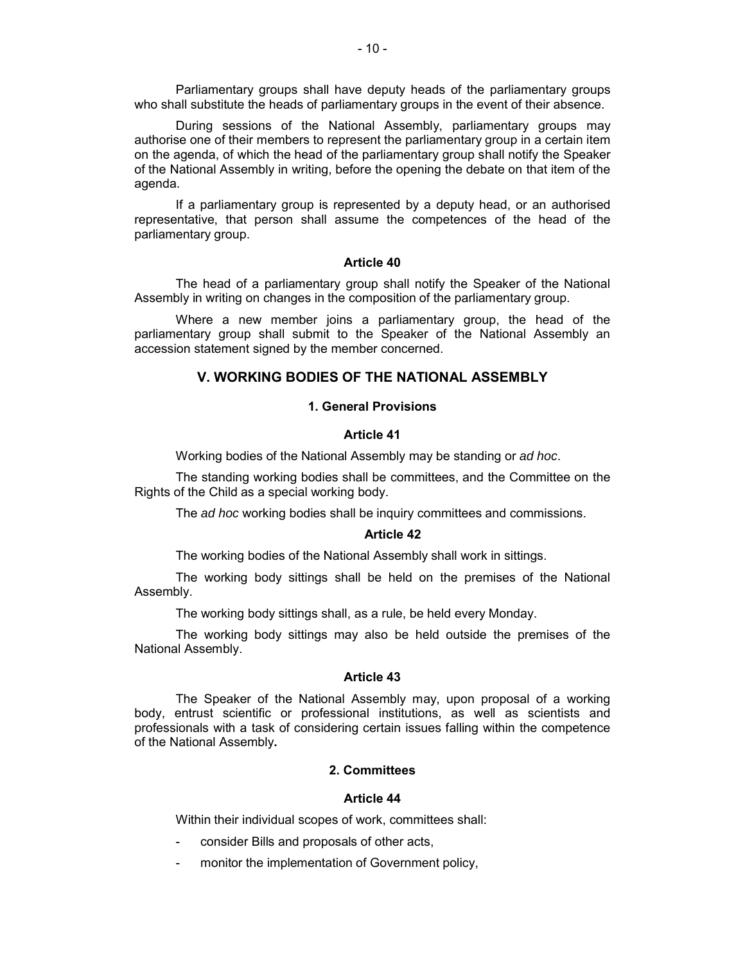Parliamentary groups shall have deputy heads of the parliamentary groups who shall substitute the heads of parliamentary groups in the event of their absence.

During sessions of the National Assembly, parliamentary groups may authorise one of their members to represent the parliamentary group in a certain item on the agenda, of which the head of the parliamentary group shall notify the Speaker of the National Assembly in writing, before the opening the debate on that item of the agenda.

If a parliamentary group is represented by a deputy head, or an authorised representative, that person shall assume the competences of the head of the parliamentary group.

## **Article 40**

The head of a parliamentary group shall notify the Speaker of the National Assembly in writing on changes in the composition of the parliamentary group.

Where a new member joins a parliamentary group, the head of the parliamentary group shall submit to the Speaker of the National Assembly an accession statement signed by the member concerned.

## **V. WORKING BODIES OF THE NATIONAL ASSEMBLY**

#### **1. General Provisions**

## **Article 41**

Working bodies of the National Assembly may be standing or *ad hoc*.

The standing working bodies shall be committees, and the Committee on the Rights of the Child as a special working body.

The *ad hoc* working bodies shall be inquiry committees and commissions.

#### **Article 42**

The working bodies of the National Assembly shall work in sittings.

The working body sittings shall be held on the premises of the National Assembly.

The working body sittings shall, as a rule, be held every Monday.

The working body sittings may also be held outside the premises of the National Assembly.

## **Article 43**

The Speaker of the National Assembly may, upon proposal of a working body, entrust scientific or professional institutions, as well as scientists and professionals with a task of considering certain issues falling within the competence of the National Assembly**.**

## **2. Committees**

## **Article 44**

Within their individual scopes of work, committees shall:

- consider Bills and proposals of other acts,
- monitor the implementation of Government policy,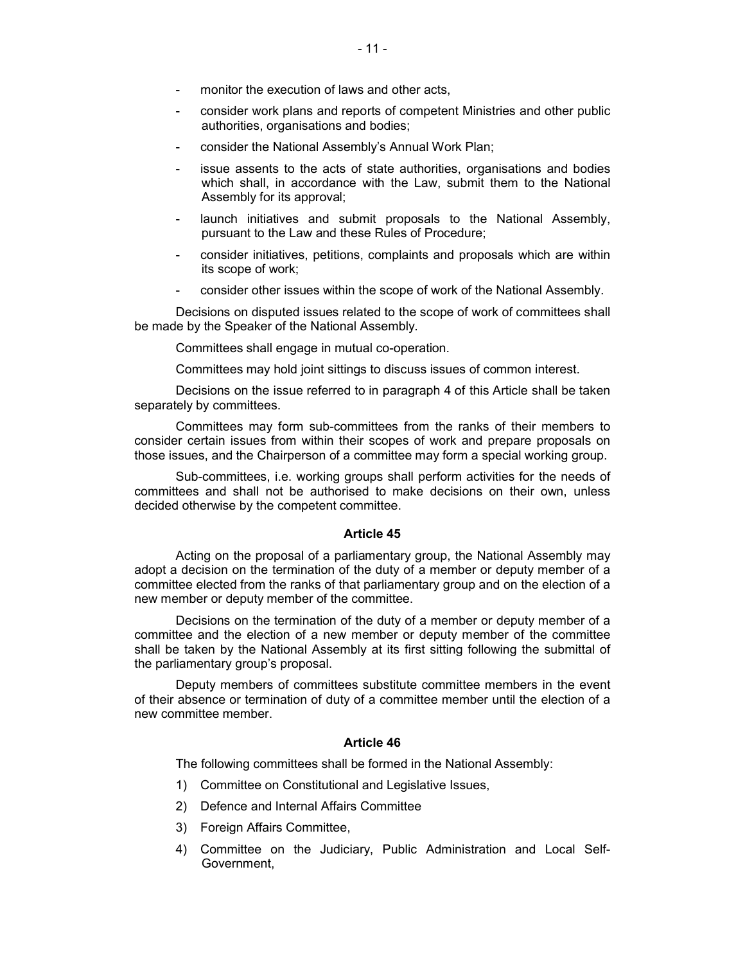- monitor the execution of laws and other acts,
- consider work plans and reports of competent Ministries and other public authorities, organisations and bodies;
- consider the National Assembly's Annual Work Plan;
- issue assents to the acts of state authorities, organisations and bodies which shall, in accordance with the Law, submit them to the National Assembly for its approval;
- launch initiatives and submit proposals to the National Assembly, pursuant to the Law and these Rules of Procedure;
- consider initiatives, petitions, complaints and proposals which are within its scope of work;
- consider other issues within the scope of work of the National Assembly.

Decisions on disputed issues related to the scope of work of committees shall be made by the Speaker of the National Assembly.

Committees shall engage in mutual co-operation.

Committees may hold joint sittings to discuss issues of common interest.

Decisions on the issue referred to in paragraph 4 of this Article shall be taken separately by committees.

Committees may form sub-committees from the ranks of their members to consider certain issues from within their scopes of work and prepare proposals on those issues, and the Chairperson of a committee may form a special working group.

Sub-committees, i.e. working groups shall perform activities for the needs of committees and shall not be authorised to make decisions on their own, unless decided otherwise by the competent committee.

#### **Article 45**

Acting on the proposal of a parliamentary group, the National Assembly may adopt a decision on the termination of the duty of a member or deputy member of a committee elected from the ranks of that parliamentary group and on the election of a new member or deputy member of the committee.

Decisions on the termination of the duty of a member or deputy member of a committee and the election of a new member or deputy member of the committee shall be taken by the National Assembly at its first sitting following the submittal of the parliamentary group's proposal.

Deputy members of committees substitute committee members in the event of their absence or termination of duty of a committee member until the election of a new committee member.

## **Article 46**

The following committees shall be formed in the National Assembly:

- 1) Committee on Constitutional and Legislative Issues,
- 2) Defence and Internal Affairs Committee
- 3) Foreign Affairs Committee,
- 4) Committee on the Judiciary, Public Administration and Local Self-Government,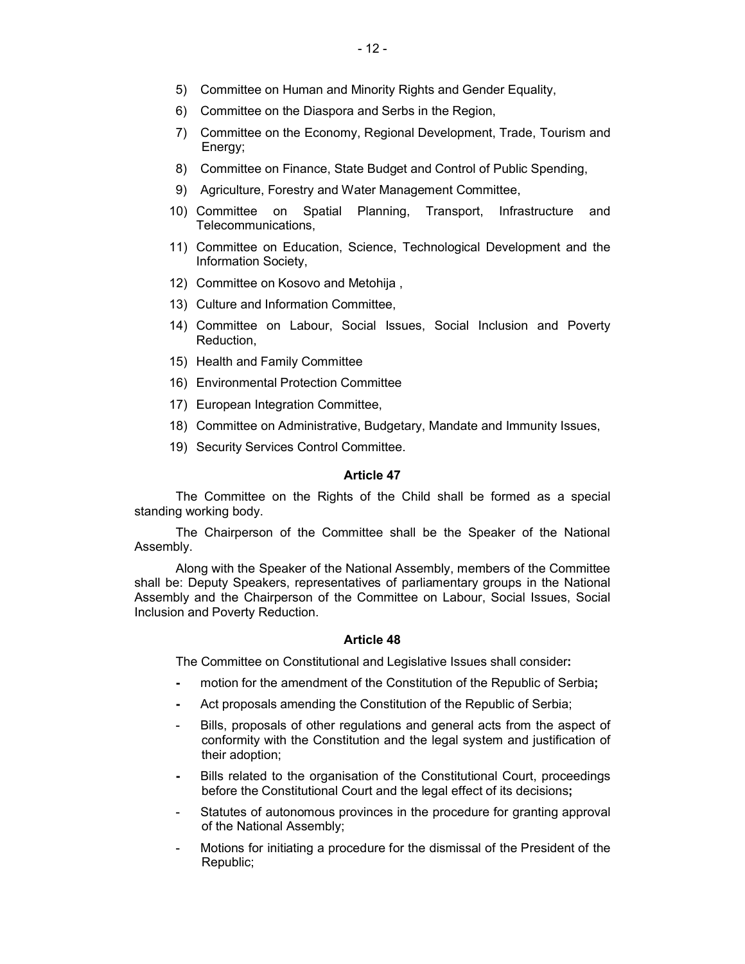- 5) Committee on Human and Minority Rights and Gender Equality,
- 6) Committee on the Diaspora and Serbs in the Region,
- 7) Committee on the Economy, Regional Development, Trade, Tourism and Energy;
- 8) Committee on Finance, State Budget and Control of Public Spending,
- 9) Agriculture, Forestry and Water Management Committee,
- 10) Committee on Spatial Planning, Transport, Infrastructure and Telecommunications,
- 11) Committee on Education, Science, Technological Development and the Information Society,
- 12) Committee on Kosovo and Metohija ,
- 13) Culture and Information Committee,
- 14) Committee on Labour, Social Issues, Social Inclusion and Poverty Reduction,
- 15) Health and Family Committee
- 16) Environmental Protection Committee
- 17) European Integration Committee,
- 18) Committee on Administrative, Budgetary, Mandate and Immunity Issues,
- 19) Security Services Control Committee.

The Committee on the Rights of the Child shall be formed as a special standing working body.

The Chairperson of the Committee shall be the Speaker of the National Assembly.

Along with the Speaker of the National Assembly, members of the Committee shall be: Deputy Speakers, representatives of parliamentary groups in the National Assembly and the Chairperson of the Committee on Labour, Social Issues, Social Inclusion and Poverty Reduction.

## **Article 48**

The Committee on Constitutional and Legislative Issues shall consider**:**

- **-** motion for the amendment of the Constitution of the Republic of Serbia**;**
- **-** Act proposals amending the Constitution of the Republic of Serbia;
- Bills, proposals of other regulations and general acts from the aspect of conformity with the Constitution and the legal system and justification of their adoption;
- **-** Bills related to the organisation of the Constitutional Court, proceedings before the Constitutional Court and the legal effect of its decisions**;**
- Statutes of autonomous provinces in the procedure for granting approval of the National Assembly;
- Motions for initiating a procedure for the dismissal of the President of the Republic;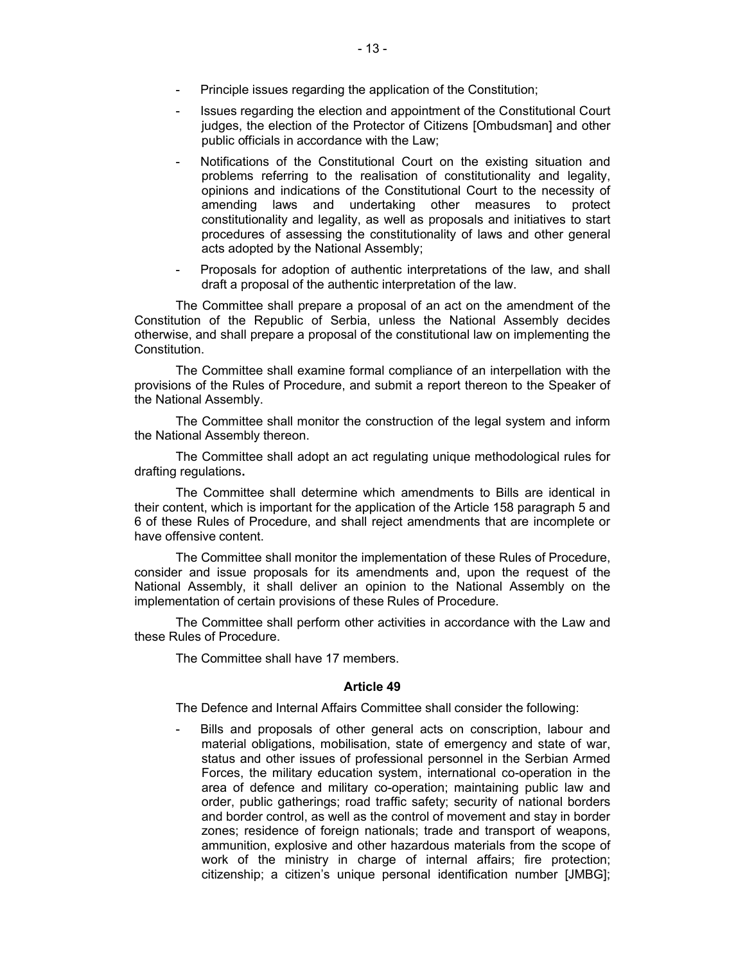- Principle issues regarding the application of the Constitution;
- Issues regarding the election and appointment of the Constitutional Court judges, the election of the Protector of Citizens [Ombudsman] and other public officials in accordance with the Law;
- Notifications of the Constitutional Court on the existing situation and problems referring to the realisation of constitutionality and legality, opinions and indications of the Constitutional Court to the necessity of amending laws and undertaking other measures to protect constitutionality and legality, as well as proposals and initiatives to start procedures of assessing the constitutionality of laws and other general acts adopted by the National Assembly;
- Proposals for adoption of authentic interpretations of the law, and shall draft a proposal of the authentic interpretation of the law.

The Committee shall prepare a proposal of an act on the amendment of the Constitution of the Republic of Serbia, unless the National Assembly decides otherwise, and shall prepare a proposal of the constitutional law on implementing the Constitution.

The Committee shall examine formal compliance of an interpellation with the provisions of the Rules of Procedure, and submit a report thereon to the Speaker of the National Assembly.

The Committee shall monitor the construction of the legal system and inform the National Assembly thereon.

The Committee shall adopt an act regulating unique methodological rules for drafting regulations**.**

The Committee shall determine which amendments to Bills are identical in their content, which is important for the application of the Article 158 paragraph 5 and 6 of these Rules of Procedure, and shall reject amendments that are incomplete or have offensive content.

The Committee shall monitor the implementation of these Rules of Procedure, consider and issue proposals for its amendments and, upon the request of the National Assembly, it shall deliver an opinion to the National Assembly on the implementation of certain provisions of these Rules of Procedure.

The Committee shall perform other activities in accordance with the Law and these Rules of Procedure.

The Committee shall have 17 members.

## **Article 49**

The Defence and Internal Affairs Committee shall consider the following:

Bills and proposals of other general acts on conscription, labour and material obligations, mobilisation, state of emergency and state of war, status and other issues of professional personnel in the Serbian Armed Forces, the military education system, international co-operation in the area of defence and military co-operation; maintaining public law and order, public gatherings; road traffic safety; security of national borders and border control, as well as the control of movement and stay in border zones; residence of foreign nationals; trade and transport of weapons, ammunition, explosive and other hazardous materials from the scope of work of the ministry in charge of internal affairs; fire protection; citizenship; a citizen's unique personal identification number [JMBG];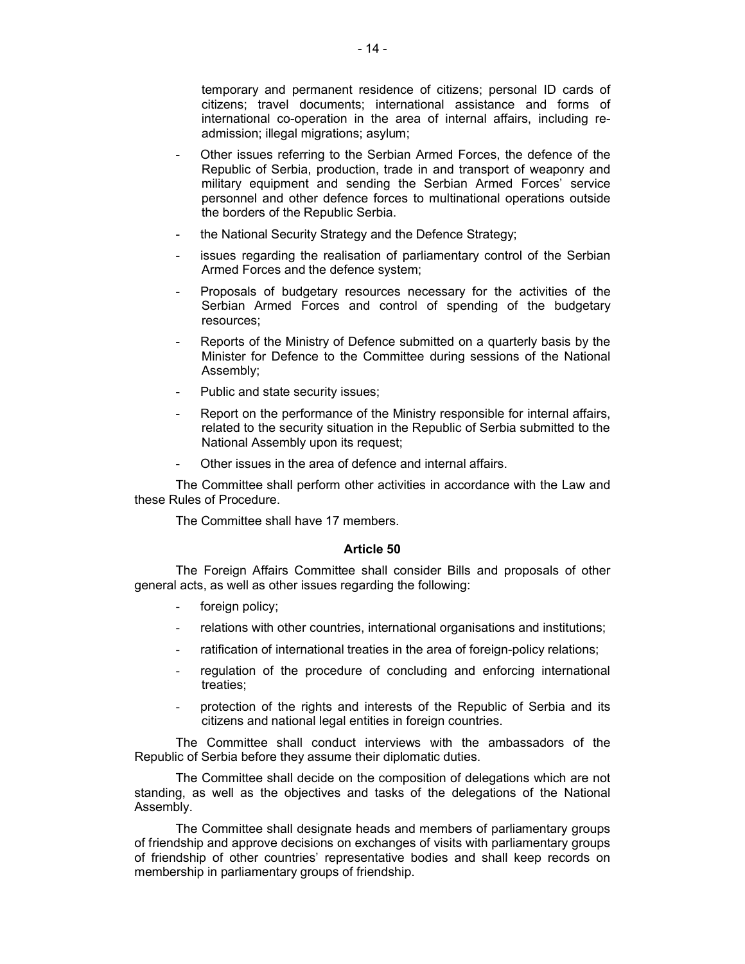temporary and permanent residence of citizens; personal ID cards of citizens; travel documents; international assistance and forms of international co-operation in the area of internal affairs, including readmission; illegal migrations; asylum;

- Other issues referring to the Serbian Armed Forces, the defence of the Republic of Serbia, production, trade in and transport of weaponry and military equipment and sending the Serbian Armed Forces' service personnel and other defence forces to multinational operations outside the borders of the Republic Serbia.
- the National Security Strategy and the Defence Strategy;
- issues regarding the realisation of parliamentary control of the Serbian Armed Forces and the defence system;
- Proposals of budgetary resources necessary for the activities of the Serbian Armed Forces and control of spending of the budgetary resources;
- Reports of the Ministry of Defence submitted on a quarterly basis by the Minister for Defence to the Committee during sessions of the National Assembly;
- Public and state security issues;
- Report on the performance of the Ministry responsible for internal affairs, related to the security situation in the Republic of Serbia submitted to the National Assembly upon its request;
- Other issues in the area of defence and internal affairs.

The Committee shall perform other activities in accordance with the Law and these Rules of Procedure.

The Committee shall have 17 members.

## **Article 50**

The Foreign Affairs Committee shall consider Bills and proposals of other general acts, as well as other issues regarding the following:

- foreign policy;
- relations with other countries, international organisations and institutions;
- ratification of international treaties in the area of foreign-policy relations;
- regulation of the procedure of concluding and enforcing international treaties;
- protection of the rights and interests of the Republic of Serbia and its citizens and national legal entities in foreign countries.

The Committee shall conduct interviews with the ambassadors of the Republic of Serbia before they assume their diplomatic duties.

The Committee shall decide on the composition of delegations which are not standing, as well as the objectives and tasks of the delegations of the National Assembly.

The Committee shall designate heads and members of parliamentary groups of friendship and approve decisions on exchanges of visits with parliamentary groups of friendship of other countries' representative bodies and shall keep records on membership in parliamentary groups of friendship.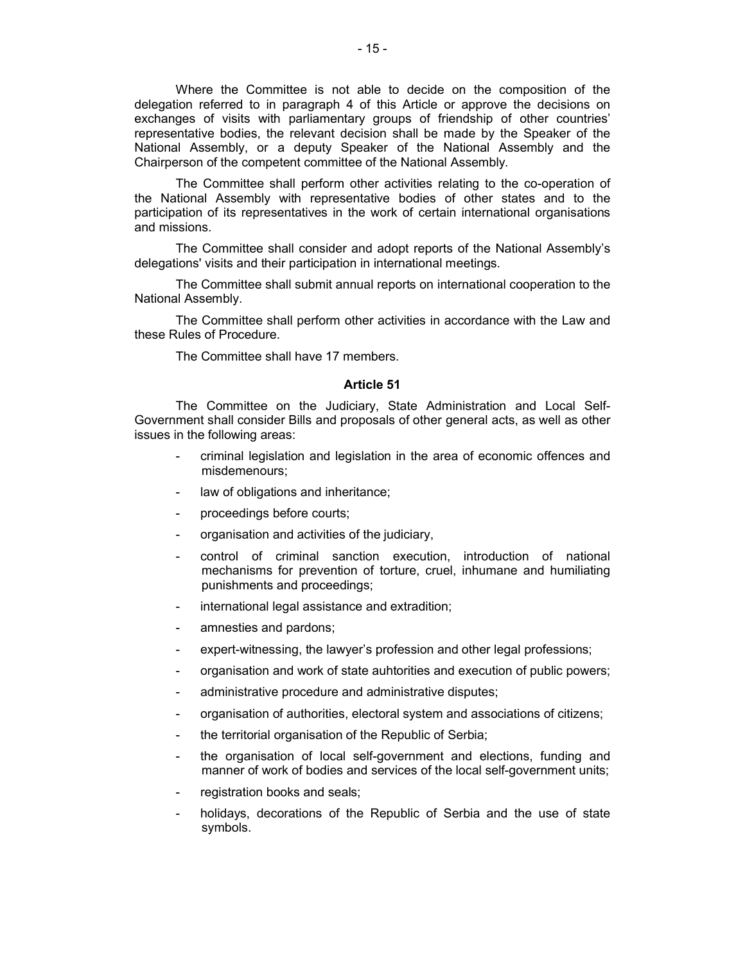Where the Committee is not able to decide on the composition of the delegation referred to in paragraph 4 of this Article or approve the decisions on exchanges of visits with parliamentary groups of friendship of other countries' representative bodies, the relevant decision shall be made by the Speaker of the National Assembly, or a deputy Speaker of the National Assembly and the Chairperson of the competent committee of the National Assembly.

The Committee shall perform other activities relating to the co-operation of the National Assembly with representative bodies of other states and to the participation of its representatives in the work of certain international organisations and missions.

The Committee shall consider and adopt reports of the National Assembly's delegations' visits and their participation in international meetings.

The Committee shall submit annual reports on international cooperation to the National Assembly.

The Committee shall perform other activities in accordance with the Law and these Rules of Procedure.

The Committee shall have 17 members.

#### **Article 51**

The Committee on the Judiciary, State Administration and Local Self-Government shall consider Bills and proposals of other general acts, as well as other issues in the following areas:

- criminal legislation and legislation in the area of economic offences and misdemenours;
- law of obligations and inheritance;
- proceedings before courts;
- organisation and activities of the judiciary,
- control of criminal sanction execution, introduction of national mechanisms for prevention of torture, cruel, inhumane and humiliating punishments and proceedings;
- international legal assistance and extradition;
- amnesties and pardons;
- expert-witnessing, the lawyer's profession and other legal professions;
- organisation and work of state auhtorities and execution of public powers;
- administrative procedure and administrative disputes;
- organisation of authorities, electoral system and associations of citizens;
- the territorial organisation of the Republic of Serbia;
- the organisation of local self-government and elections, funding and manner of work of bodies and services of the local self-government units;
- registration books and seals;
- holidays, decorations of the Republic of Serbia and the use of state symbols.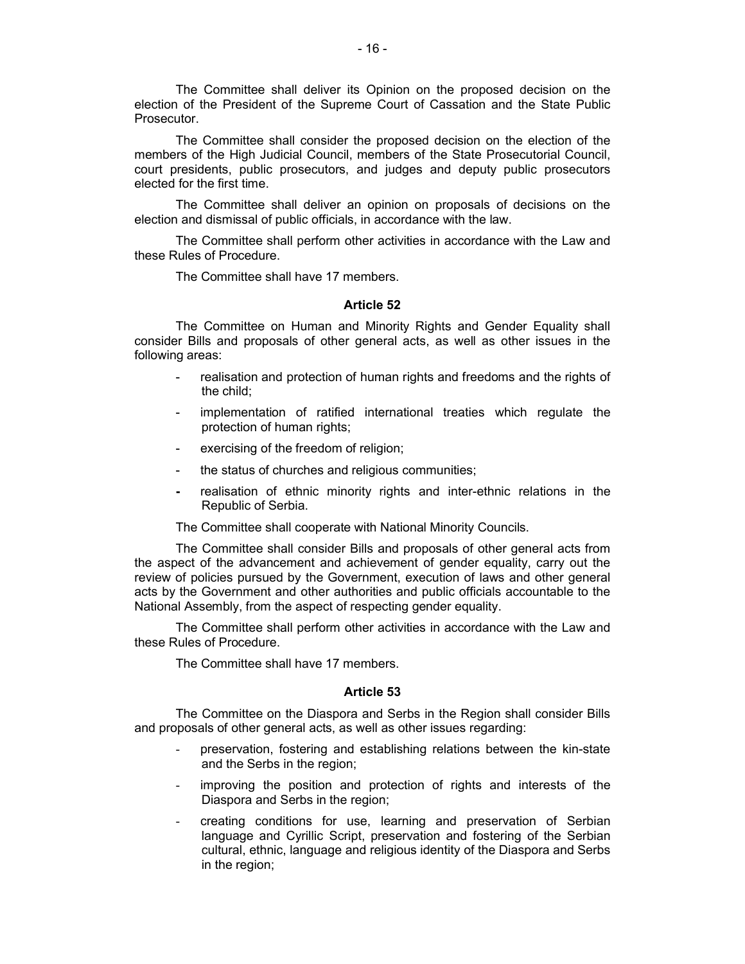The Committee shall deliver its Opinion on the proposed decision on the election of the President of the Supreme Court of Cassation and the State Public Prosecutor.

The Committee shall consider the proposed decision on the election of the members of the High Judicial Council, members of the State Prosecutorial Council, court presidents, public prosecutors, and judges and deputy public prosecutors elected for the first time.

The Committee shall deliver an opinion on proposals of decisions on the election and dismissal of public officials, in accordance with the law.

The Committee shall perform other activities in accordance with the Law and these Rules of Procedure.

The Committee shall have 17 members.

#### **Article 52**

The Committee on Human and Minority Rights and Gender Equality shall consider Bills and proposals of other general acts, as well as other issues in the following areas:

- realisation and protection of human rights and freedoms and the rights of the child;
- implementation of ratified international treaties which regulate the protection of human rights;
- exercising of the freedom of religion;
- the status of churches and religious communities;
- **-** realisation of ethnic minority rights and inter-ethnic relations in the Republic of Serbia.

The Committee shall cooperate with National Minority Councils.

The Committee shall consider Bills and proposals of other general acts from the aspect of the advancement and achievement of gender equality, carry out the review of policies pursued by the Government, execution of laws and other general acts by the Government and other authorities and public officials accountable to the National Assembly, from the aspect of respecting gender equality.

The Committee shall perform other activities in accordance with the Law and these Rules of Procedure.

The Committee shall have 17 members.

#### **Article 53**

The Committee on the Diaspora and Serbs in the Region shall consider Bills and proposals of other general acts, as well as other issues regarding:

- preservation, fostering and establishing relations between the kin-state and the Serbs in the region;
- improving the position and protection of rights and interests of the Diaspora and Serbs in the region;
- creating conditions for use, learning and preservation of Serbian language and Cyrillic Script, preservation and fostering of the Serbian cultural, ethnic, language and religious identity of the Diaspora and Serbs in the region;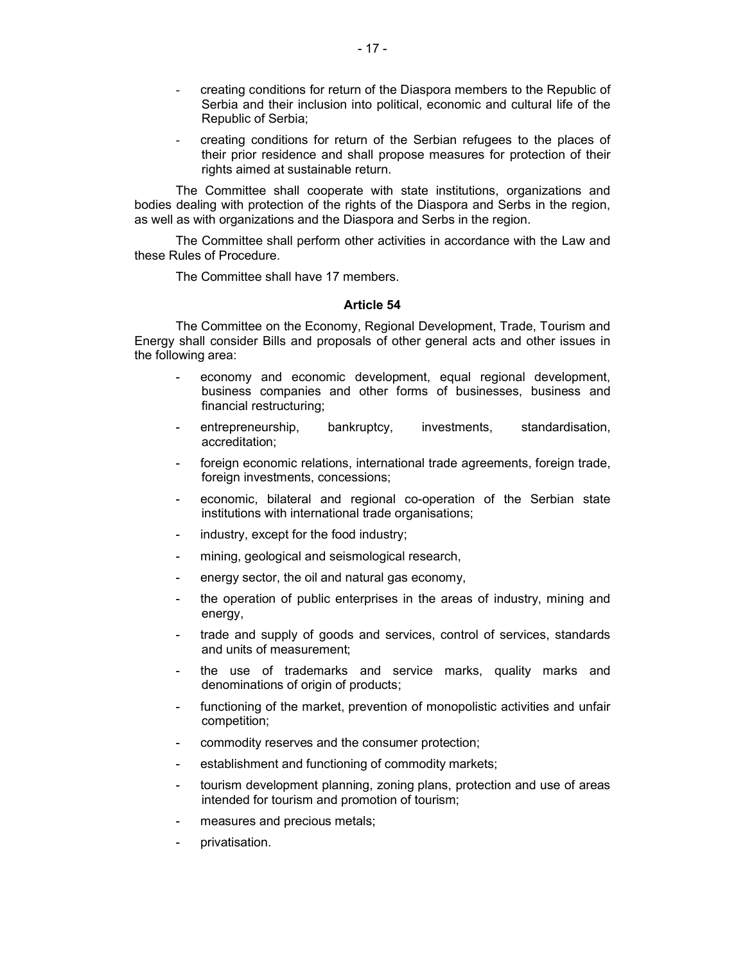- creating conditions for return of the Diaspora members to the Republic of Serbia and their inclusion into political, economic and cultural life of the Republic of Serbia;
- creating conditions for return of the Serbian refugees to the places of their prior residence and shall propose measures for protection of their rights aimed at sustainable return.

The Committee shall cooperate with state institutions, organizations and bodies dealing with protection of the rights of the Diaspora and Serbs in the region, as well as with organizations and the Diaspora and Serbs in the region.

The Committee shall perform other activities in accordance with the Law and these Rules of Procedure.

The Committee shall have 17 members.

## **Article 54**

The Committee on the Economy, Regional Development, Trade, Tourism and Energy shall consider Bills and proposals of other general acts and other issues in the following area:

- economy and economic development, equal regional development, business companies and other forms of businesses, business and financial restructuring;
- entrepreneurship, bankruptcy, investments, standardisation, accreditation;
- foreign economic relations, international trade agreements, foreign trade, foreign investments, concessions;
- economic, bilateral and regional co-operation of the Serbian state institutions with international trade organisations;
- industry, except for the food industry;
- mining, geological and seismological research,
- energy sector, the oil and natural gas economy,
- the operation of public enterprises in the areas of industry, mining and energy,
- trade and supply of goods and services, control of services, standards and units of measurement;
- the use of trademarks and service marks, quality marks and denominations of origin of products;
- functioning of the market, prevention of monopolistic activities and unfair competition;
- commodity reserves and the consumer protection;
- establishment and functioning of commodity markets;
- tourism development planning, zoning plans, protection and use of areas intended for tourism and promotion of tourism;
- measures and precious metals;
- privatisation.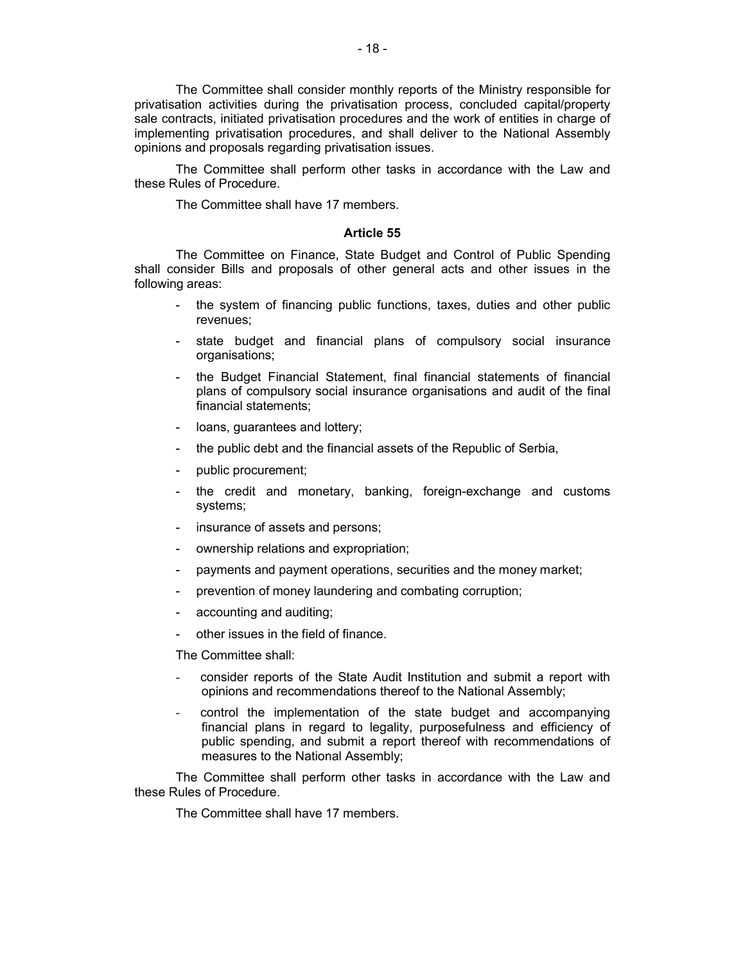The Committee shall consider monthly reports of the Ministry responsible for privatisation activities during the privatisation process, concluded capital/property sale contracts, initiated privatisation procedures and the work of entities in charge of implementing privatisation procedures, and shall deliver to the National Assembly opinions and proposals regarding privatisation issues.

The Committee shall perform other tasks in accordance with the Law and these Rules of Procedure.

The Committee shall have 17 members.

#### **Article 55**

The Committee on Finance, State Budget and Control of Public Spending shall consider Bills and proposals of other general acts and other issues in the following areas:

- the system of financing public functions, taxes, duties and other public revenues;
- state budget and financial plans of compulsory social insurance organisations;
- the Budget Financial Statement, final financial statements of financial plans of compulsory social insurance organisations and audit of the final financial statements;
- loans, guarantees and lottery;
- the public debt and the financial assets of the Republic of Serbia,
- public procurement;
- the credit and monetary, banking, foreign-exchange and customs systems;
- insurance of assets and persons;
- ownership relations and expropriation;
- payments and payment operations, securities and the money market;
- prevention of money laundering and combating corruption;
- accounting and auditing;
- other issues in the field of finance.

The Committee shall:

- consider reports of the State Audit Institution and submit a report with opinions and recommendations thereof to the National Assembly;
- control the implementation of the state budget and accompanying financial plans in regard to legality, purposefulness and efficiency of public spending, and submit a report thereof with recommendations of measures to the National Assembly;

The Committee shall perform other tasks in accordance with the Law and these Rules of Procedure.

The Committee shall have 17 members.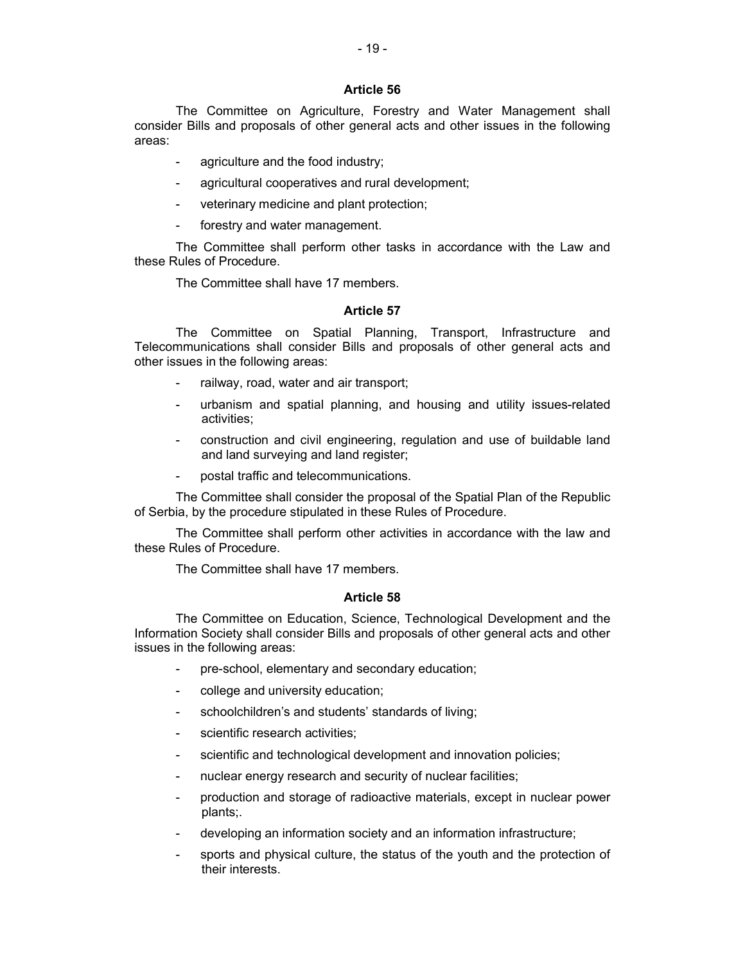The Committee on Agriculture, Forestry and Water Management shall consider Bills and proposals of other general acts and other issues in the following areas:

- agriculture and the food industry;
- agricultural cooperatives and rural development;
- veterinary medicine and plant protection;
- forestry and water management.

The Committee shall perform other tasks in accordance with the Law and these Rules of Procedure.

The Committee shall have 17 members.

## **Article 57**

The Committee on Spatial Planning, Transport, Infrastructure and Telecommunications shall consider Bills and proposals of other general acts and other issues in the following areas:

- railway, road, water and air transport;
- urbanism and spatial planning, and housing and utility issues-related activities;
- construction and civil engineering, regulation and use of buildable land and land surveying and land register;
- postal traffic and telecommunications.

The Committee shall consider the proposal of the Spatial Plan of the Republic of Serbia, by the procedure stipulated in these Rules of Procedure.

The Committee shall perform other activities in accordance with the law and these Rules of Procedure.

The Committee shall have 17 members.

## **Article 58**

The Committee on Education, Science, Technological Development and the Information Society shall consider Bills and proposals of other general acts and other issues in the following areas:

- pre-school, elementary and secondary education;
- college and university education;
- schoolchildren's and students' standards of living;
- scientific research activities;
- scientific and technological development and innovation policies;
- nuclear energy research and security of nuclear facilities;
- production and storage of radioactive materials, except in nuclear power plants;.
- developing an information society and an information infrastructure;
- sports and physical culture, the status of the youth and the protection of their interests.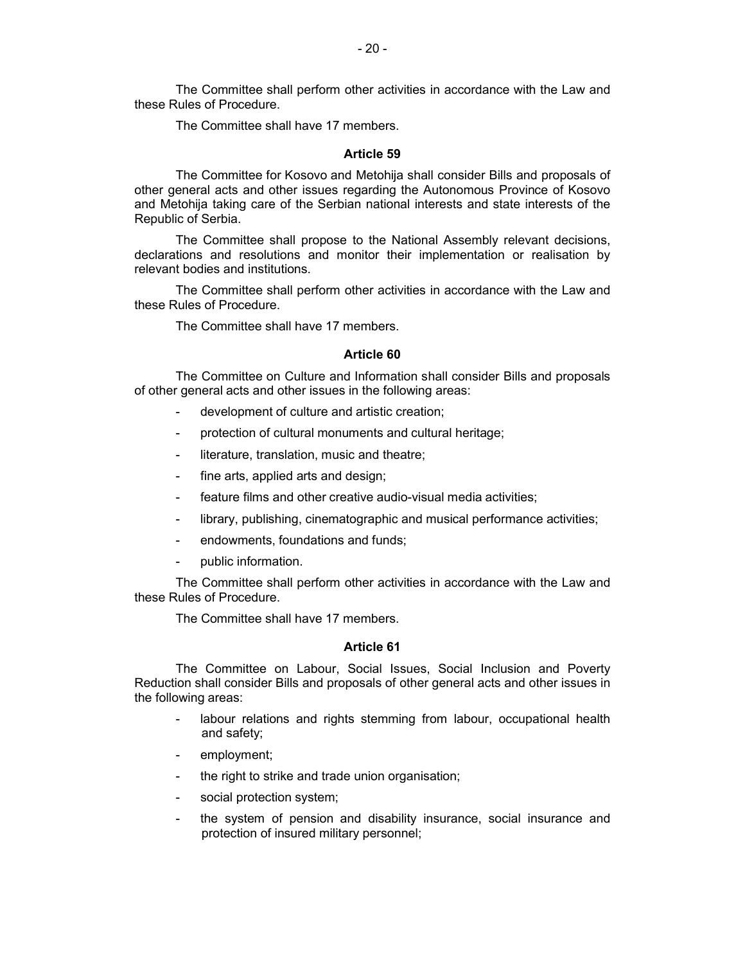The Committee shall perform other activities in accordance with the Law and these Rules of Procedure.

The Committee shall have 17 members.

#### **Article 59**

The Committee for Kosovo and Metohija shall consider Bills and proposals of other general acts and other issues regarding the Autonomous Province of Kosovo and Metohija taking care of the Serbian national interests and state interests of the Republic of Serbia.

The Committee shall propose to the National Assembly relevant decisions, declarations and resolutions and monitor their implementation or realisation by relevant bodies and institutions.

The Committee shall perform other activities in accordance with the Law and these Rules of Procedure.

The Committee shall have 17 members.

## **Article 60**

The Committee on Culture and Information shall consider Bills and proposals of other general acts and other issues in the following areas:

- development of culture and artistic creation;
- protection of cultural monuments and cultural heritage;
- literature, translation, music and theatre;
- fine arts, applied arts and design;
- feature films and other creative audio-visual media activities;
- library, publishing, cinematographic and musical performance activities;
- endowments, foundations and funds;
- public information.

The Committee shall perform other activities in accordance with the Law and these Rules of Procedure.

The Committee shall have 17 members.

### **Article 61**

The Committee on Labour, Social Issues, Social Inclusion and Poverty Reduction shall consider Bills and proposals of other general acts and other issues in the following areas:

- labour relations and rights stemming from labour, occupational health and safety;
- employment;
- the right to strike and trade union organisation;
- social protection system;
- the system of pension and disability insurance, social insurance and protection of insured military personnel;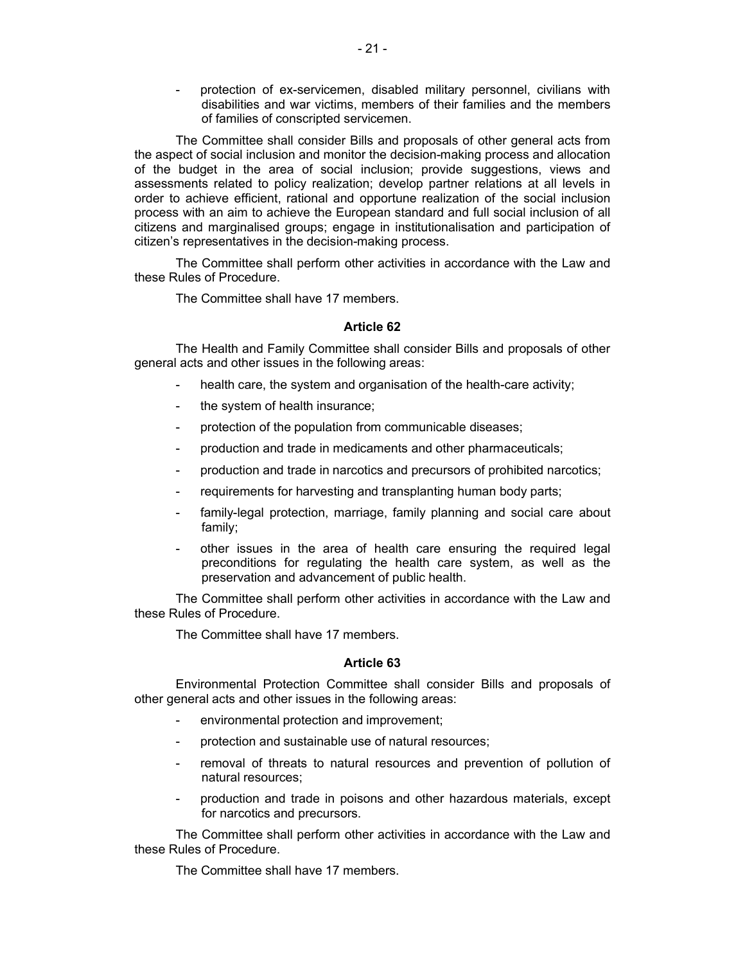protection of ex-servicemen, disabled military personnel, civilians with disabilities and war victims, members of their families and the members of families of conscripted servicemen.

The Committee shall consider Bills and proposals of other general acts from the aspect of social inclusion and monitor the decision-making process and allocation of the budget in the area of social inclusion; provide suggestions, views and assessments related to policy realization; develop partner relations at all levels in order to achieve efficient, rational and opportune realization of the social inclusion process with an aim to achieve the European standard and full social inclusion of all citizens and marginalised groups; engage in institutionalisation and participation of citizen's representatives in the decision-making process.

The Committee shall perform other activities in accordance with the Law and these Rules of Procedure.

The Committee shall have 17 members.

## **Article 62**

The Health and Family Committee shall consider Bills and proposals of other general acts and other issues in the following areas:

- health care, the system and organisation of the health-care activity;
- the system of health insurance;
- protection of the population from communicable diseases;
- production and trade in medicaments and other pharmaceuticals;
- production and trade in narcotics and precursors of prohibited narcotics;
- requirements for harvesting and transplanting human body parts;
- family-legal protection, marriage, family planning and social care about family;
- other issues in the area of health care ensuring the required legal preconditions for regulating the health care system, as well as the preservation and advancement of public health.

The Committee shall perform other activities in accordance with the Law and these Rules of Procedure.

The Committee shall have 17 members.

## **Article 63**

Environmental Protection Committee shall consider Bills and proposals of other general acts and other issues in the following areas:

- environmental protection and improvement;
- protection and sustainable use of natural resources;
- removal of threats to natural resources and prevention of pollution of natural resources;
- production and trade in poisons and other hazardous materials, except for narcotics and precursors.

The Committee shall perform other activities in accordance with the Law and these Rules of Procedure.

The Committee shall have 17 members.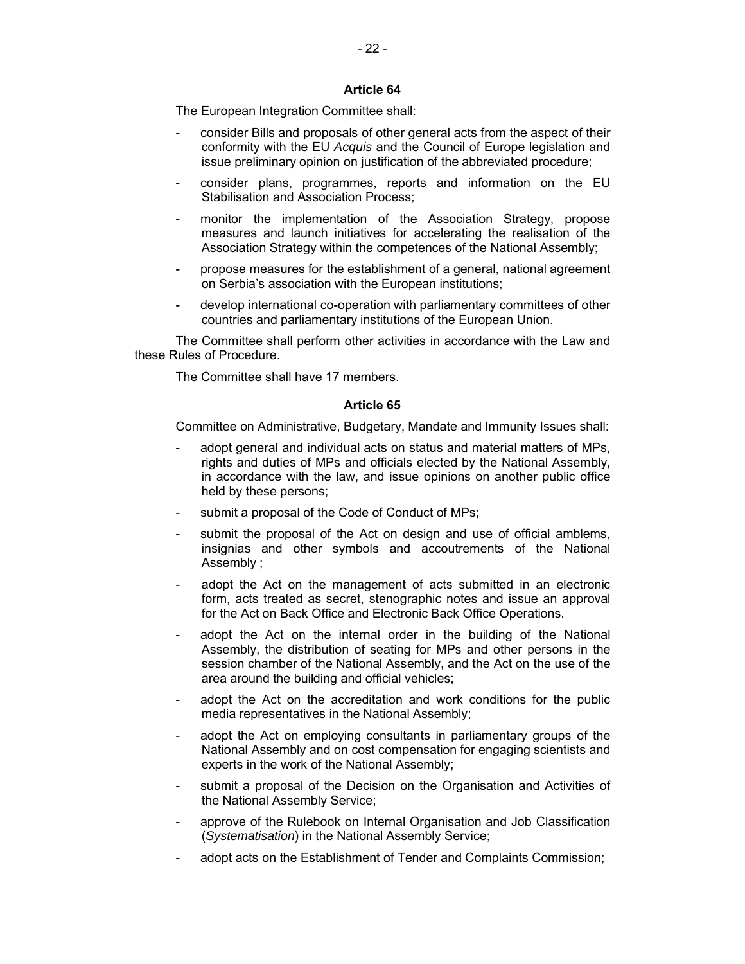The European Integration Committee shall:

- consider Bills and proposals of other general acts from the aspect of their conformity with the EU *Acquis* and the Council of Europe legislation and issue preliminary opinion on justification of the abbreviated procedure;
- consider plans, programmes, reports and information on the EU Stabilisation and Association Process;
- monitor the implementation of the Association Strategy, propose measures and launch initiatives for accelerating the realisation of the Association Strategy within the competences of the National Assembly;
- propose measures for the establishment of a general, national agreement on Serbia's association with the European institutions;
- develop international co-operation with parliamentary committees of other countries and parliamentary institutions of the European Union.

The Committee shall perform other activities in accordance with the Law and these Rules of Procedure.

The Committee shall have 17 members.

## **Article 65**

Committee on Administrative, Budgetary, Mandate and Immunity Issues shall:

- adopt general and individual acts on status and material matters of MPs, rights and duties of MPs and officials elected by the National Assembly, in accordance with the law, and issue opinions on another public office held by these persons;
- submit a proposal of the Code of Conduct of MPs;
- submit the proposal of the Act on design and use of official amblems, insignias and other symbols and accoutrements of the National Assembly ;
- adopt the Act on the management of acts submitted in an electronic form, acts treated as secret, stenographic notes and issue an approval for the Act on Back Office and Electronic Back Office Operations.
- adopt the Act on the internal order in the building of the National Assembly, the distribution of seating for MPs and other persons in the session chamber of the National Assembly, and the Act on the use of the area around the building and official vehicles;
- adopt the Act on the accreditation and work conditions for the public media representatives in the National Assembly;
- adopt the Act on employing consultants in parliamentary groups of the National Assembly and on cost compensation for engaging scientists and experts in the work of the National Assembly;
- submit a proposal of the Decision on the Organisation and Activities of the National Assembly Service;
- approve of the Rulebook on Internal Organisation and Job Classification (*Systematisation*) in the National Assembly Service;
- adopt acts on the Establishment of Tender and Complaints Commission;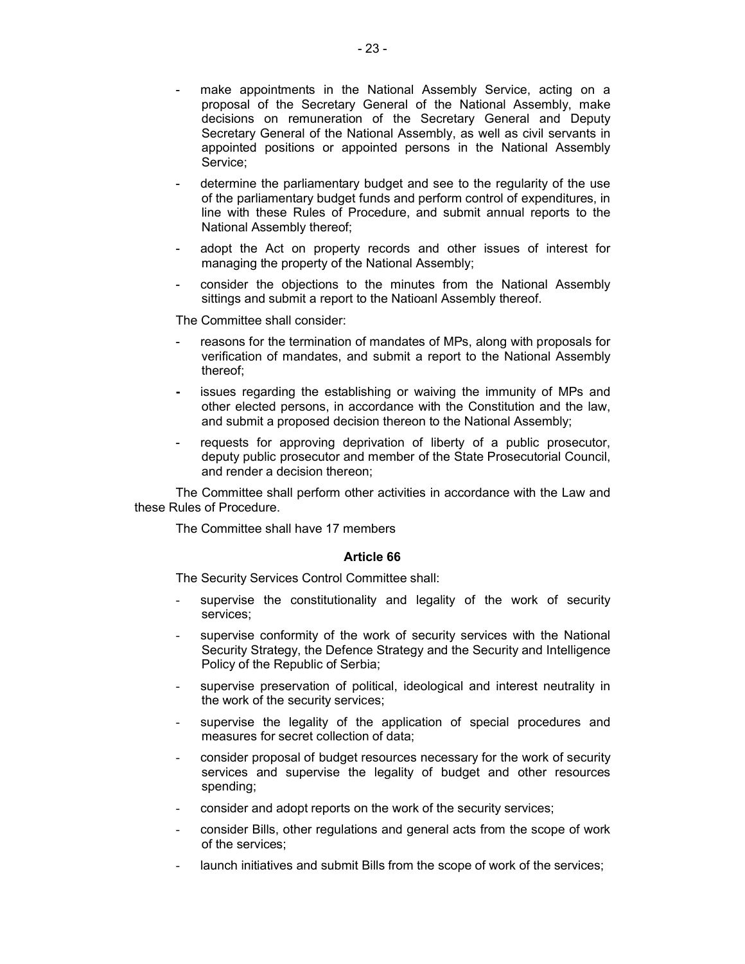- make appointments in the National Assembly Service, acting on a proposal of the Secretary General of the National Assembly, make decisions on remuneration of the Secretary General and Deputy Secretary General of the National Assembly, as well as civil servants in appointed positions or appointed persons in the National Assembly Service;
- determine the parliamentary budget and see to the regularity of the use of the parliamentary budget funds and perform control of expenditures, in line with these Rules of Procedure, and submit annual reports to the National Assembly thereof;
- adopt the Act on property records and other issues of interest for managing the property of the National Assembly;
- consider the objections to the minutes from the National Assembly sittings and submit a report to the Natioanl Assembly thereof.

The Committee shall consider:

- reasons for the termination of mandates of MPs, along with proposals for verification of mandates, and submit a report to the National Assembly thereof;
- **-** issues regarding the establishing or waiving the immunity of MPs and other elected persons, in accordance with the Constitution and the law, and submit a proposed decision thereon to the National Assembly;
- requests for approving deprivation of liberty of a public prosecutor, deputy public prosecutor and member of the State Prosecutorial Council, and render a decision thereon;

The Committee shall perform other activities in accordance with the Law and these Rules of Procedure.

The Committee shall have 17 members

#### **Article 66**

The Security Services Control Committee shall:

- supervise the constitutionality and legality of the work of security services;
- supervise conformity of the work of security services with the National Security Strategy, the Defence Strategy and the Security and Intelligence Policy of the Republic of Serbia;
- supervise preservation of political, ideological and interest neutrality in the work of the security services;
- supervise the legality of the application of special procedures and measures for secret collection of data;
- consider proposal of budget resources necessary for the work of security services and supervise the legality of budget and other resources spending;
- consider and adopt reports on the work of the security services;
- consider Bills, other regulations and general acts from the scope of work of the services;
- launch initiatives and submit Bills from the scope of work of the services;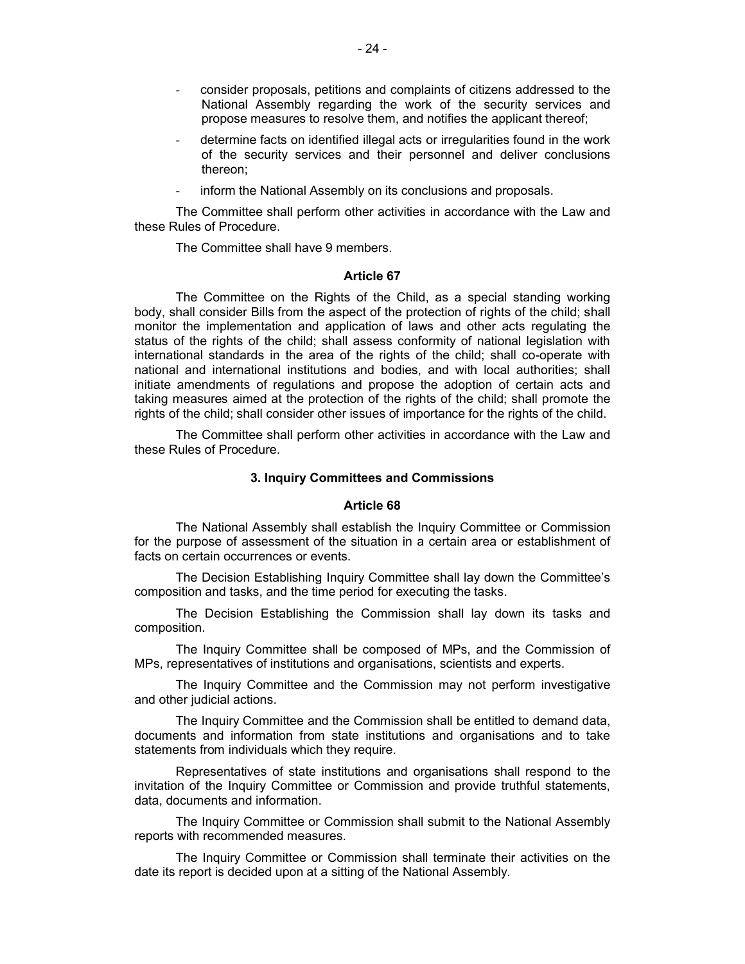- consider proposals, petitions and complaints of citizens addressed to the National Assembly regarding the work of the security services and propose measures to resolve them, and notifies the applicant thereof;
- determine facts on identified illegal acts or irregularities found in the work of the security services and their personnel and deliver conclusions thereon;
- inform the National Assembly on its conclusions and proposals.

The Committee shall perform other activities in accordance with the Law and these Rules of Procedure.

The Committee shall have 9 members.

## **Article 67**

The Committee on the Rights of the Child, as a special standing working body, shall consider Bills from the aspect of the protection of rights of the child; shall monitor the implementation and application of laws and other acts regulating the status of the rights of the child; shall assess conformity of national legislation with international standards in the area of the rights of the child; shall co-operate with national and international institutions and bodies, and with local authorities; shall initiate amendments of regulations and propose the adoption of certain acts and taking measures aimed at the protection of the rights of the child; shall promote the rights of the child; shall consider other issues of importance for the rights of the child.

The Committee shall perform other activities in accordance with the Law and these Rules of Procedure.

#### **3. Inquiry Committees and Commissions**

#### **Article 68**

The National Assembly shall establish the Inquiry Committee or Commission for the purpose of assessment of the situation in a certain area or establishment of facts on certain occurrences or events.

The Decision Establishing Inquiry Committee shall lay down the Committee's composition and tasks, and the time period for executing the tasks.

The Decision Establishing the Commission shall lay down its tasks and composition.

The Inquiry Committee shall be composed of MPs, and the Commission of MPs, representatives of institutions and organisations, scientists and experts.

The Inquiry Committee and the Commission may not perform investigative and other judicial actions.

The Inquiry Committee and the Commission shall be entitled to demand data, documents and information from state institutions and organisations and to take statements from individuals which they require.

Representatives of state institutions and organisations shall respond to the invitation of the Inquiry Committee or Commission and provide truthful statements, data, documents and information.

The Inquiry Committee or Commission shall submit to the National Assembly reports with recommended measures.

The Inquiry Committee or Commission shall terminate their activities on the date its report is decided upon at a sitting of the National Assembly.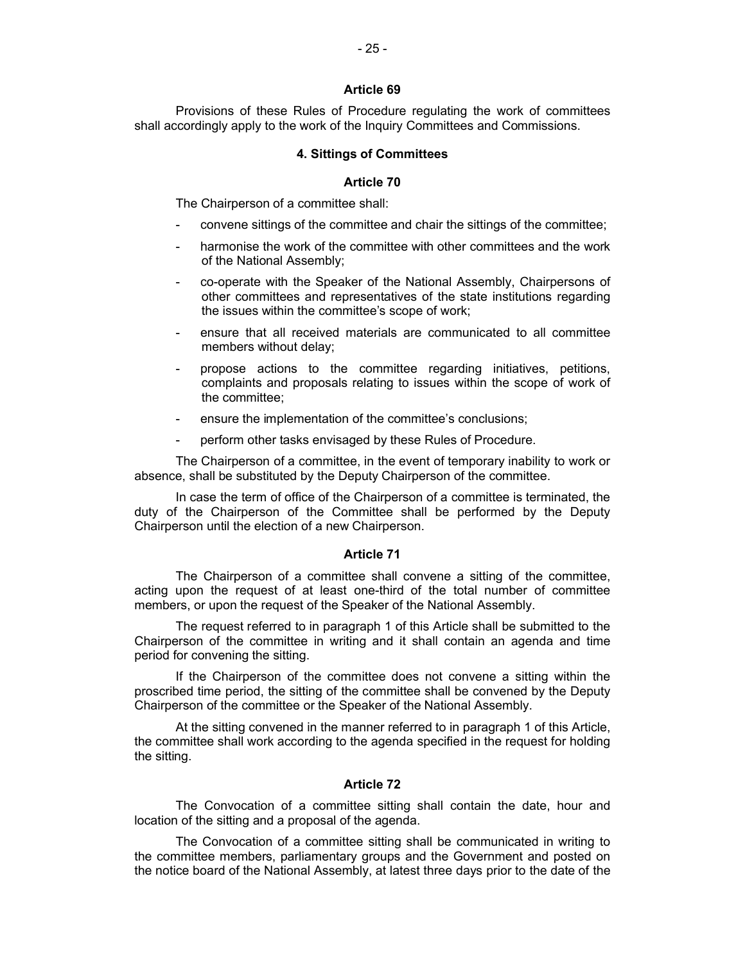Provisions of these Rules of Procedure regulating the work of committees shall accordingly apply to the work of the Inquiry Committees and Commissions.

## **4. Sittings of Committees**

### **Article 70**

The Chairperson of a committee shall:

- convene sittings of the committee and chair the sittings of the committee;
- harmonise the work of the committee with other committees and the work of the National Assembly;
- co-operate with the Speaker of the National Assembly, Chairpersons of other committees and representatives of the state institutions regarding the issues within the committee's scope of work;
- ensure that all received materials are communicated to all committee members without delay;
- propose actions to the committee regarding initiatives, petitions, complaints and proposals relating to issues within the scope of work of the committee;
- ensure the implementation of the committee's conclusions;
- perform other tasks envisaged by these Rules of Procedure.

The Chairperson of a committee, in the event of temporary inability to work or absence, shall be substituted by the Deputy Chairperson of the committee.

In case the term of office of the Chairperson of a committee is terminated, the duty of the Chairperson of the Committee shall be performed by the Deputy Chairperson until the election of a new Chairperson.

### **Article 71**

The Chairperson of a committee shall convene a sitting of the committee, acting upon the request of at least one-third of the total number of committee members, or upon the request of the Speaker of the National Assembly.

The request referred to in paragraph 1 of this Article shall be submitted to the Chairperson of the committee in writing and it shall contain an agenda and time period for convening the sitting.

If the Chairperson of the committee does not convene a sitting within the proscribed time period, the sitting of the committee shall be convened by the Deputy Chairperson of the committee or the Speaker of the National Assembly.

At the sitting convened in the manner referred to in paragraph 1 of this Article, the committee shall work according to the agenda specified in the request for holding the sitting.

## **Article 72**

The Convocation of a committee sitting shall contain the date, hour and location of the sitting and a proposal of the agenda.

The Convocation of a committee sitting shall be communicated in writing to the committee members, parliamentary groups and the Government and posted on the notice board of the National Assembly, at latest three days prior to the date of the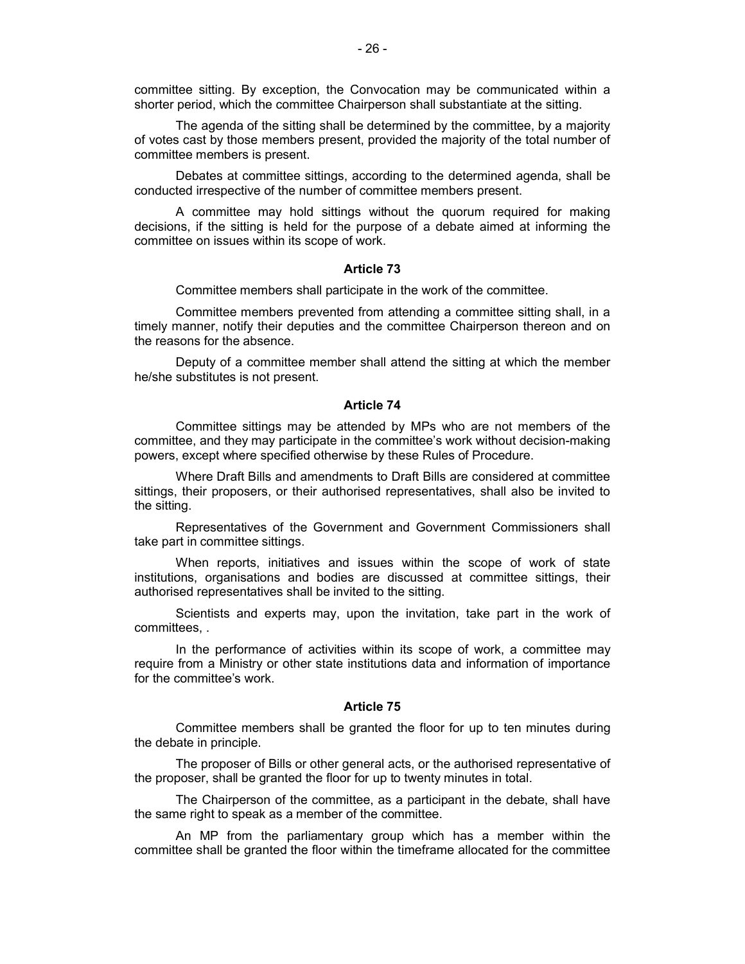committee sitting. By exception, the Convocation may be communicated within a shorter period, which the committee Chairperson shall substantiate at the sitting.

The agenda of the sitting shall be determined by the committee, by a majority of votes cast by those members present, provided the majority of the total number of committee members is present.

Debates at committee sittings, according to the determined agenda, shall be conducted irrespective of the number of committee members present.

A committee may hold sittings without the quorum required for making decisions, if the sitting is held for the purpose of a debate aimed at informing the committee on issues within its scope of work.

#### **Article 73**

Committee members shall participate in the work of the committee.

Committee members prevented from attending a committee sitting shall, in a timely manner, notify their deputies and the committee Chairperson thereon and on the reasons for the absence.

Deputy of a committee member shall attend the sitting at which the member he/she substitutes is not present.

#### **Article 74**

Committee sittings may be attended by MPs who are not members of the committee, and they may participate in the committee's work without decision-making powers, except where specified otherwise by these Rules of Procedure.

Where Draft Bills and amendments to Draft Bills are considered at committee sittings, their proposers, or their authorised representatives, shall also be invited to the sitting.

Representatives of the Government and Government Commissioners shall take part in committee sittings.

When reports, initiatives and issues within the scope of work of state institutions, organisations and bodies are discussed at committee sittings, their authorised representatives shall be invited to the sitting.

Scientists and experts may, upon the invitation, take part in the work of committees, .

In the performance of activities within its scope of work, a committee may require from a Ministry or other state institutions data and information of importance for the committee's work.

#### **Article 75**

Committee members shall be granted the floor for up to ten minutes during the debate in principle.

The proposer of Bills or other general acts, or the authorised representative of the proposer, shall be granted the floor for up to twenty minutes in total.

The Chairperson of the committee, as a participant in the debate, shall have the same right to speak as a member of the committee.

An MP from the parliamentary group which has a member within the committee shall be granted the floor within the timeframe allocated for the committee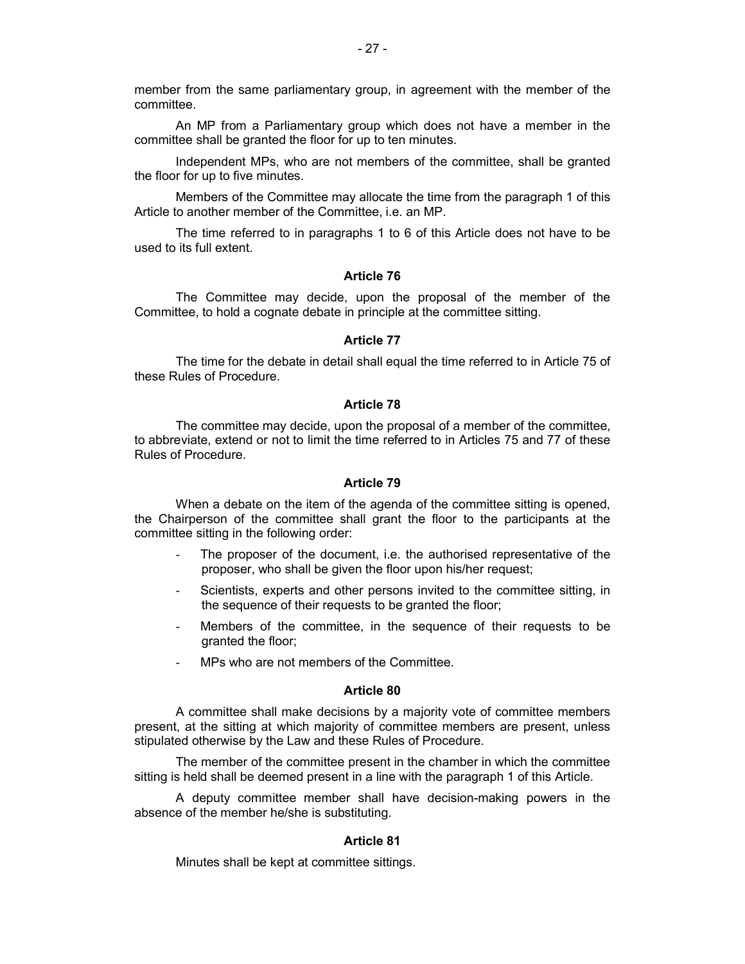member from the same parliamentary group, in agreement with the member of the committee.

An MP from a Parliamentary group which does not have a member in the committee shall be granted the floor for up to ten minutes.

Independent MPs, who are not members of the committee, shall be granted the floor for up to five minutes.

Members of the Committee may allocate the time from the paragraph 1 of this Article to another member of the Committee, i.e. an MP.

The time referred to in paragraphs 1 to 6 of this Article does not have to be used to its full extent.

### **Article 76**

The Committee may decide, upon the proposal of the member of the Committee, to hold a cognate debate in principle at the committee sitting.

#### **Article 77**

The time for the debate in detail shall equal the time referred to in Article 75 of these Rules of Procedure.

### **Article 78**

The committee may decide, upon the proposal of a member of the committee, to abbreviate, extend or not to limit the time referred to in Articles 75 and 77 of these Rules of Procedure.

## **Article 79**

When a debate on the item of the agenda of the committee sitting is opened, the Chairperson of the committee shall grant the floor to the participants at the committee sitting in the following order:

- The proposer of the document, i.e. the authorised representative of the proposer, who shall be given the floor upon his/her request;
- Scientists, experts and other persons invited to the committee sitting, in the sequence of their requests to be granted the floor;
- Members of the committee, in the sequence of their requests to be granted the floor;
- MPs who are not members of the Committee.

### **Article 80**

A committee shall make decisions by a majority vote of committee members present, at the sitting at which majority of committee members are present, unless stipulated otherwise by the Law and these Rules of Procedure.

The member of the committee present in the chamber in which the committee sitting is held shall be deemed present in a line with the paragraph 1 of this Article.

A deputy committee member shall have decision-making powers in the absence of the member he/she is substituting.

#### **Article 81**

Minutes shall be kept at committee sittings.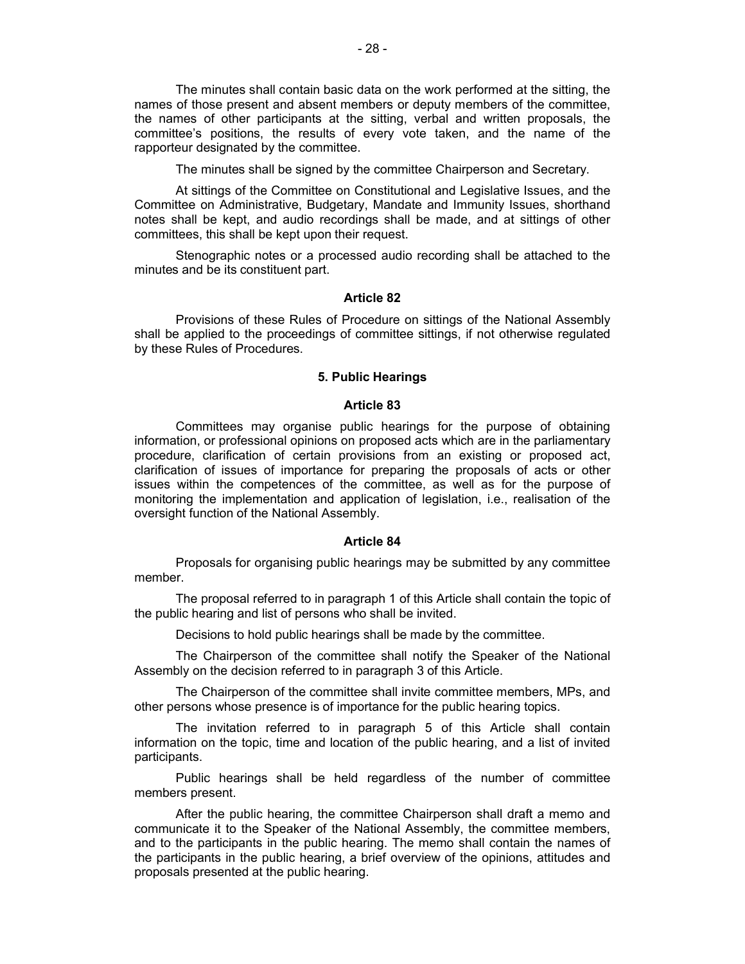The minutes shall contain basic data on the work performed at the sitting, the names of those present and absent members or deputy members of the committee, the names of other participants at the sitting, verbal and written proposals, the committee's positions, the results of every vote taken, and the name of the rapporteur designated by the committee.

The minutes shall be signed by the committee Chairperson and Secretary.

At sittings of the Committee on Constitutional and Legislative Issues, and the Committee on Administrative, Budgetary, Mandate and Immunity Issues, shorthand notes shall be kept, and audio recordings shall be made, and at sittings of other committees, this shall be kept upon their request.

Stenographic notes or a processed audio recording shall be attached to the minutes and be its constituent part.

#### **Article 82**

Provisions of these Rules of Procedure on sittings of the National Assembly shall be applied to the proceedings of committee sittings, if not otherwise regulated by these Rules of Procedures.

## **5. Public Hearings**

### **Article 83**

Committees may organise public hearings for the purpose of obtaining information, or professional opinions on proposed acts which are in the parliamentary procedure, clarification of certain provisions from an existing or proposed act, clarification of issues of importance for preparing the proposals of acts or other issues within the competences of the committee, as well as for the purpose of monitoring the implementation and application of legislation, i.e., realisation of the oversight function of the National Assembly.

## **Article 84**

Proposals for organising public hearings may be submitted by any committee member.

The proposal referred to in paragraph 1 of this Article shall contain the topic of the public hearing and list of persons who shall be invited.

Decisions to hold public hearings shall be made by the committee.

The Chairperson of the committee shall notify the Speaker of the National Assembly on the decision referred to in paragraph 3 of this Article.

The Chairperson of the committee shall invite committee members, MPs, and other persons whose presence is of importance for the public hearing topics.

The invitation referred to in paragraph 5 of this Article shall contain information on the topic, time and location of the public hearing, and a list of invited participants.

Public hearings shall be held regardless of the number of committee members present.

After the public hearing, the committee Chairperson shall draft a memo and communicate it to the Speaker of the National Assembly, the committee members, and to the participants in the public hearing. The memo shall contain the names of the participants in the public hearing, a brief overview of the opinions, attitudes and proposals presented at the public hearing.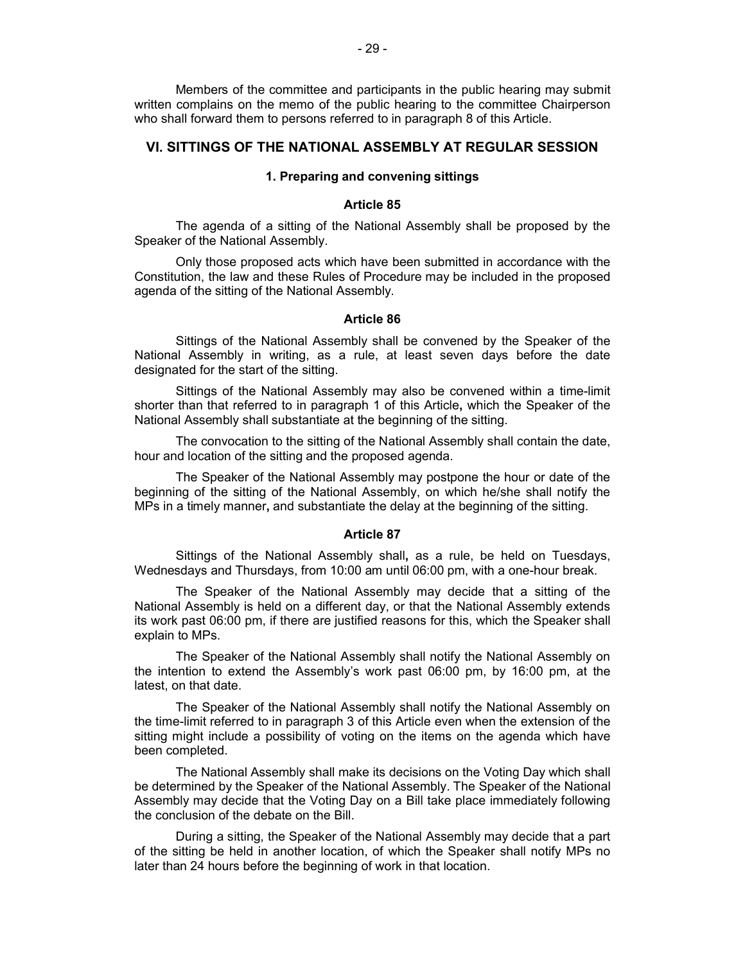Members of the committee and participants in the public hearing may submit written complains on the memo of the public hearing to the committee Chairperson who shall forward them to persons referred to in paragraph 8 of this Article.

## **VI. SITTINGS OF THE NATIONAL ASSEMBLY AT REGULAR SESSION**

### **1. Preparing and convening sittings**

#### **Article 85**

The agenda of a sitting of the National Assembly shall be proposed by the Speaker of the National Assembly.

Only those proposed acts which have been submitted in accordance with the Constitution, the law and these Rules of Procedure may be included in the proposed agenda of the sitting of the National Assembly.

#### **Article 86**

Sittings of the National Assembly shall be convened by the Speaker of the National Assembly in writing, as a rule, at least seven days before the date designated for the start of the sitting.

Sittings of the National Assembly may also be convened within a time-limit shorter than that referred to in paragraph 1 of this Article**,** which the Speaker of the National Assembly shall substantiate at the beginning of the sitting.

The convocation to the sitting of the National Assembly shall contain the date, hour and location of the sitting and the proposed agenda.

The Speaker of the National Assembly may postpone the hour or date of the beginning of the sitting of the National Assembly, on which he/she shall notify the MPs in a timely manner**,** and substantiate the delay at the beginning of the sitting.

#### **Article 87**

Sittings of the National Assembly shall**,** as a rule, be held on Tuesdays, Wednesdays and Thursdays, from 10:00 am until 06:00 pm, with a one-hour break.

The Speaker of the National Assembly may decide that a sitting of the National Assembly is held on a different day, or that the National Assembly extends its work past 06:00 pm, if there are justified reasons for this, which the Speaker shall explain to MPs.

The Speaker of the National Assembly shall notify the National Assembly on the intention to extend the Assembly's work past 06:00 pm, by 16:00 pm, at the latest, on that date.

The Speaker of the National Assembly shall notify the National Assembly on the time-limit referred to in paragraph 3 of this Article even when the extension of the sitting might include a possibility of voting on the items on the agenda which have been completed.

The National Assembly shall make its decisions on the Voting Day which shall be determined by the Speaker of the National Assembly. The Speaker of the National Assembly may decide that the Voting Day on a Bill take place immediately following the conclusion of the debate on the Bill.

During a sitting, the Speaker of the National Assembly may decide that a part of the sitting be held in another location, of which the Speaker shall notify MPs no later than 24 hours before the beginning of work in that location.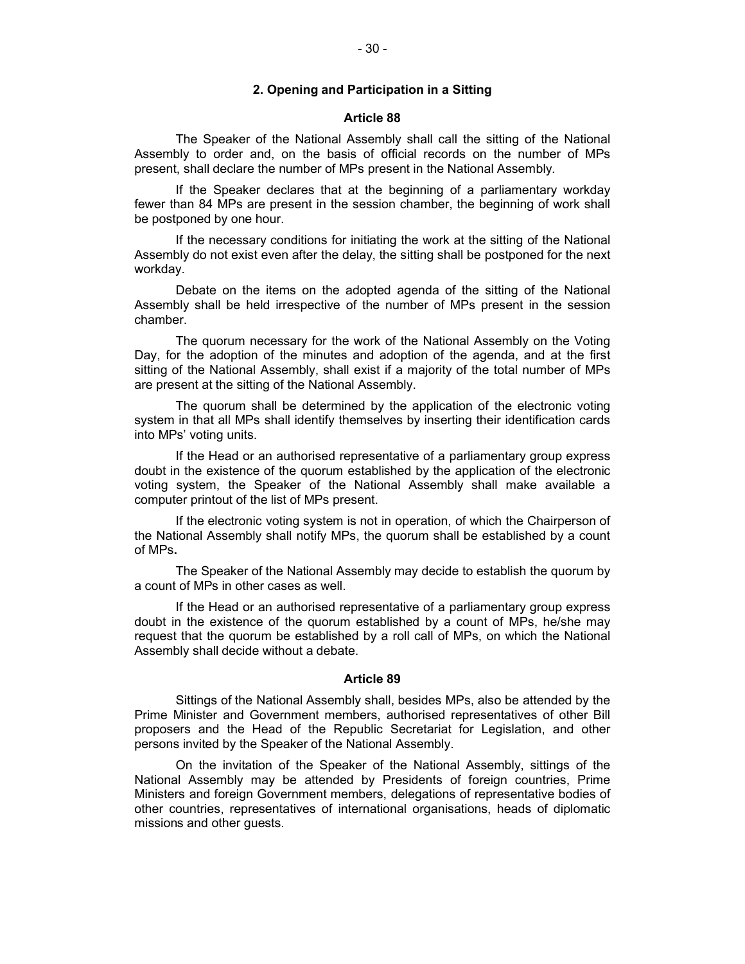## **2. Opening and Participation in a Sitting**

#### **Article 88**

The Speaker of the National Assembly shall call the sitting of the National Assembly to order and, on the basis of official records on the number of MPs present, shall declare the number of MPs present in the National Assembly.

If the Speaker declares that at the beginning of a parliamentary workday fewer than 84 MPs are present in the session chamber, the beginning of work shall be postponed by one hour.

If the necessary conditions for initiating the work at the sitting of the National Assembly do not exist even after the delay, the sitting shall be postponed for the next workday.

Debate on the items on the adopted agenda of the sitting of the National Assembly shall be held irrespective of the number of MPs present in the session chamber.

The quorum necessary for the work of the National Assembly on the Voting Day, for the adoption of the minutes and adoption of the agenda, and at the first sitting of the National Assembly, shall exist if a majority of the total number of MPs are present at the sitting of the National Assembly.

The quorum shall be determined by the application of the electronic voting system in that all MPs shall identify themselves by inserting their identification cards into MPs' voting units.

If the Head or an authorised representative of a parliamentary group express doubt in the existence of the quorum established by the application of the electronic voting system, the Speaker of the National Assembly shall make available a computer printout of the list of MPs present.

If the electronic voting system is not in operation, of which the Chairperson of the National Assembly shall notify MPs, the quorum shall be established by a count of MPs**.**

The Speaker of the National Assembly may decide to establish the quorum by a count of MPs in other cases as well.

If the Head or an authorised representative of a parliamentary group express doubt in the existence of the quorum established by a count of MPs, he/she may request that the quorum be established by a roll call of MPs, on which the National Assembly shall decide without a debate.

#### **Article 89**

Sittings of the National Assembly shall, besides MPs, also be attended by the Prime Minister and Government members, authorised representatives of other Bill proposers and the Head of the Republic Secretariat for Legislation, and other persons invited by the Speaker of the National Assembly.

On the invitation of the Speaker of the National Assembly, sittings of the National Assembly may be attended by Presidents of foreign countries, Prime Ministers and foreign Government members, delegations of representative bodies of other countries, representatives of international organisations, heads of diplomatic missions and other guests.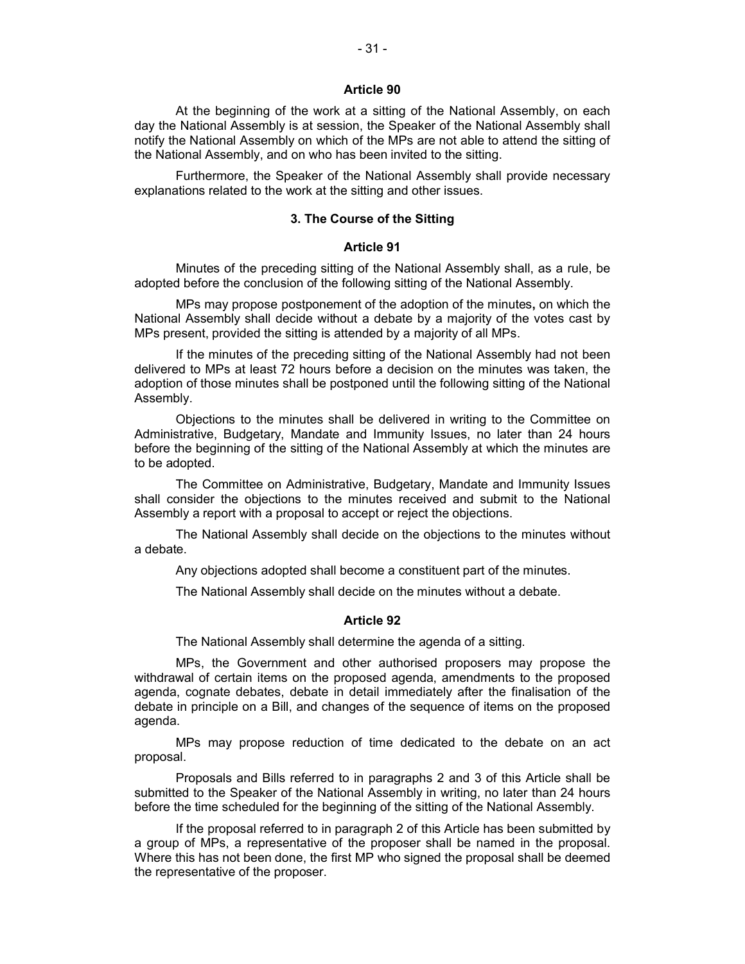At the beginning of the work at a sitting of the National Assembly, on each day the National Assembly is at session, the Speaker of the National Assembly shall notify the National Assembly on which of the MPs are not able to attend the sitting of the National Assembly, and on who has been invited to the sitting.

Furthermore, the Speaker of the National Assembly shall provide necessary explanations related to the work at the sitting and other issues.

## **3. The Course of the Sitting**

## **Article 91**

Minutes of the preceding sitting of the National Assembly shall, as a rule, be adopted before the conclusion of the following sitting of the National Assembly.

MPs may propose postponement of the adoption of the minutes**,** on which the National Assembly shall decide without a debate by a majority of the votes cast by MPs present, provided the sitting is attended by a majority of all MPs.

If the minutes of the preceding sitting of the National Assembly had not been delivered to MPs at least 72 hours before a decision on the minutes was taken, the adoption of those minutes shall be postponed until the following sitting of the National Assembly.

Objections to the minutes shall be delivered in writing to the Committee on Administrative, Budgetary, Mandate and Immunity Issues, no later than 24 hours before the beginning of the sitting of the National Assembly at which the minutes are to be adopted.

The Committee on Administrative, Budgetary, Mandate and Immunity Issues shall consider the objections to the minutes received and submit to the National Assembly a report with a proposal to accept or reject the objections.

The National Assembly shall decide on the objections to the minutes without a debate.

Any objections adopted shall become a constituent part of the minutes.

The National Assembly shall decide on the minutes without a debate.

#### **Article 92**

The National Assembly shall determine the agenda of a sitting.

MPs, the Government and other authorised proposers may propose the withdrawal of certain items on the proposed agenda, amendments to the proposed agenda, cognate debates, debate in detail immediately after the finalisation of the debate in principle on a Bill, and changes of the sequence of items on the proposed agenda.

MPs may propose reduction of time dedicated to the debate on an act proposal.

Proposals and Bills referred to in paragraphs 2 and 3 of this Article shall be submitted to the Speaker of the National Assembly in writing, no later than 24 hours before the time scheduled for the beginning of the sitting of the National Assembly.

If the proposal referred to in paragraph 2 of this Article has been submitted by a group of MPs, a representative of the proposer shall be named in the proposal. Where this has not been done, the first MP who signed the proposal shall be deemed the representative of the proposer.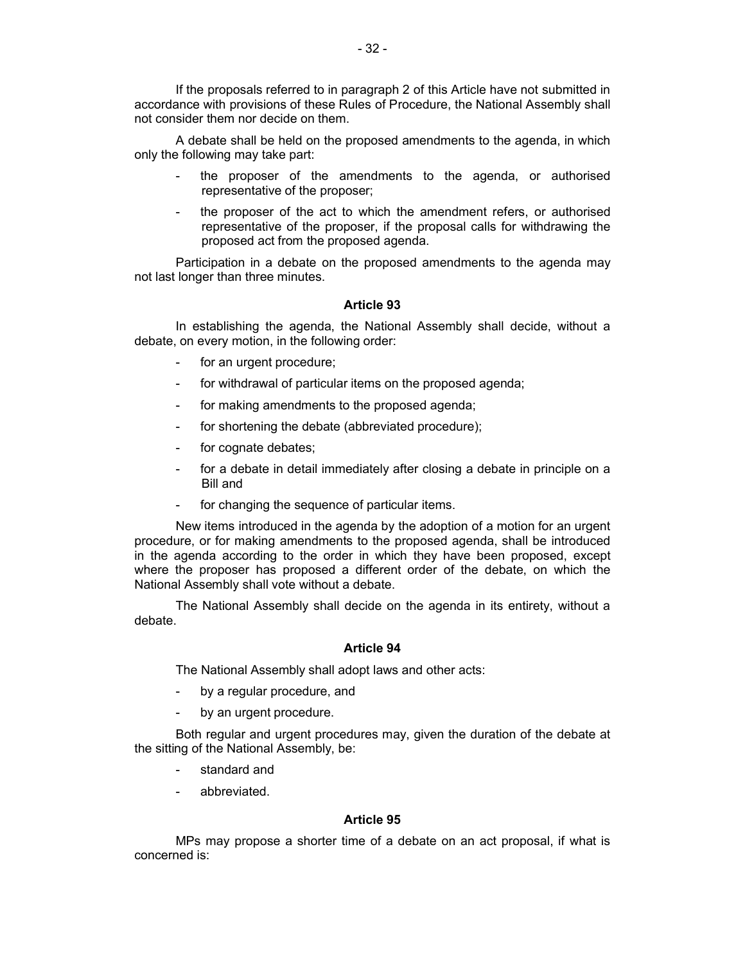If the proposals referred to in paragraph 2 of this Article have not submitted in accordance with provisions of these Rules of Procedure, the National Assembly shall not consider them nor decide on them.

A debate shall be held on the proposed amendments to the agenda, in which only the following may take part:

- the proposer of the amendments to the agenda, or authorised representative of the proposer;
- the proposer of the act to which the amendment refers, or authorised representative of the proposer, if the proposal calls for withdrawing the proposed act from the proposed agenda.

Participation in a debate on the proposed amendments to the agenda may not last longer than three minutes.

## **Article 93**

In establishing the agenda, the National Assembly shall decide, without a debate, on every motion, in the following order:

- for an urgent procedure;
- for withdrawal of particular items on the proposed agenda;
- for making amendments to the proposed agenda;
- for shortening the debate (abbreviated procedure);
- for cognate debates;
- for a debate in detail immediately after closing a debate in principle on a Bill and
- for changing the sequence of particular items.

New items introduced in the agenda by the adoption of a motion for an urgent procedure, or for making amendments to the proposed agenda, shall be introduced in the agenda according to the order in which they have been proposed, except where the proposer has proposed a different order of the debate, on which the National Assembly shall vote without a debate.

The National Assembly shall decide on the agenda in its entirety, without a debate.

### **Article 94**

The National Assembly shall adopt laws and other acts:

- by a regular procedure, and
- by an urgent procedure.

Both regular and urgent procedures may, given the duration of the debate at the sitting of the National Assembly, be:

- standard and
- abbreviated.

#### **Article 95**

MPs may propose a shorter time of a debate on an act proposal, if what is concerned is: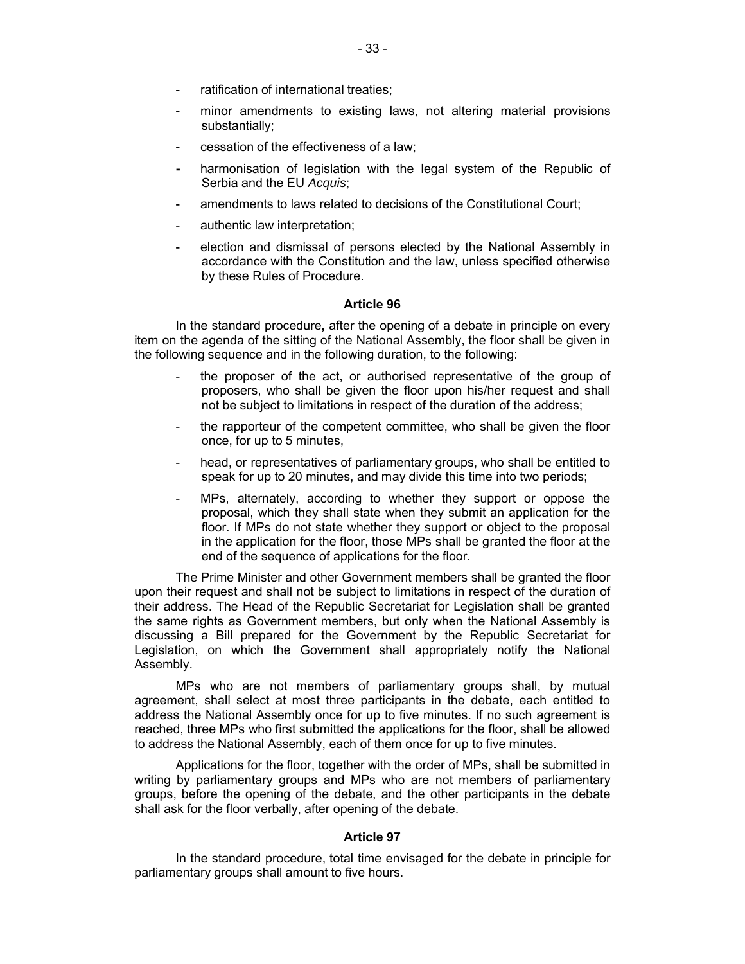- ratification of international treaties:
- minor amendments to existing laws, not altering material provisions substantially;
- cessation of the effectiveness of a law;
- **-** harmonisation of legislation with the legal system of the Republic of Serbia and the EU *Acquis*;
- amendments to laws related to decisions of the Constitutional Court;
- authentic law interpretation;
- election and dismissal of persons elected by the National Assembly in accordance with the Constitution and the law, unless specified otherwise by these Rules of Procedure.

In the standard procedure**,** after the opening of a debate in principle on every item on the agenda of the sitting of the National Assembly, the floor shall be given in the following sequence and in the following duration, to the following:

- the proposer of the act, or authorised representative of the group of proposers, who shall be given the floor upon his/her request and shall not be subject to limitations in respect of the duration of the address;
- the rapporteur of the competent committee, who shall be given the floor once, for up to 5 minutes,
- head, or representatives of parliamentary groups, who shall be entitled to speak for up to 20 minutes, and may divide this time into two periods;
- MPs, alternately, according to whether they support or oppose the proposal, which they shall state when they submit an application for the floor. If MPs do not state whether they support or object to the proposal in the application for the floor, those MPs shall be granted the floor at the end of the sequence of applications for the floor.

The Prime Minister and other Government members shall be granted the floor upon their request and shall not be subject to limitations in respect of the duration of their address. The Head of the Republic Secretariat for Legislation shall be granted the same rights as Government members, but only when the National Assembly is discussing a Bill prepared for the Government by the Republic Secretariat for Legislation, on which the Government shall appropriately notify the National Assembly.

MPs who are not members of parliamentary groups shall, by mutual agreement, shall select at most three participants in the debate, each entitled to address the National Assembly once for up to five minutes. If no such agreement is reached, three MPs who first submitted the applications for the floor, shall be allowed to address the National Assembly, each of them once for up to five minutes.

Applications for the floor, together with the order of MPs, shall be submitted in writing by parliamentary groups and MPs who are not members of parliamentary groups, before the opening of the debate, and the other participants in the debate shall ask for the floor verbally, after opening of the debate.

## **Article 97**

In the standard procedure, total time envisaged for the debate in principle for parliamentary groups shall amount to five hours.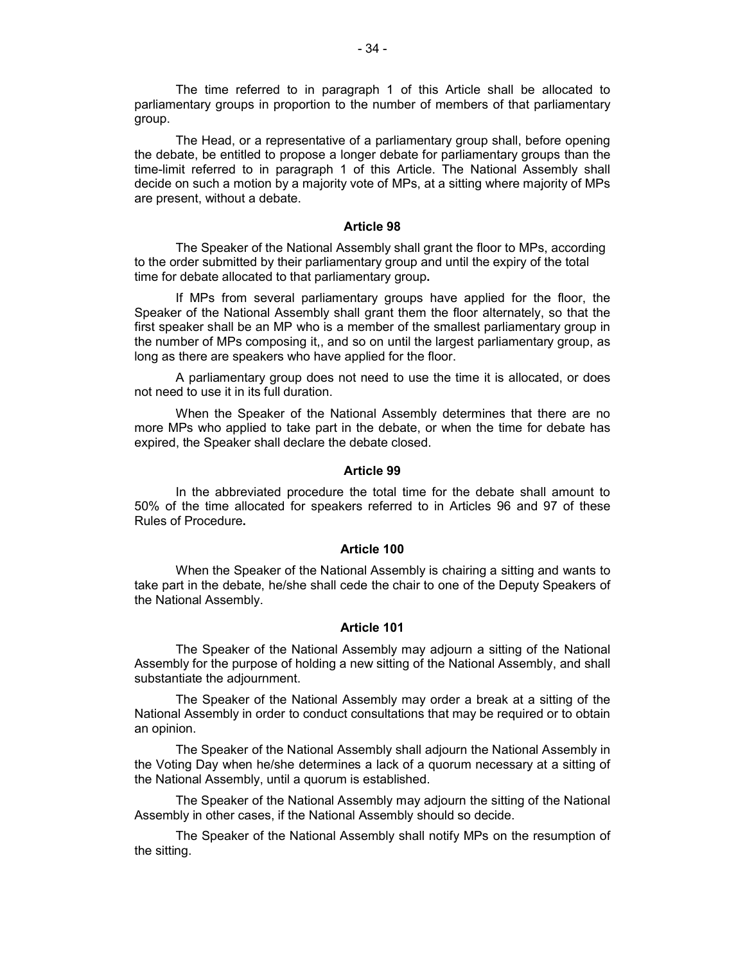The time referred to in paragraph 1 of this Article shall be allocated to parliamentary groups in proportion to the number of members of that parliamentary group.

The Head, or a representative of a parliamentary group shall, before opening the debate, be entitled to propose a longer debate for parliamentary groups than the time-limit referred to in paragraph 1 of this Article. The National Assembly shall decide on such a motion by a majority vote of MPs, at a sitting where majority of MPs are present, without a debate.

#### **Article 98**

The Speaker of the National Assembly shall grant the floor to MPs, according to the order submitted by their parliamentary group and until the expiry of the total time for debate allocated to that parliamentary group**.** 

If MPs from several parliamentary groups have applied for the floor, the Speaker of the National Assembly shall grant them the floor alternately, so that the first speaker shall be an MP who is a member of the smallest parliamentary group in the number of MPs composing it,, and so on until the largest parliamentary group, as long as there are speakers who have applied for the floor.

A parliamentary group does not need to use the time it is allocated, or does not need to use it in its full duration.

When the Speaker of the National Assembly determines that there are no more MPs who applied to take part in the debate, or when the time for debate has expired, the Speaker shall declare the debate closed.

#### **Article 99**

In the abbreviated procedure the total time for the debate shall amount to 50% of the time allocated for speakers referred to in Articles 96 and 97 of these Rules of Procedure**.**

#### **Article 100**

When the Speaker of the National Assembly is chairing a sitting and wants to take part in the debate, he/she shall cede the chair to one of the Deputy Speakers of the National Assembly.

#### **Article 101**

The Speaker of the National Assembly may adjourn a sitting of the National Assembly for the purpose of holding a new sitting of the National Assembly, and shall substantiate the adjournment.

The Speaker of the National Assembly may order a break at a sitting of the National Assembly in order to conduct consultations that may be required or to obtain an opinion.

The Speaker of the National Assembly shall adjourn the National Assembly in the Voting Day when he/she determines a lack of a quorum necessary at a sitting of the National Assembly, until a quorum is established.

The Speaker of the National Assembly may adjourn the sitting of the National Assembly in other cases, if the National Assembly should so decide.

The Speaker of the National Assembly shall notify MPs on the resumption of the sitting.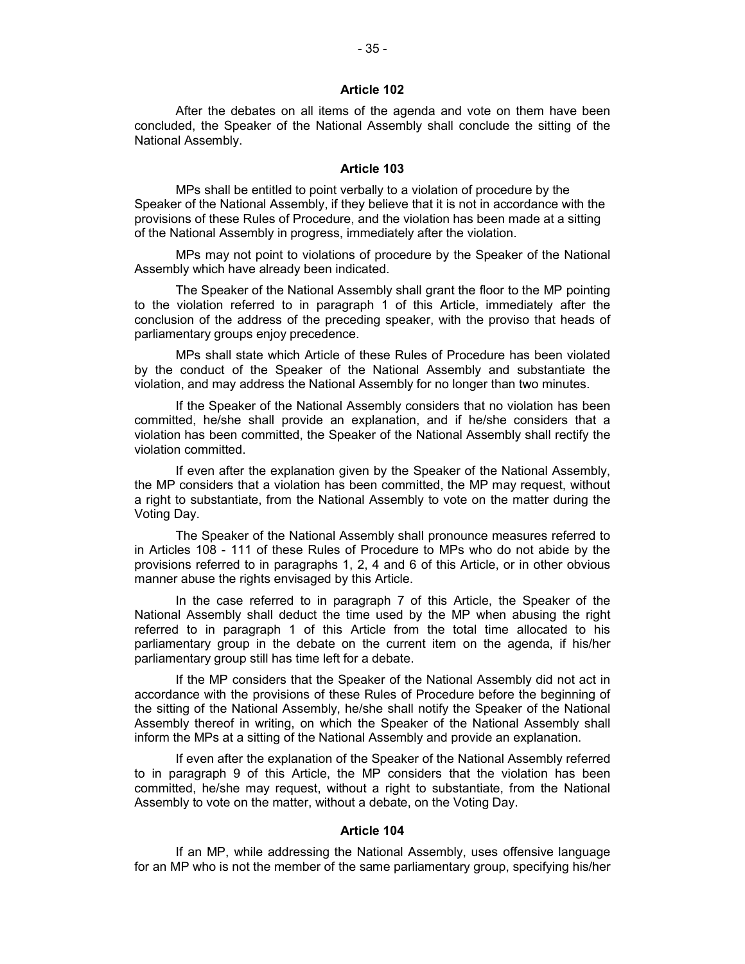After the debates on all items of the agenda and vote on them have been concluded, the Speaker of the National Assembly shall conclude the sitting of the National Assembly.

## **Article 103**

MPs shall be entitled to point verbally to a violation of procedure by the Speaker of the National Assembly, if they believe that it is not in accordance with the provisions of these Rules of Procedure, and the violation has been made at a sitting of the National Assembly in progress, immediately after the violation.

MPs may not point to violations of procedure by the Speaker of the National Assembly which have already been indicated.

The Speaker of the National Assembly shall grant the floor to the MP pointing to the violation referred to in paragraph 1 of this Article, immediately after the conclusion of the address of the preceding speaker, with the proviso that heads of parliamentary groups enjoy precedence.

MPs shall state which Article of these Rules of Procedure has been violated by the conduct of the Speaker of the National Assembly and substantiate the violation, and may address the National Assembly for no longer than two minutes.

If the Speaker of the National Assembly considers that no violation has been committed, he/she shall provide an explanation, and if he/she considers that a violation has been committed, the Speaker of the National Assembly shall rectify the violation committed.

If even after the explanation given by the Speaker of the National Assembly, the MP considers that a violation has been committed, the MP may request, without a right to substantiate, from the National Assembly to vote on the matter during the Voting Day.

The Speaker of the National Assembly shall pronounce measures referred to in Articles 108 - 111 of these Rules of Procedure to MPs who do not abide by the provisions referred to in paragraphs 1, 2, 4 and 6 of this Article, or in other obvious manner abuse the rights envisaged by this Article.

In the case referred to in paragraph 7 of this Article, the Speaker of the National Assembly shall deduct the time used by the MP when abusing the right referred to in paragraph 1 of this Article from the total time allocated to his parliamentary group in the debate on the current item on the agenda, if his/her parliamentary group still has time left for a debate.

If the MP considers that the Speaker of the National Assembly did not act in accordance with the provisions of these Rules of Procedure before the beginning of the sitting of the National Assembly, he/she shall notify the Speaker of the National Assembly thereof in writing, on which the Speaker of the National Assembly shall inform the MPs at a sitting of the National Assembly and provide an explanation.

If even after the explanation of the Speaker of the National Assembly referred to in paragraph 9 of this Article, the MP considers that the violation has been committed, he/she may request, without a right to substantiate, from the National Assembly to vote on the matter, without a debate, on the Voting Day.

## **Article 104**

If an MP, while addressing the National Assembly, uses offensive language for an MP who is not the member of the same parliamentary group, specifying his/her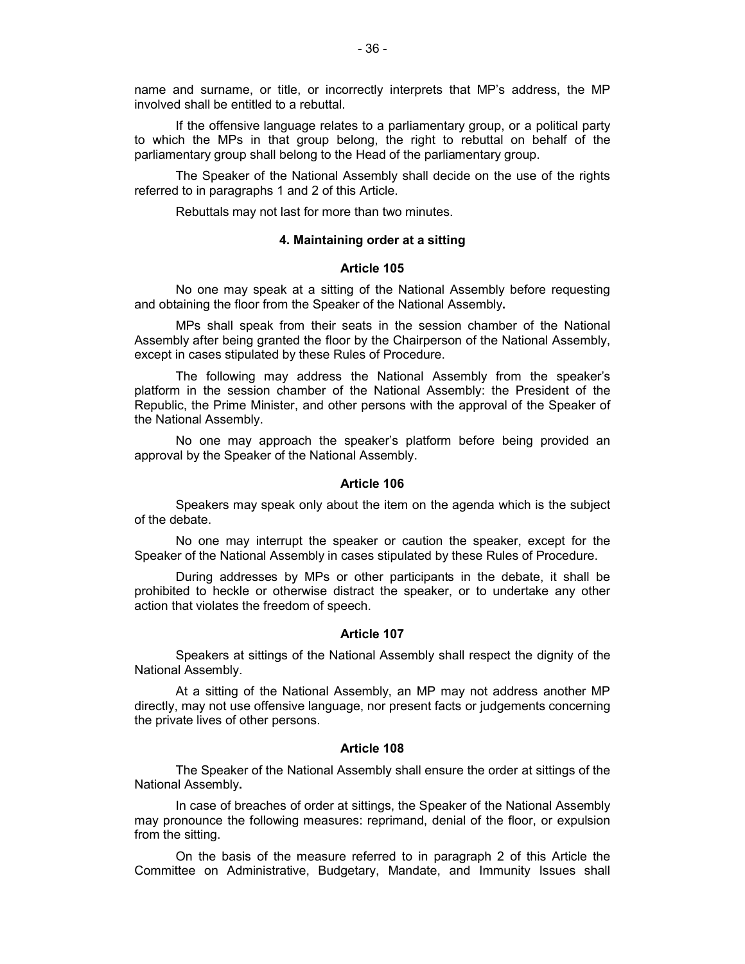name and surname, or title, or incorrectly interprets that MP's address, the MP involved shall be entitled to a rebuttal.

If the offensive language relates to a parliamentary group, or a political party to which the MPs in that group belong, the right to rebuttal on behalf of the parliamentary group shall belong to the Head of the parliamentary group.

The Speaker of the National Assembly shall decide on the use of the rights referred to in paragraphs 1 and 2 of this Article.

Rebuttals may not last for more than two minutes.

## **4. Maintaining order at a sitting**

## **Article 105**

No one may speak at a sitting of the National Assembly before requesting and obtaining the floor from the Speaker of the National Assembly**.**

MPs shall speak from their seats in the session chamber of the National Assembly after being granted the floor by the Chairperson of the National Assembly, except in cases stipulated by these Rules of Procedure.

The following may address the National Assembly from the speaker's platform in the session chamber of the National Assembly: the President of the Republic, the Prime Minister, and other persons with the approval of the Speaker of the National Assembly.

No one may approach the speaker's platform before being provided an approval by the Speaker of the National Assembly.

#### **Article 106**

Speakers may speak only about the item on the agenda which is the subject of the debate.

No one may interrupt the speaker or caution the speaker, except for the Speaker of the National Assembly in cases stipulated by these Rules of Procedure.

During addresses by MPs or other participants in the debate, it shall be prohibited to heckle or otherwise distract the speaker, or to undertake any other action that violates the freedom of speech.

#### **Article 107**

Speakers at sittings of the National Assembly shall respect the dignity of the National Assembly.

At a sitting of the National Assembly, an MP may not address another MP directly, may not use offensive language, nor present facts or judgements concerning the private lives of other persons.

#### **Article 108**

The Speaker of the National Assembly shall ensure the order at sittings of the National Assembly**.**

In case of breaches of order at sittings, the Speaker of the National Assembly may pronounce the following measures: reprimand, denial of the floor, or expulsion from the sitting.

On the basis of the measure referred to in paragraph 2 of this Article the Committee on Administrative, Budgetary, Mandate, and Immunity Issues shall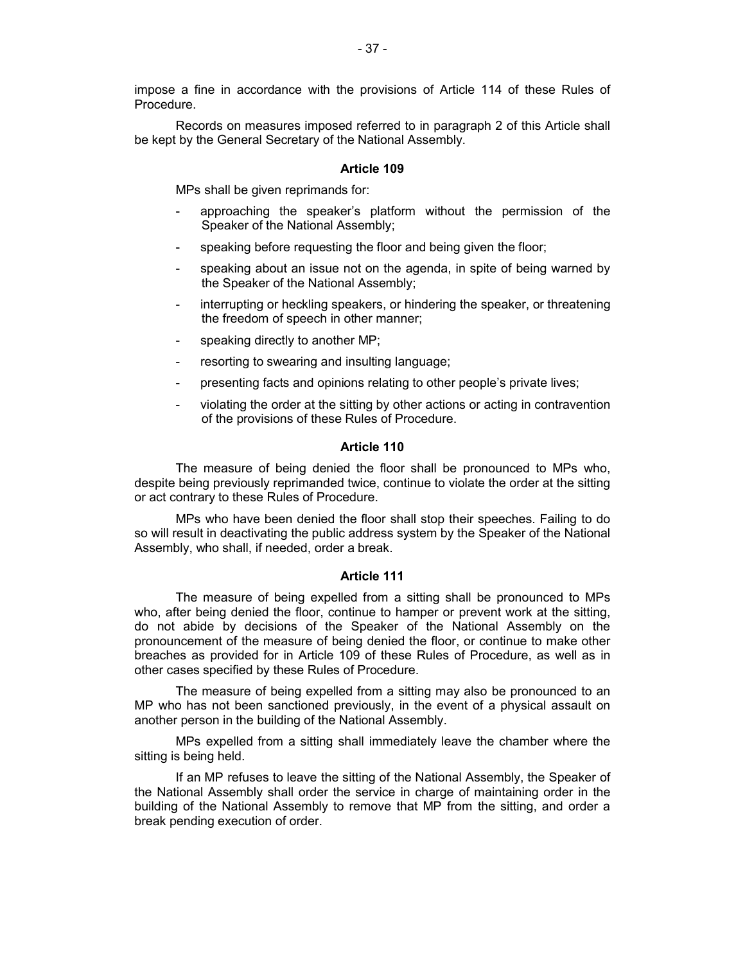Records on measures imposed referred to in paragraph 2 of this Article shall be kept by the General Secretary of the National Assembly.

# **Article 109**

MPs shall be given reprimands for:

- approaching the speaker's platform without the permission of the Speaker of the National Assembly;
- speaking before requesting the floor and being given the floor;
- speaking about an issue not on the agenda, in spite of being warned by the Speaker of the National Assembly;
- interrupting or heckling speakers, or hindering the speaker, or threatening the freedom of speech in other manner;
- speaking directly to another MP;
- resorting to swearing and insulting language;
- presenting facts and opinions relating to other people's private lives;
- violating the order at the sitting by other actions or acting in contravention of the provisions of these Rules of Procedure.

# **Article 110**

The measure of being denied the floor shall be pronounced to MPs who, despite being previously reprimanded twice, continue to violate the order at the sitting or act contrary to these Rules of Procedure.

MPs who have been denied the floor shall stop their speeches. Failing to do so will result in deactivating the public address system by the Speaker of the National Assembly, who shall, if needed, order a break.

# **Article 111**

The measure of being expelled from a sitting shall be pronounced to MPs who, after being denied the floor, continue to hamper or prevent work at the sitting, do not abide by decisions of the Speaker of the National Assembly on the pronouncement of the measure of being denied the floor, or continue to make other breaches as provided for in Article 109 of these Rules of Procedure, as well as in other cases specified by these Rules of Procedure.

The measure of being expelled from a sitting may also be pronounced to an MP who has not been sanctioned previously, in the event of a physical assault on another person in the building of the National Assembly.

MPs expelled from a sitting shall immediately leave the chamber where the sitting is being held.

If an MP refuses to leave the sitting of the National Assembly, the Speaker of the National Assembly shall order the service in charge of maintaining order in the building of the National Assembly to remove that MP from the sitting, and order a break pending execution of order.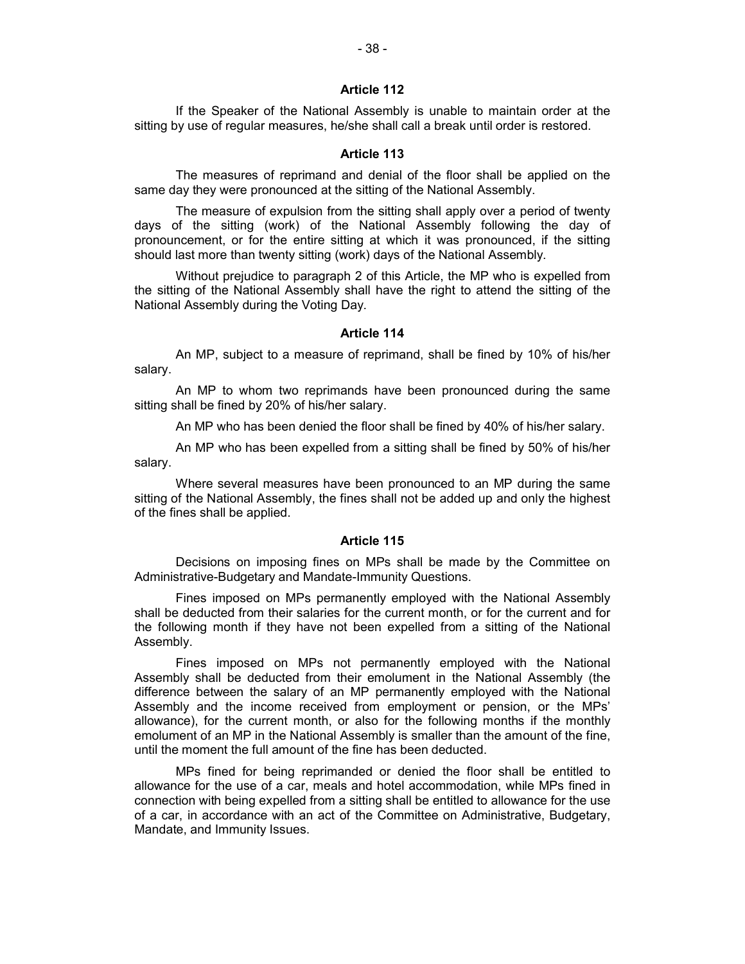If the Speaker of the National Assembly is unable to maintain order at the sitting by use of regular measures, he/she shall call a break until order is restored.

## **Article 113**

The measures of reprimand and denial of the floor shall be applied on the same day they were pronounced at the sitting of the National Assembly.

The measure of expulsion from the sitting shall apply over a period of twenty days of the sitting (work) of the National Assembly following the day of pronouncement, or for the entire sitting at which it was pronounced, if the sitting should last more than twenty sitting (work) days of the National Assembly.

Without prejudice to paragraph 2 of this Article, the MP who is expelled from the sitting of the National Assembly shall have the right to attend the sitting of the National Assembly during the Voting Day.

### **Article 114**

An MP, subject to a measure of reprimand, shall be fined by 10% of his/her salary.

An MP to whom two reprimands have been pronounced during the same sitting shall be fined by 20% of his/her salary.

An MP who has been denied the floor shall be fined by 40% of his/her salary.

An MP who has been expelled from a sitting shall be fined by 50% of his/her salary.

Where several measures have been pronounced to an MP during the same sitting of the National Assembly, the fines shall not be added up and only the highest of the fines shall be applied.

#### **Article 115**

Decisions on imposing fines on MPs shall be made by the Committee on Administrative-Budgetary and Mandate-Immunity Questions.

Fines imposed on MPs permanently employed with the National Assembly shall be deducted from their salaries for the current month, or for the current and for the following month if they have not been expelled from a sitting of the National Assembly.

Fines imposed on MPs not permanently employed with the National Assembly shall be deducted from their emolument in the National Assembly (the difference between the salary of an MP permanently employed with the National Assembly and the income received from employment or pension, or the MPs' allowance), for the current month, or also for the following months if the monthly emolument of an MP in the National Assembly is smaller than the amount of the fine, until the moment the full amount of the fine has been deducted.

MPs fined for being reprimanded or denied the floor shall be entitled to allowance for the use of a car, meals and hotel accommodation, while MPs fined in connection with being expelled from a sitting shall be entitled to allowance for the use of a car, in accordance with an act of the Committee on Administrative, Budgetary, Mandate, and Immunity Issues.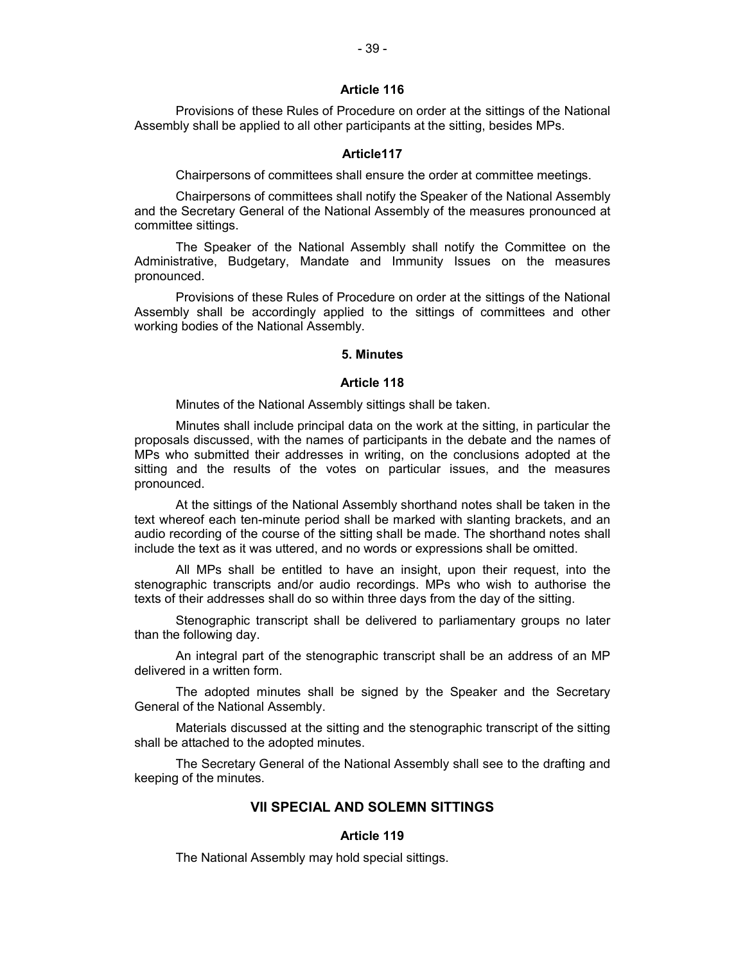Provisions of these Rules of Procedure on order at the sittings of the National Assembly shall be applied to all other participants at the sitting, besides MPs.

### **Article117**

Chairpersons of committees shall ensure the order at committee meetings.

Chairpersons of committees shall notify the Speaker of the National Assembly and the Secretary General of the National Assembly of the measures pronounced at committee sittings.

The Speaker of the National Assembly shall notify the Committee on the Administrative, Budgetary, Mandate and Immunity Issues on the measures pronounced.

Provisions of these Rules of Procedure on order at the sittings of the National Assembly shall be accordingly applied to the sittings of committees and other working bodies of the National Assembly.

### **5. Minutes**

#### **Article 118**

Minutes of the National Assembly sittings shall be taken.

Minutes shall include principal data on the work at the sitting, in particular the proposals discussed, with the names of participants in the debate and the names of MPs who submitted their addresses in writing, on the conclusions adopted at the sitting and the results of the votes on particular issues, and the measures pronounced.

At the sittings of the National Assembly shorthand notes shall be taken in the text whereof each ten-minute period shall be marked with slanting brackets, and an audio recording of the course of the sitting shall be made. The shorthand notes shall include the text as it was uttered, and no words or expressions shall be omitted.

All MPs shall be entitled to have an insight, upon their request, into the stenographic transcripts and/or audio recordings. MPs who wish to authorise the texts of their addresses shall do so within three days from the day of the sitting.

Stenographic transcript shall be delivered to parliamentary groups no later than the following day.

An integral part of the stenographic transcript shall be an address of an MP delivered in a written form.

The adopted minutes shall be signed by the Speaker and the Secretary General of the National Assembly.

Materials discussed at the sitting and the stenographic transcript of the sitting shall be attached to the adopted minutes.

The Secretary General of the National Assembly shall see to the drafting and keeping of the minutes.

# **VII SPECIAL AND SOLEMN SITTINGS**

# **Article 119**

The National Assembly may hold special sittings.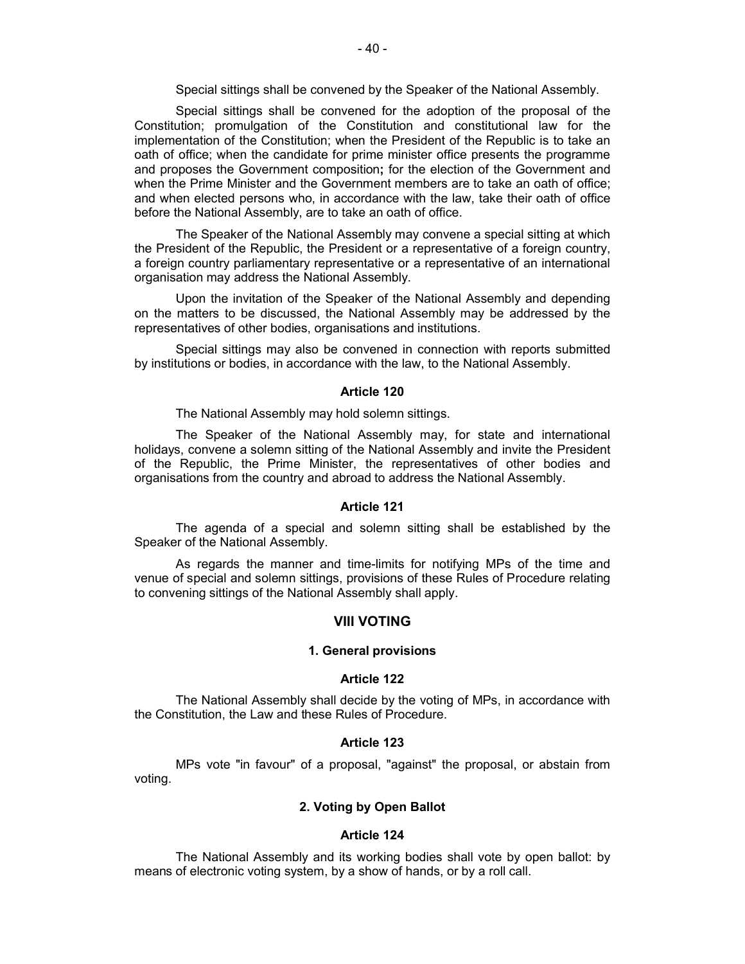Special sittings shall be convened by the Speaker of the National Assembly.

Special sittings shall be convened for the adoption of the proposal of the Constitution; promulgation of the Constitution and constitutional law for the implementation of the Constitution; when the President of the Republic is to take an oath of office; when the candidate for prime minister office presents the programme and proposes the Government composition**;** for the election of the Government and when the Prime Minister and the Government members are to take an oath of office; and when elected persons who, in accordance with the law, take their oath of office before the National Assembly, are to take an oath of office.

The Speaker of the National Assembly may convene a special sitting at which the President of the Republic, the President or a representative of a foreign country, a foreign country parliamentary representative or a representative of an international organisation may address the National Assembly.

Upon the invitation of the Speaker of the National Assembly and depending on the matters to be discussed, the National Assembly may be addressed by the representatives of other bodies, organisations and institutions.

Special sittings may also be convened in connection with reports submitted by institutions or bodies, in accordance with the law, to the National Assembly.

#### **Article 120**

The National Assembly may hold solemn sittings.

The Speaker of the National Assembly may, for state and international holidays, convene a solemn sitting of the National Assembly and invite the President of the Republic, the Prime Minister, the representatives of other bodies and organisations from the country and abroad to address the National Assembly.

#### **Article 121**

The agenda of a special and solemn sitting shall be established by the Speaker of the National Assembly.

As regards the manner and time-limits for notifying MPs of the time and venue of special and solemn sittings, provisions of these Rules of Procedure relating to convening sittings of the National Assembly shall apply.

## **VIII VOTING**

#### **1. General provisions**

### **Article 122**

The National Assembly shall decide by the voting of MPs, in accordance with the Constitution, the Law and these Rules of Procedure.

#### **Article 123**

MPs vote "in favour" of a proposal, "against" the proposal, or abstain from voting.

### **2. Voting by Open Ballot**

### **Article 124**

The National Assembly and its working bodies shall vote by open ballot: by means of electronic voting system, by a show of hands, or by a roll call.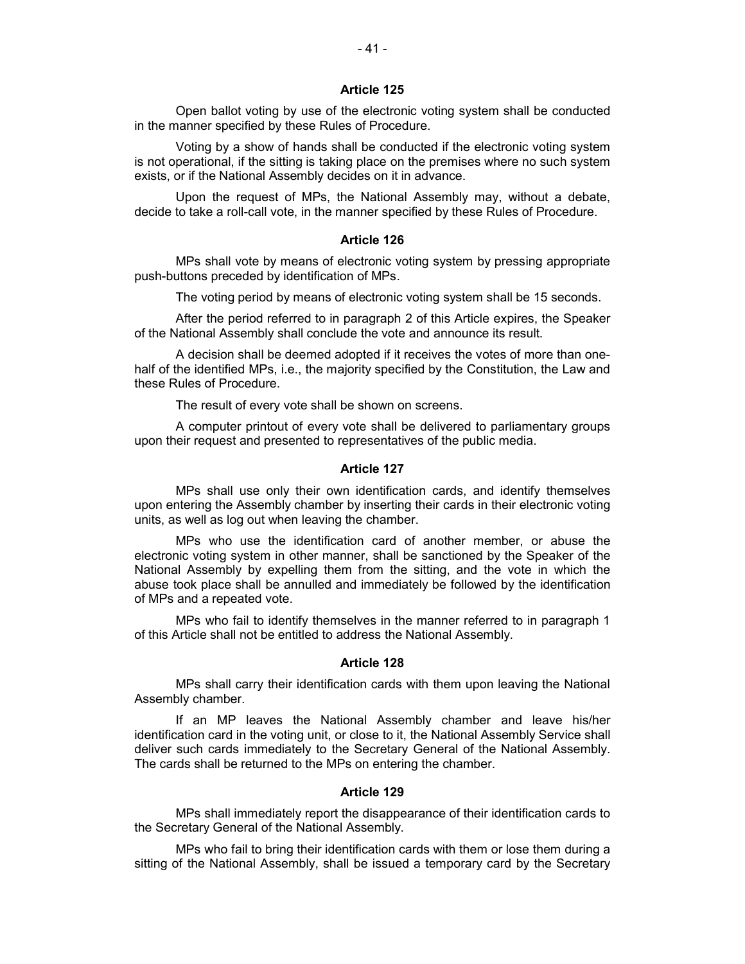Open ballot voting by use of the electronic voting system shall be conducted in the manner specified by these Rules of Procedure.

Voting by a show of hands shall be conducted if the electronic voting system is not operational, if the sitting is taking place on the premises where no such system exists, or if the National Assembly decides on it in advance.

Upon the request of MPs, the National Assembly may, without a debate, decide to take a roll-call vote, in the manner specified by these Rules of Procedure.

### **Article 126**

MPs shall vote by means of electronic voting system by pressing appropriate push-buttons preceded by identification of MPs.

The voting period by means of electronic voting system shall be 15 seconds.

After the period referred to in paragraph 2 of this Article expires, the Speaker of the National Assembly shall conclude the vote and announce its result.

A decision shall be deemed adopted if it receives the votes of more than onehalf of the identified MPs, i.e., the majority specified by the Constitution, the Law and these Rules of Procedure.

The result of every vote shall be shown on screens.

A computer printout of every vote shall be delivered to parliamentary groups upon their request and presented to representatives of the public media.

#### **Article 127**

MPs shall use only their own identification cards, and identify themselves upon entering the Assembly chamber by inserting their cards in their electronic voting units, as well as log out when leaving the chamber.

MPs who use the identification card of another member, or abuse the electronic voting system in other manner, shall be sanctioned by the Speaker of the National Assembly by expelling them from the sitting, and the vote in which the abuse took place shall be annulled and immediately be followed by the identification of MPs and a repeated vote.

MPs who fail to identify themselves in the manner referred to in paragraph 1 of this Article shall not be entitled to address the National Assembly.

#### **Article 128**

MPs shall carry their identification cards with them upon leaving the National Assembly chamber.

If an MP leaves the National Assembly chamber and leave his/her identification card in the voting unit, or close to it, the National Assembly Service shall deliver such cards immediately to the Secretary General of the National Assembly. The cards shall be returned to the MPs on entering the chamber.

### **Article 129**

MPs shall immediately report the disappearance of their identification cards to the Secretary General of the National Assembly.

MPs who fail to bring their identification cards with them or lose them during a sitting of the National Assembly, shall be issued a temporary card by the Secretary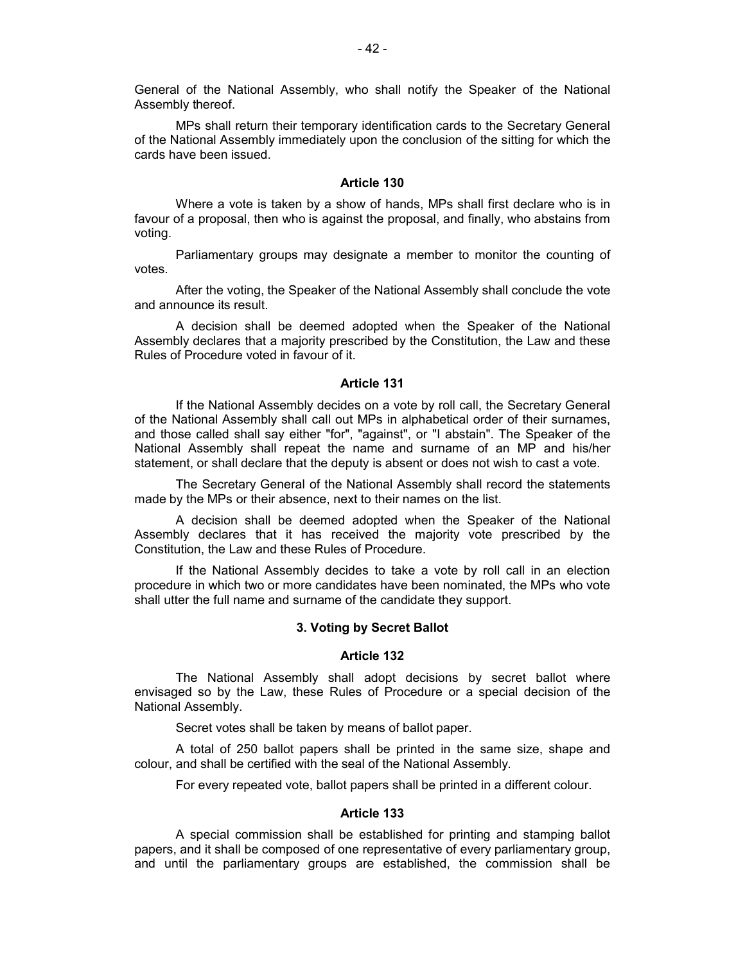General of the National Assembly, who shall notify the Speaker of the National Assembly thereof.

MPs shall return their temporary identification cards to the Secretary General of the National Assembly immediately upon the conclusion of the sitting for which the cards have been issued.

# **Article 130**

Where a vote is taken by a show of hands, MPs shall first declare who is in favour of a proposal, then who is against the proposal, and finally, who abstains from voting.

Parliamentary groups may designate a member to monitor the counting of votes.

After the voting, the Speaker of the National Assembly shall conclude the vote and announce its result.

A decision shall be deemed adopted when the Speaker of the National Assembly declares that a majority prescribed by the Constitution, the Law and these Rules of Procedure voted in favour of it.

### **Article 131**

If the National Assembly decides on a vote by roll call, the Secretary General of the National Assembly shall call out MPs in alphabetical order of their surnames, and those called shall say either "for", "against", or "I abstain". The Speaker of the National Assembly shall repeat the name and surname of an MP and his/her statement, or shall declare that the deputy is absent or does not wish to cast a vote.

The Secretary General of the National Assembly shall record the statements made by the MPs or their absence, next to their names on the list.

A decision shall be deemed adopted when the Speaker of the National Assembly declares that it has received the majority vote prescribed by the Constitution, the Law and these Rules of Procedure.

If the National Assembly decides to take a vote by roll call in an election procedure in which two or more candidates have been nominated, the MPs who vote shall utter the full name and surname of the candidate they support.

### **3. Voting by Secret Ballot**

# **Article 132**

The National Assembly shall adopt decisions by secret ballot where envisaged so by the Law, these Rules of Procedure or a special decision of the National Assembly.

Secret votes shall be taken by means of ballot paper.

A total of 250 ballot papers shall be printed in the same size, shape and colour, and shall be certified with the seal of the National Assembly.

For every repeated vote, ballot papers shall be printed in a different colour.

### **Article 133**

A special commission shall be established for printing and stamping ballot papers, and it shall be composed of one representative of every parliamentary group, and until the parliamentary groups are established, the commission shall be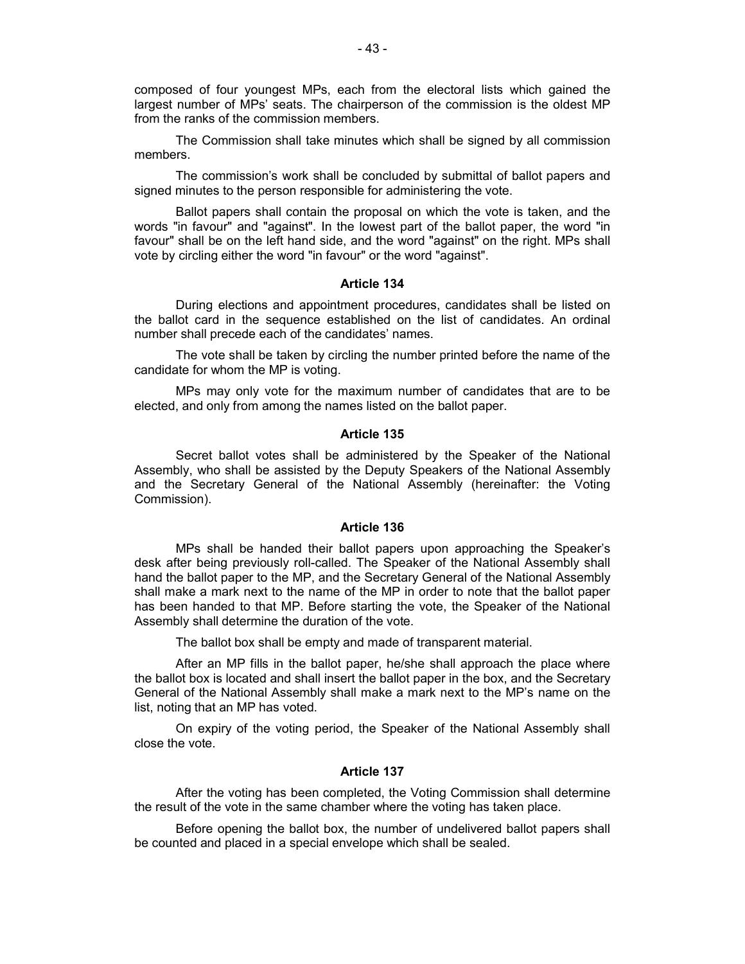composed of four youngest MPs, each from the electoral lists which gained the largest number of MPs' seats. The chairperson of the commission is the oldest MP from the ranks of the commission members.

The Commission shall take minutes which shall be signed by all commission members.

The commission's work shall be concluded by submittal of ballot papers and signed minutes to the person responsible for administering the vote.

Ballot papers shall contain the proposal on which the vote is taken, and the words "in favour" and "against". In the lowest part of the ballot paper, the word "in favour" shall be on the left hand side, and the word "against" on the right. MPs shall vote by circling either the word "in favour" or the word "against".

### **Article 134**

During elections and appointment procedures, candidates shall be listed on the ballot card in the sequence established on the list of candidates. An ordinal number shall precede each of the candidates' names.

The vote shall be taken by circling the number printed before the name of the candidate for whom the MP is voting.

MPs may only vote for the maximum number of candidates that are to be elected, and only from among the names listed on the ballot paper.

# **Article 135**

Secret ballot votes shall be administered by the Speaker of the National Assembly, who shall be assisted by the Deputy Speakers of the National Assembly and the Secretary General of the National Assembly (hereinafter: the Voting Commission).

#### **Article 136**

MPs shall be handed their ballot papers upon approaching the Speaker's desk after being previously roll-called. The Speaker of the National Assembly shall hand the ballot paper to the MP, and the Secretary General of the National Assembly shall make a mark next to the name of the MP in order to note that the ballot paper has been handed to that MP. Before starting the vote, the Speaker of the National Assembly shall determine the duration of the vote.

The ballot box shall be empty and made of transparent material.

After an MP fills in the ballot paper, he/she shall approach the place where the ballot box is located and shall insert the ballot paper in the box, and the Secretary General of the National Assembly shall make a mark next to the MP's name on the list, noting that an MP has voted.

On expiry of the voting period, the Speaker of the National Assembly shall close the vote.

#### **Article 137**

After the voting has been completed, the Voting Commission shall determine the result of the vote in the same chamber where the voting has taken place.

Before opening the ballot box, the number of undelivered ballot papers shall be counted and placed in a special envelope which shall be sealed.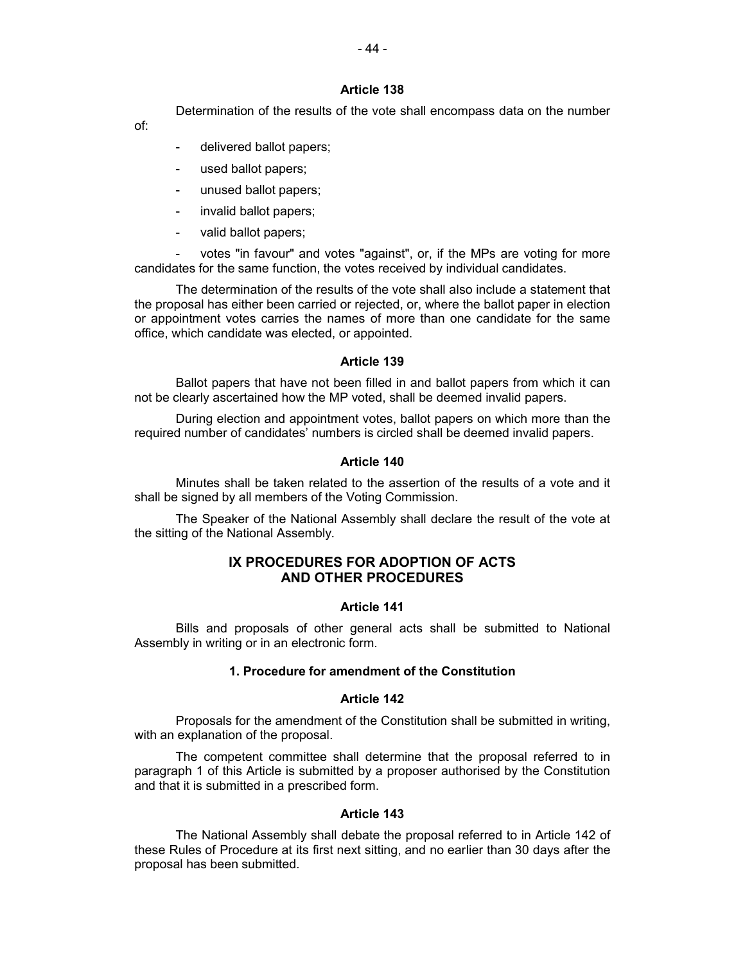Determination of the results of the vote shall encompass data on the number

of:

- delivered ballot papers;
- used ballot papers;
- unused ballot papers;
- invalid ballot papers;
- valid ballot papers;

votes "in favour" and votes "against", or, if the MPs are voting for more candidates for the same function, the votes received by individual candidates.

The determination of the results of the vote shall also include a statement that the proposal has either been carried or rejected, or, where the ballot paper in election or appointment votes carries the names of more than one candidate for the same office, which candidate was elected, or appointed.

# **Article 139**

Ballot papers that have not been filled in and ballot papers from which it can not be clearly ascertained how the MP voted, shall be deemed invalid papers.

During election and appointment votes, ballot papers on which more than the required number of candidates' numbers is circled shall be deemed invalid papers.

# **Article 140**

Minutes shall be taken related to the assertion of the results of a vote and it shall be signed by all members of the Voting Commission.

The Speaker of the National Assembly shall declare the result of the vote at the sitting of the National Assembly.

# **IХ PROCEDURES FOR ADOPTION OF ACTS AND OTHER PROCEDURES**

# **Article 141**

Bills and proposals of other general acts shall be submitted to National Assembly in writing or in an electronic form.

# **1. Procedure for amendment of the Constitution**

# **Article 142**

Proposals for the amendment of the Constitution shall be submitted in writing, with an explanation of the proposal.

The competent committee shall determine that the proposal referred to in paragraph 1 of this Article is submitted by a proposer authorised by the Constitution and that it is submitted in a prescribed form.

# **Article 143**

The National Assembly shall debate the proposal referred to in Article 142 of these Rules of Procedure at its first next sitting, and no earlier than 30 days after the proposal has been submitted.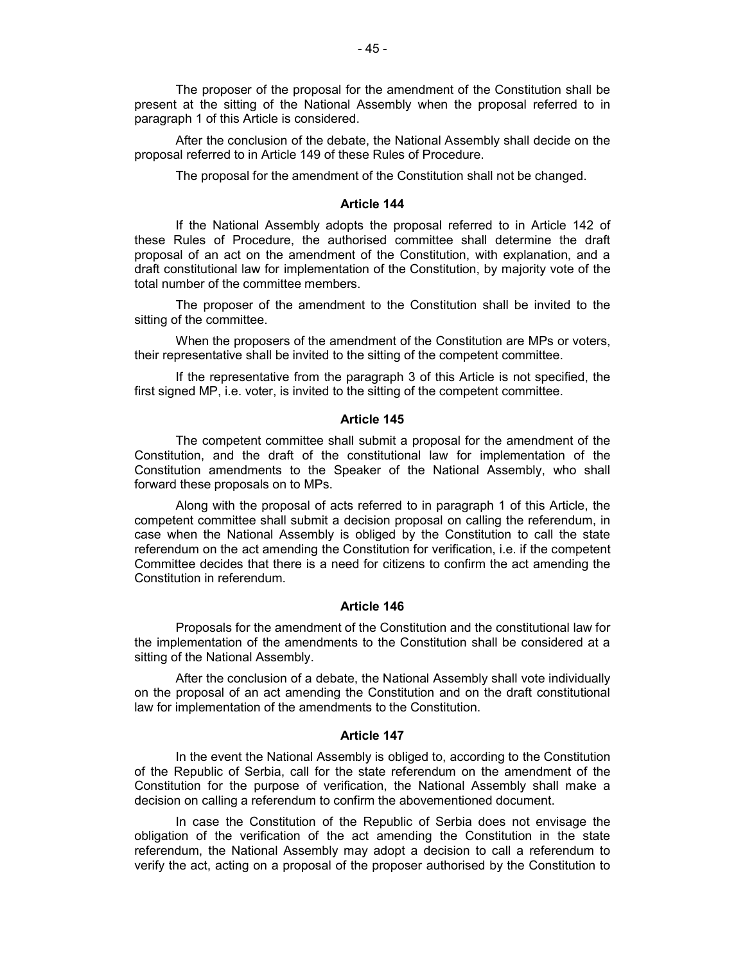The proposer of the proposal for the amendment of the Constitution shall be present at the sitting of the National Assembly when the proposal referred to in paragraph 1 of this Article is considered.

After the conclusion of the debate, the National Assembly shall decide on the proposal referred to in Article 149 of these Rules of Procedure.

The proposal for the amendment of the Constitution shall not be changed.

### **Article 144**

If the National Assembly adopts the proposal referred to in Article 142 of these Rules of Procedure, the authorised committee shall determine the draft proposal of an act on the amendment of the Constitution, with explanation, and a draft constitutional law for implementation of the Constitution, by majority vote of the total number of the committee members.

The proposer of the amendment to the Constitution shall be invited to the sitting of the committee.

When the proposers of the amendment of the Constitution are MPs or voters, their representative shall be invited to the sitting of the competent committee.

If the representative from the paragraph 3 of this Article is not specified, the first signed MP, i.e. voter, is invited to the sitting of the competent committee.

#### **Article 145**

The competent committee shall submit a proposal for the amendment of the Constitution, and the draft of the constitutional law for implementation of the Constitution amendments to the Speaker of the National Assembly, who shall forward these proposals on to MPs.

Along with the proposal of acts referred to in paragraph 1 of this Article, the competent committee shall submit a decision proposal on calling the referendum, in case when the National Assembly is obliged by the Constitution to call the state referendum on the act amending the Constitution for verification, i.e. if the competent Committee decides that there is a need for citizens to confirm the act amending the Constitution in referendum.

#### **Article 146**

Proposals for the amendment of the Constitution and the constitutional law for the implementation of the amendments to the Constitution shall be considered at a sitting of the National Assembly.

After the conclusion of a debate, the National Assembly shall vote individually on the proposal of an act amending the Constitution and on the draft constitutional law for implementation of the amendments to the Constitution.

#### **Article 147**

In the event the National Assembly is obliged to, according to the Constitution of the Republic of Serbia, call for the state referendum on the amendment of the Constitution for the purpose of verification, the National Assembly shall make a decision on calling a referendum to confirm the abovementioned document.

In case the Constitution of the Republic of Serbia does not envisage the obligation of the verification of the act amending the Constitution in the state referendum, the National Assembly may adopt a decision to call a referendum to verify the act, acting on a proposal of the proposer authorised by the Constitution to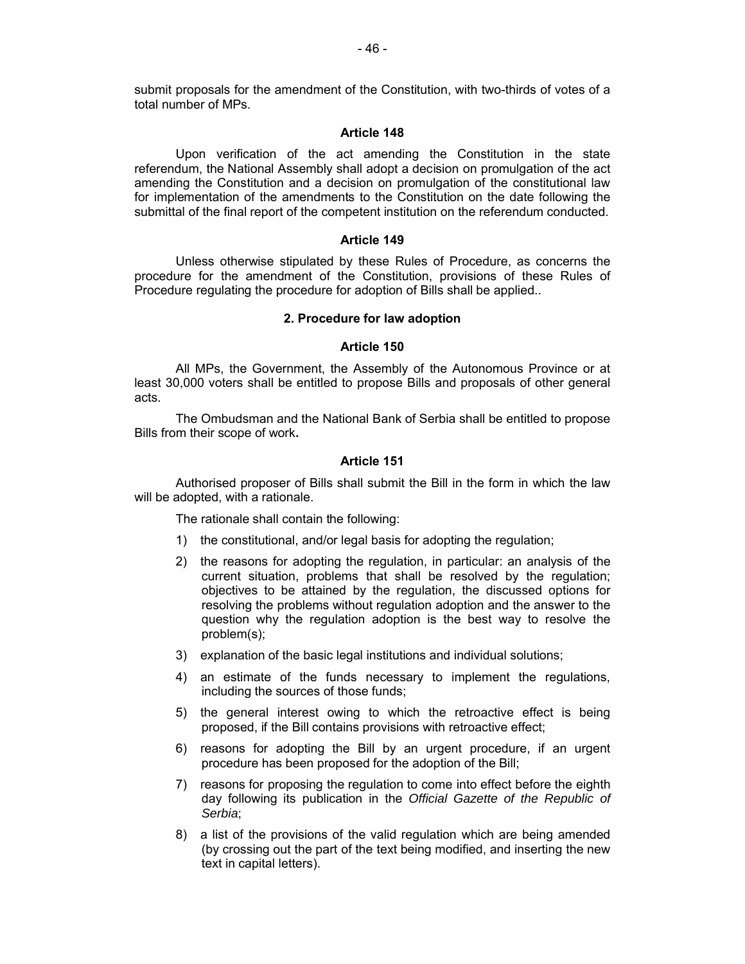submit proposals for the amendment of the Constitution, with two-thirds of votes of a total number of MPs.

### **Article 148**

Upon verification of the act amending the Constitution in the state referendum, the National Assembly shall adopt a decision on promulgation of the act amending the Constitution and a decision on promulgation of the constitutional law for implementation of the amendments to the Constitution on the date following the submittal of the final report of the competent institution on the referendum conducted.

## **Article 149**

Unless otherwise stipulated by these Rules of Procedure, as concerns the procedure for the amendment of the Constitution, provisions of these Rules of Procedure regulating the procedure for adoption of Bills shall be applied..

### **2. Procedure for law adoption**

## **Article 150**

All MPs, the Government, the Assembly of the Autonomous Province or at least 30,000 voters shall be entitled to propose Bills and proposals of other general acts.

The Ombudsman and the National Bank of Serbia shall be entitled to propose Bills from their scope of work**.**

## **Article 151**

Authorised proposer of Bills shall submit the Bill in the form in which the law will be adopted, with a rationale.

The rationale shall contain the following:

- 1) the constitutional, and/or legal basis for adopting the regulation;
- 2) the reasons for adopting the regulation, in particular: an analysis of the current situation, problems that shall be resolved by the regulation; objectives to be attained by the regulation, the discussed options for resolving the problems without regulation adoption and the answer to the question why the regulation adoption is the best way to resolve the problem(s);
- 3) explanation of the basic legal institutions and individual solutions;
- 4) an estimate of the funds necessary to implement the regulations, including the sources of those funds;
- 5) the general interest owing to which the retroactive effect is being proposed, if the Bill contains provisions with retroactive effect;
- 6) reasons for adopting the Bill by an urgent procedure, if an urgent procedure has been proposed for the adoption of the Bill;
- 7) reasons for proposing the regulation to come into effect before the eighth day following its publication in the *Official Gazette of the Republic of Serbia*;
- 8) a list of the provisions of the valid regulation which are being amended (by crossing out the part of the text being modified, and inserting the new text in capital letters).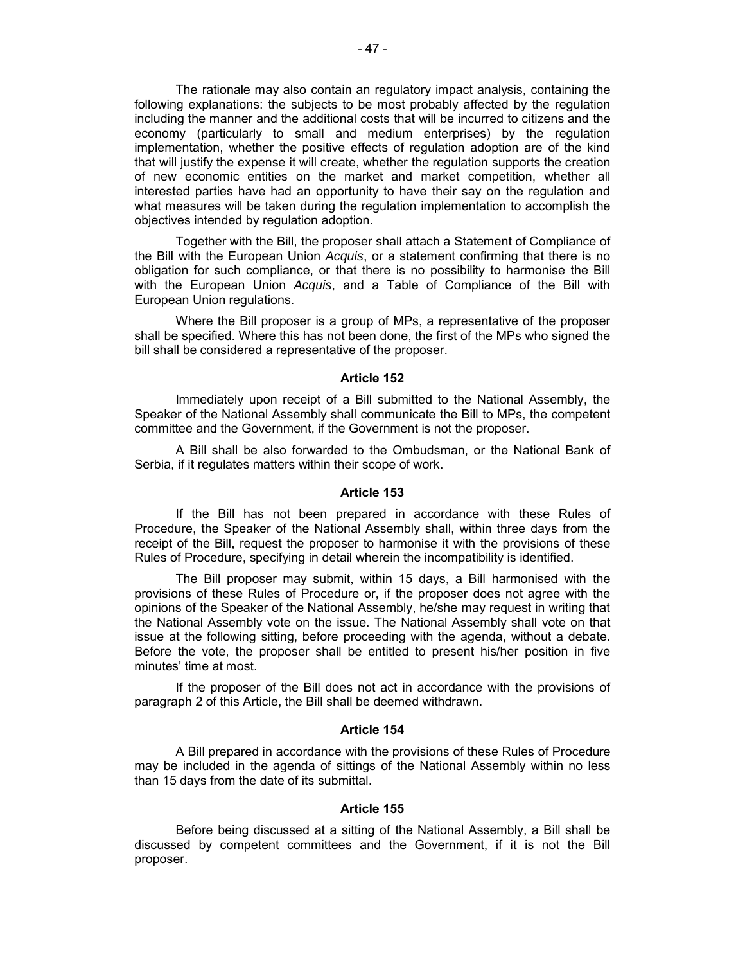The rationale may also contain an regulatory impact analysis, containing the following explanations: the subjects to be most probably affected by the regulation including the manner and the additional costs that will be incurred to citizens and the economy (particularly to small and medium enterprises) by the regulation implementation, whether the positive effects of regulation adoption are of the kind that will justify the expense it will create, whether the regulation supports the creation of new economic entities on the market and market competition, whether all interested parties have had an opportunity to have their say on the regulation and what measures will be taken during the regulation implementation to accomplish the objectives intended by regulation adoption.

Together with the Bill, the proposer shall attach a Statement of Compliance of the Bill with the European Union *Acquis*, or a statement confirming that there is no obligation for such compliance, or that there is no possibility to harmonise the Bill with the European Union *Acquis*, and a Table of Compliance of the Bill with European Union regulations.

Where the Bill proposer is a group of MPs, a representative of the proposer shall be specified. Where this has not been done, the first of the MPs who signed the bill shall be considered a representative of the proposer.

#### **Article 152**

Immediately upon receipt of a Bill submitted to the National Assembly, the Speaker of the National Assembly shall communicate the Bill to MPs, the competent committee and the Government, if the Government is not the proposer.

A Bill shall be also forwarded to the Ombudsman, or the National Bank of Serbia, if it regulates matters within their scope of work.

#### **Article 153**

If the Bill has not been prepared in accordance with these Rules of Procedure, the Speaker of the National Assembly shall, within three days from the receipt of the Bill, request the proposer to harmonise it with the provisions of these Rules of Procedure, specifying in detail wherein the incompatibility is identified.

The Bill proposer may submit, within 15 days, a Bill harmonised with the provisions of these Rules of Procedure or, if the proposer does not agree with the opinions of the Speaker of the National Assembly, he/she may request in writing that the National Assembly vote on the issue. The National Assembly shall vote on that issue at the following sitting, before proceeding with the agenda, without a debate. Before the vote, the proposer shall be entitled to present his/her position in five minutes' time at most.

If the proposer of the Bill does not act in accordance with the provisions of paragraph 2 of this Article, the Bill shall be deemed withdrawn.

### **Article 154**

A Bill prepared in accordance with the provisions of these Rules of Procedure may be included in the agenda of sittings of the National Assembly within no less than 15 days from the date of its submittal.

### **Article 155**

Before being discussed at a sitting of the National Assembly, a Bill shall be discussed by competent committees and the Government, if it is not the Bill proposer.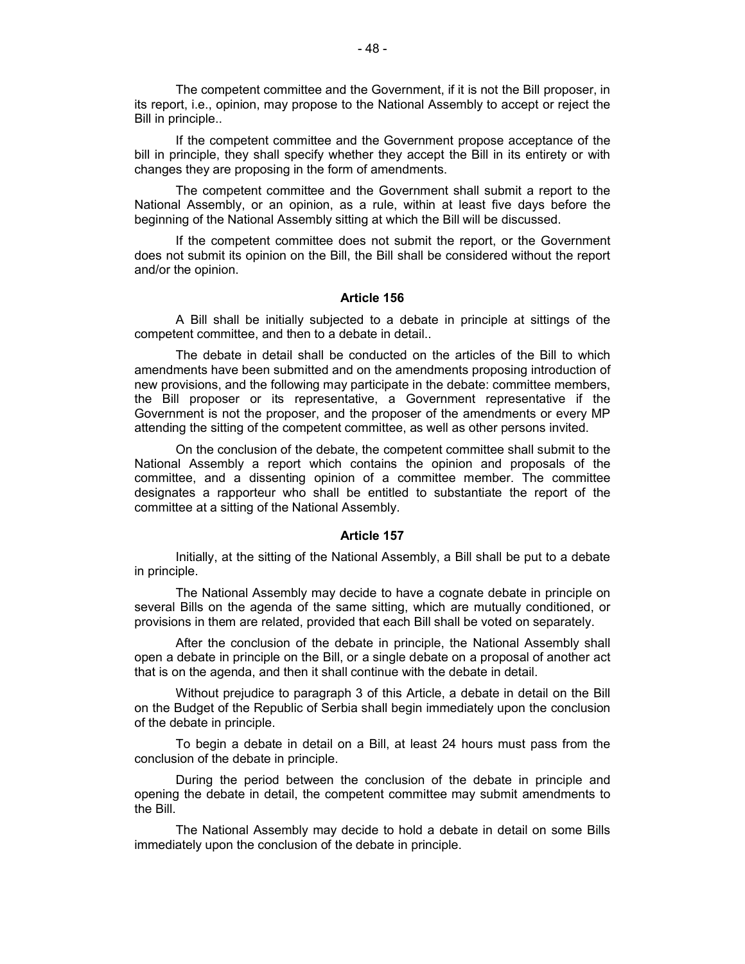The competent committee and the Government, if it is not the Bill proposer, in its report, i.e., opinion, may propose to the National Assembly to accept or reject the Bill in principle..

If the competent committee and the Government propose acceptance of the bill in principle, they shall specify whether they accept the Bill in its entirety or with changes they are proposing in the form of amendments.

The competent committee and the Government shall submit a report to the National Assembly, or an opinion, as a rule, within at least five days before the beginning of the National Assembly sitting at which the Bill will be discussed.

If the competent committee does not submit the report, or the Government does not submit its opinion on the Bill, the Bill shall be considered without the report and/or the opinion.

#### **Article 156**

A Bill shall be initially subjected to a debate in principle at sittings of the competent committee, and then to a debate in detail..

The debate in detail shall be conducted on the articles of the Bill to which amendments have been submitted and on the amendments proposing introduction of new provisions, and the following may participate in the debate: committee members, the Bill proposer or its representative, a Government representative if the Government is not the proposer, and the proposer of the amendments or every MP attending the sitting of the competent committee, as well as other persons invited.

On the conclusion of the debate, the competent committee shall submit to the National Assembly a report which contains the opinion and proposals of the committee, and a dissenting opinion of a committee member. The committee designates a rapporteur who shall be entitled to substantiate the report of the committee at a sitting of the National Assembly.

### **Article 157**

Initially, at the sitting of the National Assembly, a Bill shall be put to a debate in principle.

The National Assembly may decide to have a cognate debate in principle on several Bills on the agenda of the same sitting, which are mutually conditioned, or provisions in them are related, provided that each Bill shall be voted on separately.

After the conclusion of the debate in principle, the National Assembly shall open a debate in principle on the Bill, or a single debate on a proposal of another act that is on the agenda, and then it shall continue with the debate in detail.

Without prejudice to paragraph 3 of this Article, a debate in detail on the Bill on the Budget of the Republic of Serbia shall begin immediately upon the conclusion of the debate in principle.

To begin a debate in detail on a Bill, at least 24 hours must pass from the conclusion of the debate in principle.

During the period between the conclusion of the debate in principle and opening the debate in detail, the competent committee may submit amendments to the Bill.

The National Assembly may decide to hold a debate in detail on some Bills immediately upon the conclusion of the debate in principle.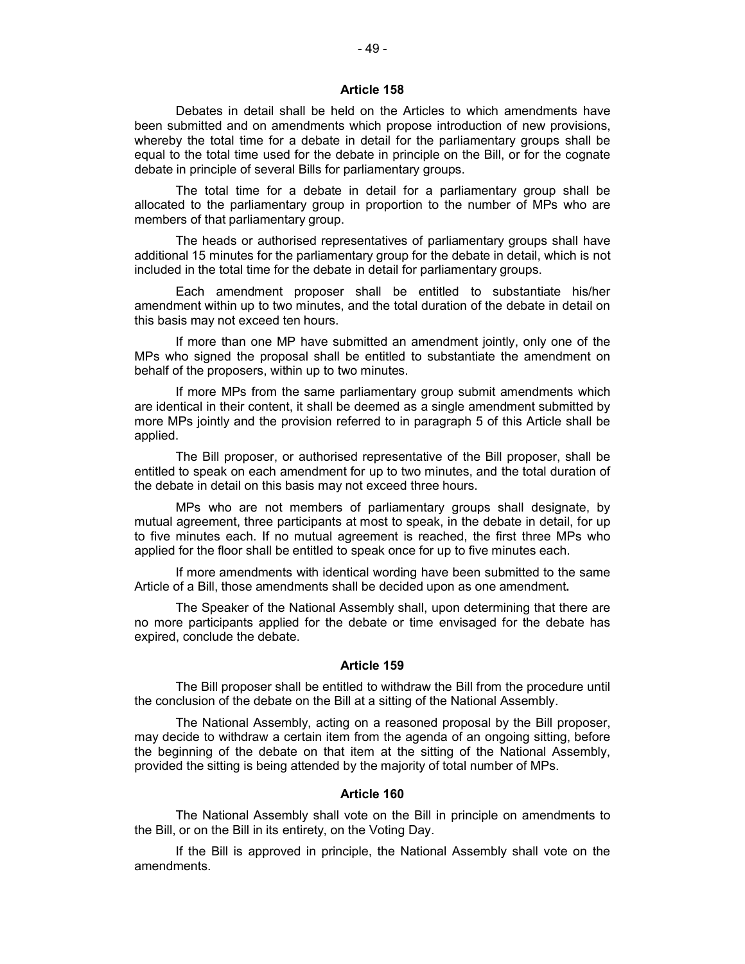Debates in detail shall be held on the Articles to which amendments have been submitted and on amendments which propose introduction of new provisions, whereby the total time for a debate in detail for the parliamentary groups shall be equal to the total time used for the debate in principle on the Bill, or for the cognate debate in principle of several Bills for parliamentary groups.

The total time for a debate in detail for a parliamentary group shall be allocated to the parliamentary group in proportion to the number of MPs who are members of that parliamentary group.

The heads or authorised representatives of parliamentary groups shall have additional 15 minutes for the parliamentary group for the debate in detail, which is not included in the total time for the debate in detail for parliamentary groups.

Each amendment proposer shall be entitled to substantiate his/her amendment within up to two minutes, and the total duration of the debate in detail on this basis may not exceed ten hours.

If more than one MP have submitted an amendment jointly, only one of the MPs who signed the proposal shall be entitled to substantiate the amendment on behalf of the proposers, within up to two minutes.

If more MPs from the same parliamentary group submit amendments which are identical in their content, it shall be deemed as a single amendment submitted by more MPs jointly and the provision referred to in paragraph 5 of this Article shall be applied.

The Bill proposer, or authorised representative of the Bill proposer, shall be entitled to speak on each amendment for up to two minutes, and the total duration of the debate in detail on this basis may not exceed three hours.

MPs who are not members of parliamentary groups shall designate, by mutual agreement, three participants at most to speak, in the debate in detail, for up to five minutes each. If no mutual agreement is reached, the first three MPs who applied for the floor shall be entitled to speak once for up to five minutes each.

If more amendments with identical wording have been submitted to the same Article of a Bill, those amendments shall be decided upon as one amendment**.** 

The Speaker of the National Assembly shall, upon determining that there are no more participants applied for the debate or time envisaged for the debate has expired, conclude the debate.

### **Article 159**

The Bill proposer shall be entitled to withdraw the Bill from the procedure until the conclusion of the debate on the Bill at a sitting of the National Assembly.

The National Assembly, acting on a reasoned proposal by the Bill proposer, may decide to withdraw a certain item from the agenda of an ongoing sitting, before the beginning of the debate on that item at the sitting of the National Assembly, provided the sitting is being attended by the majority of total number of MPs.

## **Article 160**

The National Assembly shall vote on the Bill in principle on amendments to the Bill, or on the Bill in its entirety, on the Voting Day.

If the Bill is approved in principle, the National Assembly shall vote on the amendments.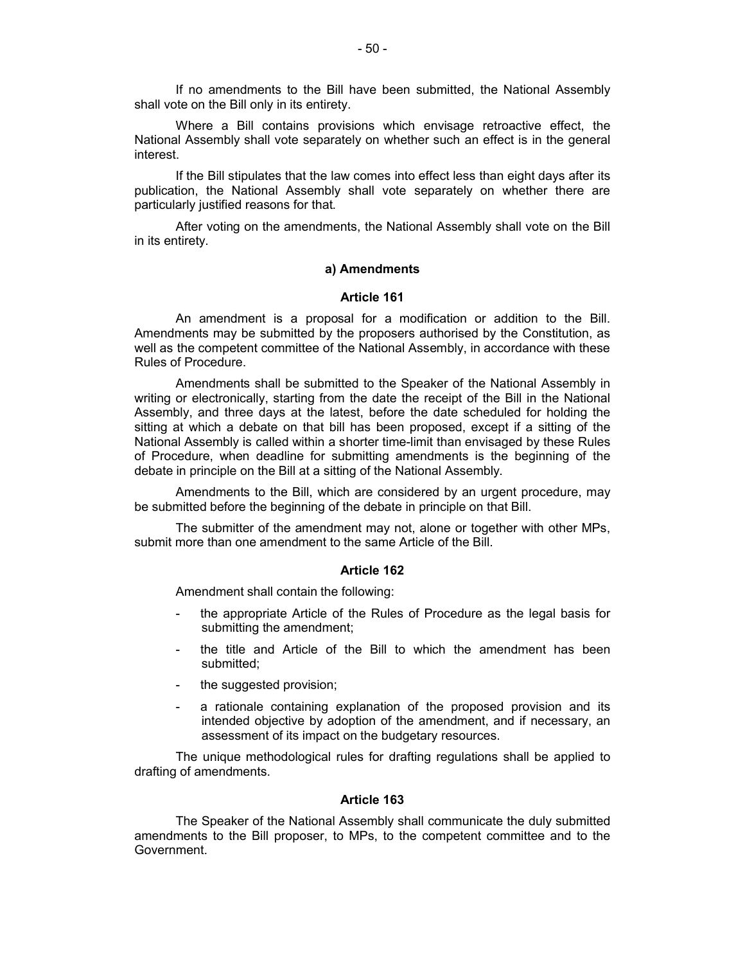If no amendments to the Bill have been submitted, the National Assembly shall vote on the Bill only in its entirety.

Where a Bill contains provisions which envisage retroactive effect, the National Assembly shall vote separately on whether such an effect is in the general interest.

If the Bill stipulates that the law comes into effect less than eight days after its publication, the National Assembly shall vote separately on whether there are particularly justified reasons for that.

After voting on the amendments, the National Assembly shall vote on the Bill in its entirety.

#### **а) Amendments**

#### **Article 161**

An amendment is a proposal for a modification or addition to the Bill. Amendments may be submitted by the proposers authorised by the Constitution, as well as the competent committee of the National Assembly, in accordance with these Rules of Procedure.

Amendments shall be submitted to the Speaker of the National Assembly in writing or electronically, starting from the date the receipt of the Bill in the National Assembly, and three days at the latest, before the date scheduled for holding the sitting at which a debate on that bill has been proposed, except if a sitting of the National Assembly is called within a shorter time-limit than envisaged by these Rules of Procedure, when deadline for submitting amendments is the beginning of the debate in principle on the Bill at a sitting of the National Assembly.

Amendments to the Bill, which are considered by an urgent procedure, may be submitted before the beginning of the debate in principle on that Bill.

The submitter of the amendment may not, alone or together with other MPs, submit more than one amendment to the same Article of the Bill.

#### **Article 162**

Amendment shall contain the following:

- the appropriate Article of the Rules of Procedure as the legal basis for submitting the amendment;
- the title and Article of the Bill to which the amendment has been submitted;
- the suggested provision;
- a rationale containing explanation of the proposed provision and its intended objective by adoption of the amendment, and if necessary, an assessment of its impact on the budgetary resources.

The unique methodological rules for drafting regulations shall be applied to drafting of amendments.

#### **Article 163**

The Speaker of the National Assembly shall communicate the duly submitted amendments to the Bill proposer, to MPs, to the competent committee and to the Government.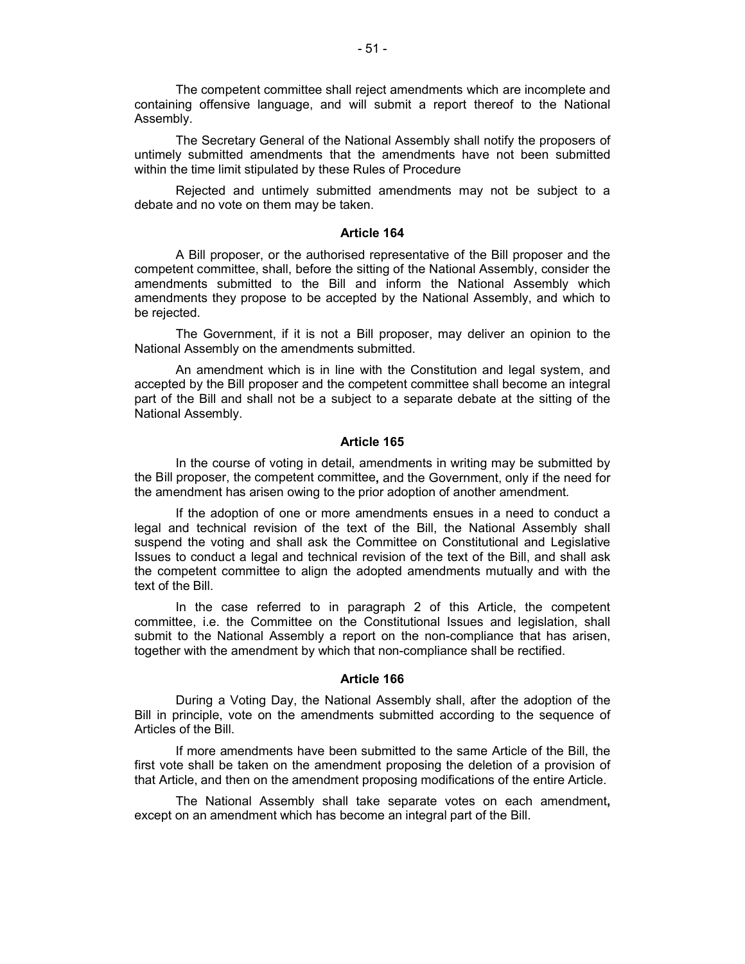The competent committee shall reject amendments which are incomplete and containing offensive language, and will submit a report thereof to the National Assembly.

The Secretary General of the National Assembly shall notify the proposers of untimely submitted amendments that the amendments have not been submitted within the time limit stipulated by these Rules of Procedure

Rejected and untimely submitted amendments may not be subject to a debate and no vote on them may be taken.

#### **Article 164**

A Bill proposer, or the authorised representative of the Bill proposer and the competent committee, shall, before the sitting of the National Assembly, consider the amendments submitted to the Bill and inform the National Assembly which amendments they propose to be accepted by the National Assembly, and which to be rejected.

The Government, if it is not a Bill proposer, may deliver an opinion to the National Assembly on the amendments submitted.

An amendment which is in line with the Constitution and legal system, and accepted by the Bill proposer and the competent committee shall become an integral part of the Bill and shall not be a subject to a separate debate at the sitting of the National Assembly.

# **Article 165**

In the course of voting in detail, amendments in writing may be submitted by the Bill proposer, the competent committee**,** and the Government, only if the need for the amendment has arisen owing to the prior adoption of another amendment.

If the adoption of one or more amendments ensues in a need to conduct a legal and technical revision of the text of the Bill, the National Assembly shall suspend the voting and shall ask the Committee on Constitutional and Legislative Issues to conduct a legal and technical revision of the text of the Bill, and shall ask the competent committee to align the adopted amendments mutually and with the text of the Bill.

In the case referred to in paragraph 2 of this Article, the competent committee, i.e. the Committee on the Constitutional Issues and legislation, shall submit to the National Assembly a report on the non-compliance that has arisen, together with the amendment by which that non-compliance shall be rectified.

#### **Article 166**

During a Voting Day, the National Assembly shall, after the adoption of the Bill in principle, vote on the amendments submitted according to the sequence of Articles of the Bill.

If more amendments have been submitted to the same Article of the Bill, the first vote shall be taken on the amendment proposing the deletion of a provision of that Article, and then on the amendment proposing modifications of the entire Article.

The National Assembly shall take separate votes on each amendment**,** except on an amendment which has become an integral part of the Bill.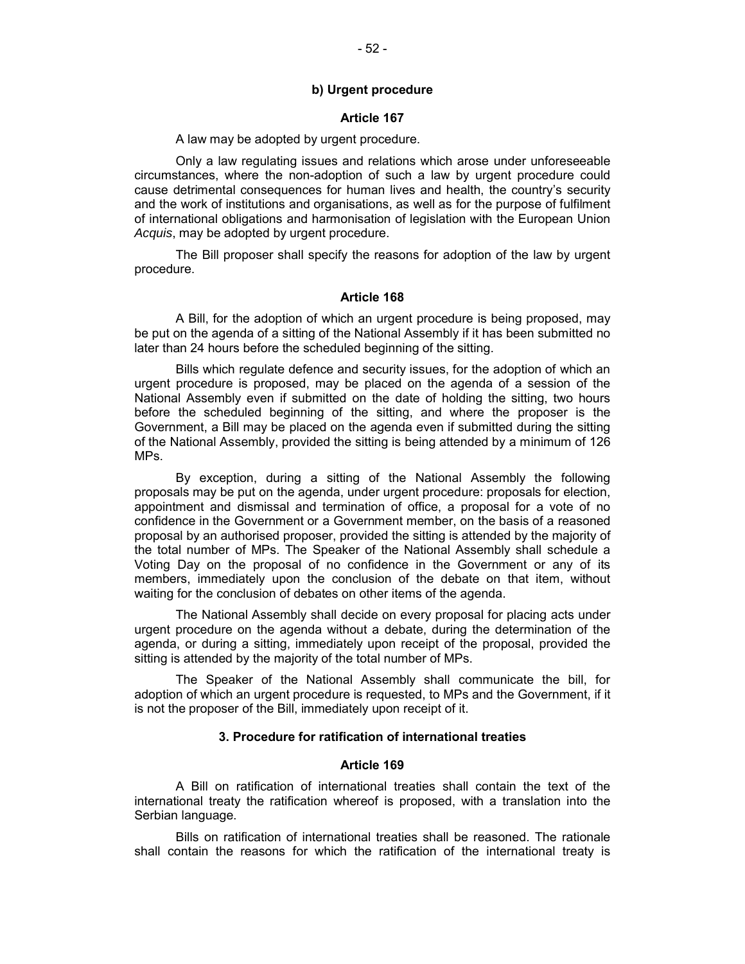#### **b) Urgent procedure**

#### **Article 167**

A law may be adopted by urgent procedure.

Only a law regulating issues and relations which arose under unforeseeable circumstances, where the non-adoption of such a law by urgent procedure could cause detrimental consequences for human lives and health, the country's security and the work of institutions and organisations, as well as for the purpose of fulfilment of international obligations and harmonisation of legislation with the European Union *Acquis*, may be adopted by urgent procedure.

The Bill proposer shall specify the reasons for adoption of the law by urgent procedure.

## **Article 168**

A Bill, for the adoption of which an urgent procedure is being proposed, may be put on the agenda of a sitting of the National Assembly if it has been submitted no later than 24 hours before the scheduled beginning of the sitting.

Bills which regulate defence and security issues, for the adoption of which an urgent procedure is proposed, may be placed on the agenda of a session of the National Assembly even if submitted on the date of holding the sitting, two hours before the scheduled beginning of the sitting, and where the proposer is the Government, a Bill may be placed on the agenda even if submitted during the sitting of the National Assembly, provided the sitting is being attended by a minimum of 126 MPs.

By exception, during a sitting of the National Assembly the following proposals may be put on the agenda, under urgent procedure: proposals for election, appointment and dismissal and termination of office, a proposal for a vote of no confidence in the Government or a Government member, on the basis of a reasoned proposal by an authorised proposer, provided the sitting is attended by the majority of the total number of MPs. The Speaker of the National Assembly shall schedule a Voting Day on the proposal of no confidence in the Government or any of its members, immediately upon the conclusion of the debate on that item, without waiting for the conclusion of debates on other items of the agenda.

The National Assembly shall decide on every proposal for placing acts under urgent procedure on the agenda without a debate, during the determination of the agenda, or during a sitting, immediately upon receipt of the proposal, provided the sitting is attended by the majority of the total number of MPs.

The Speaker of the National Assembly shall communicate the bill, for adoption of which an urgent procedure is requested, to MPs and the Government, if it is not the proposer of the Bill, immediately upon receipt of it.

## **3. Procedure for ratification of international treaties**

### **Article 169**

A Bill on ratification of international treaties shall contain the text of the international treaty the ratification whereof is proposed, with a translation into the Serbian language.

Bills on ratification of international treaties shall be reasoned. The rationale shall contain the reasons for which the ratification of the international treaty is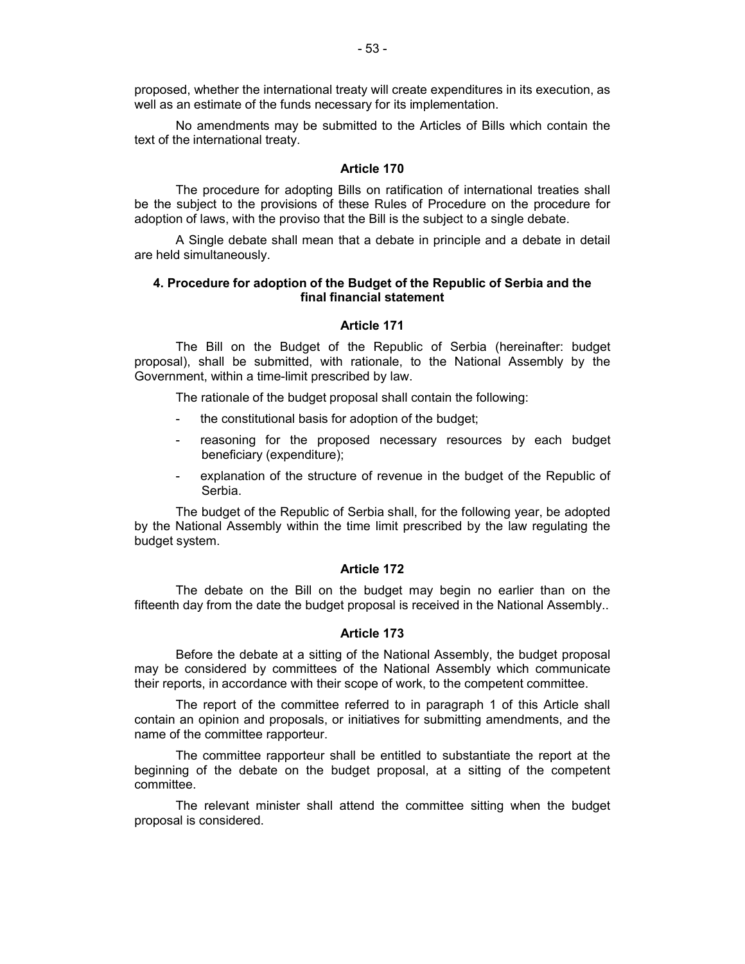proposed, whether the international treaty will create expenditures in its execution, as well as an estimate of the funds necessary for its implementation.

No amendments may be submitted to the Articles of Bills which contain the text of the international treaty.

### **Article 170**

The procedure for adopting Bills on ratification of international treaties shall be the subject to the provisions of these Rules of Procedure on the procedure for adoption of laws, with the proviso that the Bill is the subject to a single debate.

A Single debate shall mean that a debate in principle and a debate in detail are held simultaneously.

## **4. Procedure for adoption of the Budget of the Republic of Serbia and the final financial statement**

### **Article 171**

The Bill on the Budget of the Republic of Serbia (hereinafter: budget proposal), shall be submitted, with rationale, to the National Assembly by the Government, within a time-limit prescribed by law.

The rationale of the budget proposal shall contain the following:

- the constitutional basis for adoption of the budget;
- reasoning for the proposed necessary resources by each budget beneficiary (expenditure);
- explanation of the structure of revenue in the budget of the Republic of Serbia.

The budget of the Republic of Serbia shall, for the following year, be adopted by the National Assembly within the time limit prescribed by the law regulating the budget system.

# **Article 172**

The debate on the Bill on the budget may begin no earlier than on the fifteenth day from the date the budget proposal is received in the National Assembly..

### **Article 173**

Before the debate at a sitting of the National Assembly, the budget proposal may be considered by committees of the National Assembly which communicate their reports, in accordance with their scope of work, to the competent committee.

The report of the committee referred to in paragraph 1 of this Article shall contain an opinion and proposals, or initiatives for submitting amendments, and the name of the committee rapporteur.

The committee rapporteur shall be entitled to substantiate the report at the beginning of the debate on the budget proposal, at a sitting of the competent committee.

The relevant minister shall attend the committee sitting when the budget proposal is considered.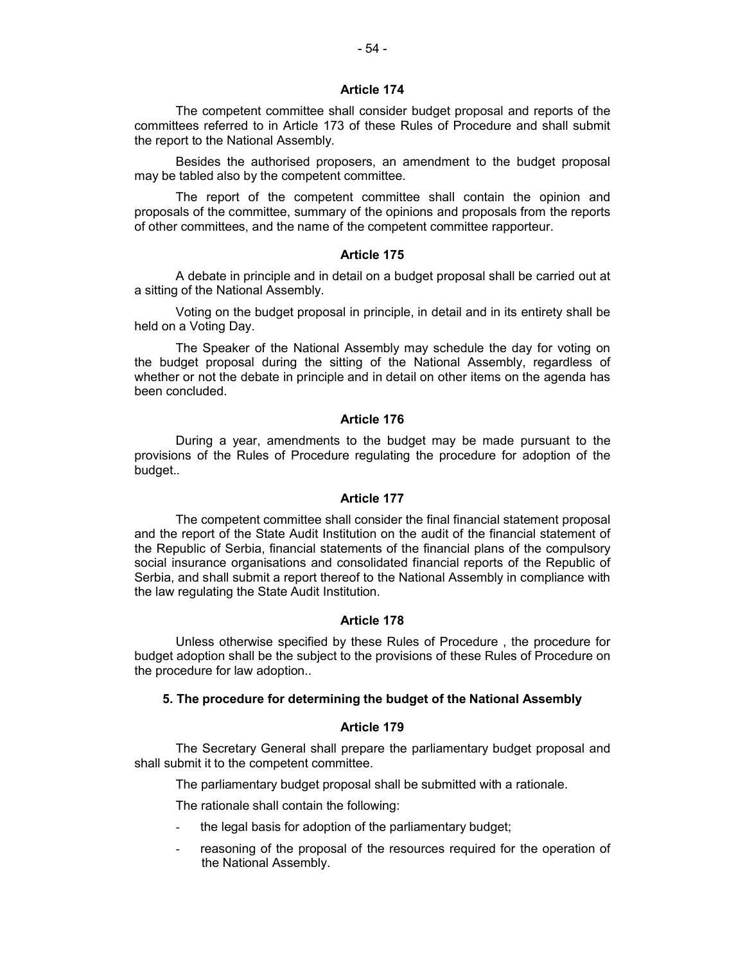The competent committee shall consider budget proposal and reports of the committees referred to in Article 173 of these Rules of Procedure and shall submit the report to the National Assembly.

Besides the authorised proposers, an amendment to the budget proposal may be tabled also by the competent committee.

The report of the competent committee shall contain the opinion and proposals of the committee, summary of the opinions and proposals from the reports of other committees, and the name of the competent committee rapporteur.

# **Article 175**

A debate in principle and in detail on a budget proposal shall be carried out at a sitting of the National Assembly.

Voting on the budget proposal in principle, in detail and in its entirety shall be held on a Voting Day.

The Speaker of the National Assembly may schedule the day for voting on the budget proposal during the sitting of the National Assembly, regardless of whether or not the debate in principle and in detail on other items on the agenda has been concluded.

### **Article 176**

During a year, amendments to the budget may be made pursuant to the provisions of the Rules of Procedure regulating the procedure for adoption of the budget..

#### **Article 177**

The competent committee shall consider the final financial statement proposal and the report of the State Audit Institution on the audit of the financial statement of the Republic of Serbia, financial statements of the financial plans of the compulsory social insurance organisations and consolidated financial reports of the Republic of Serbia, and shall submit a report thereof to the National Assembly in compliance with the law regulating the State Audit Institution.

#### **Article 178**

Unless otherwise specified by these Rules of Procedure , the procedure for budget adoption shall be the subject to the provisions of these Rules of Procedure on the procedure for law adoption..

### **5. The procedure for determining the budget of the National Assembly**

## **Article 179**

The Secretary General shall prepare the parliamentary budget proposal and shall submit it to the competent committee.

The parliamentary budget proposal shall be submitted with a rationale.

The rationale shall contain the following:

- the legal basis for adoption of the parliamentary budget;
- reasoning of the proposal of the resources required for the operation of the National Assembly.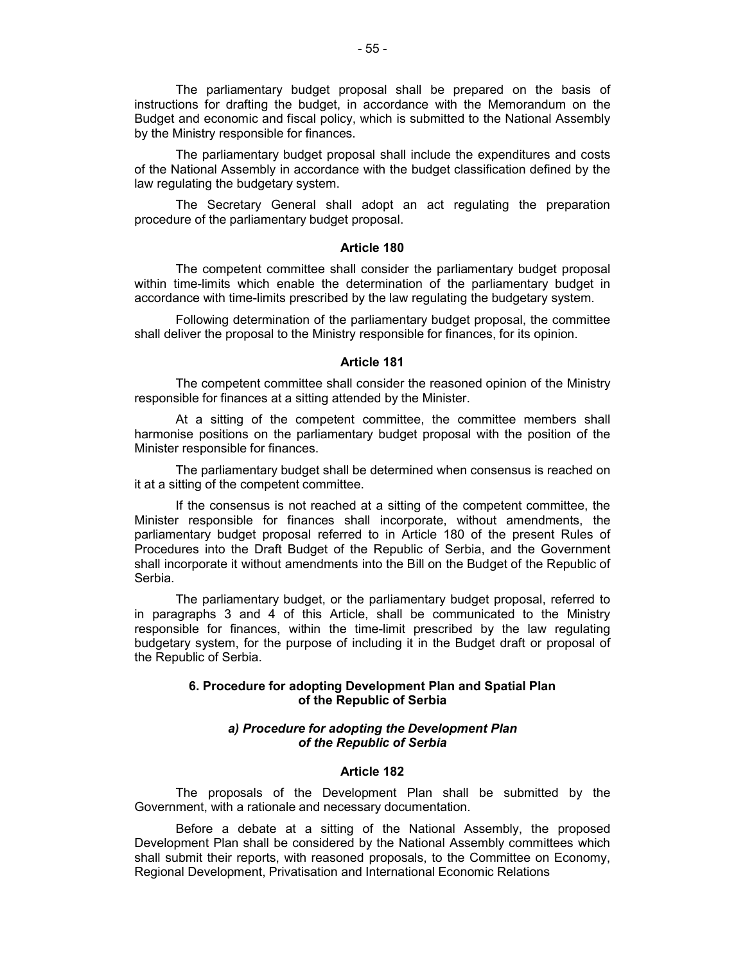The parliamentary budget proposal shall be prepared on the basis of instructions for drafting the budget, in accordance with the Memorandum on the Budget and economic and fiscal policy, which is submitted to the National Assembly by the Ministry responsible for finances.

The parliamentary budget proposal shall include the expenditures and costs of the National Assembly in accordance with the budget classification defined by the law regulating the budgetary system.

The Secretary General shall adopt an act regulating the preparation procedure of the parliamentary budget proposal.

### **Article 180**

The competent committee shall consider the parliamentary budget proposal within time-limits which enable the determination of the parliamentary budget in accordance with time-limits prescribed by the law regulating the budgetary system.

Following determination of the parliamentary budget proposal, the committee shall deliver the proposal to the Ministry responsible for finances, for its opinion.

#### **Article 181**

The competent committee shall consider the reasoned opinion of the Ministry responsible for finances at a sitting attended by the Minister.

At a sitting of the competent committee, the committee members shall harmonise positions on the parliamentary budget proposal with the position of the Minister responsible for finances.

The parliamentary budget shall be determined when consensus is reached on it at a sitting of the competent committee.

If the consensus is not reached at a sitting of the competent committee, the Minister responsible for finances shall incorporate, without amendments, the parliamentary budget proposal referred to in Article 180 of the present Rules of Procedures into the Draft Budget of the Republic of Serbia, and the Government shall incorporate it without amendments into the Bill on the Budget of the Republic of Serbia.

The parliamentary budget, or the parliamentary budget proposal, referred to in paragraphs 3 and 4 of this Article, shall be communicated to the Ministry responsible for finances, within the time-limit prescribed by the law regulating budgetary system, for the purpose of including it in the Budget draft or proposal of the Republic of Serbia.

## **6. Procedure for adopting Development Plan and Spatial Plan of the Republic of Serbia**

## *а) Procedure for adopting the Development Plan of the Republic of Serbia*

#### **Article 182**

The proposals of the Development Plan shall be submitted by the Government, with a rationale and necessary documentation.

Before a debate at a sitting of the National Assembly, the proposed Development Plan shall be considered by the National Assembly committees which shall submit their reports, with reasoned proposals, to the Committee on Economy, Regional Development, Privatisation and International Economic Relations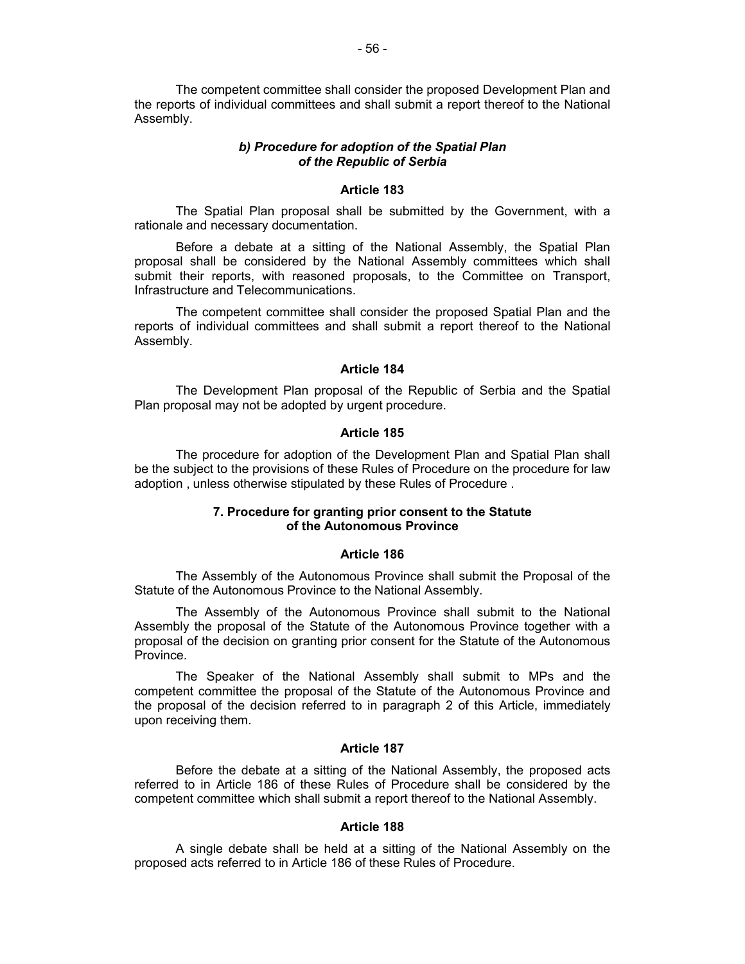The competent committee shall consider the proposed Development Plan and the reports of individual committees and shall submit a report thereof to the National Assembly.

# *b) Procedure for adoption of the Spatial Plan of the Republic of Serbia*

### **Article 183**

The Spatial Plan proposal shall be submitted by the Government, with a rationale and necessary documentation.

Before a debate at a sitting of the National Assembly, the Spatial Plan proposal shall be considered by the National Assembly committees which shall submit their reports, with reasoned proposals, to the Committee on Transport, Infrastructure and Telecommunications.

The competent committee shall consider the proposed Spatial Plan and the reports of individual committees and shall submit a report thereof to the National Assembly.

# **Article 184**

The Development Plan proposal of the Republic of Serbia and the Spatial Plan proposal may not be adopted by urgent procedure.

#### **Article 185**

The procedure for adoption of the Development Plan and Spatial Plan shall be the subject to the provisions of these Rules of Procedure on the procedure for law adoption , unless otherwise stipulated by these Rules of Procedure .

## **7. Procedure for granting prior consent to the Statute of the Autonomous Province**

#### **Article 186**

The Assembly of the Autonomous Province shall submit the Proposal of the Statute of the Autonomous Province to the National Assembly.

The Assembly of the Autonomous Province shall submit to the National Assembly the proposal of the Statute of the Autonomous Province together with a proposal of the decision on granting prior consent for the Statute of the Autonomous Province.

The Speaker of the National Assembly shall submit to MPs and the competent committee the proposal of the Statute of the Autonomous Province and the proposal of the decision referred to in paragraph 2 of this Article, immediately upon receiving them.

### **Article 187**

Before the debate at a sitting of the National Assembly, the proposed acts referred to in Article 186 of these Rules of Procedure shall be considered by the competent committee which shall submit a report thereof to the National Assembly.

#### **Article 188**

A single debate shall be held at a sitting of the National Assembly on the proposed acts referred to in Article 186 of these Rules of Procedure.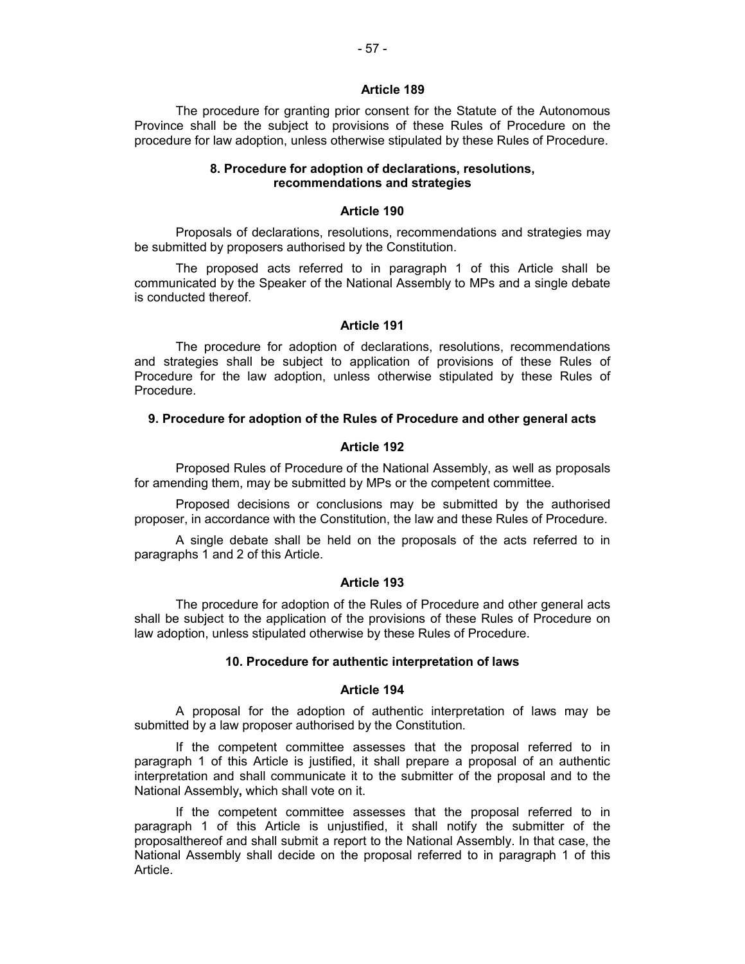The procedure for granting prior consent for the Statute of the Autonomous Province shall be the subject to provisions of these Rules of Procedure on the procedure for law adoption, unless otherwise stipulated by these Rules of Procedure.

## **8. Procedure for adoption of declarations, resolutions, recommendations and strategies**

#### **Article 190**

Proposals of declarations, resolutions, recommendations and strategies may be submitted by proposers authorised by the Constitution.

The proposed acts referred to in paragraph 1 of this Article shall be communicated by the Speaker of the National Assembly to MPs and a single debate is conducted thereof.

#### **Article 191**

The procedure for adoption of declarations, resolutions, recommendations and strategies shall be subject to application of provisions of these Rules of Procedure for the law adoption, unless otherwise stipulated by these Rules of Procedure.

### **9. Procedure for adoption of the Rules of Procedure and other general acts**

### **Article 192**

Proposed Rules of Procedure of the National Assembly, as well as proposals for amending them, may be submitted by MPs or the competent committee.

Proposed decisions or conclusions may be submitted by the authorised proposer, in accordance with the Constitution, the law and these Rules of Procedure.

A single debate shall be held on the proposals of the acts referred to in paragraphs 1 and 2 of this Article.

#### **Article 193**

The procedure for adoption of the Rules of Procedure and other general acts shall be subject to the application of the provisions of these Rules of Procedure on law adoption, unless stipulated otherwise by these Rules of Procedure.

#### **10. Procedure for authentic interpretation of laws**

## **Article 194**

A proposal for the adoption of authentic interpretation of laws may be submitted by a law proposer authorised by the Constitution.

If the competent committee assesses that the proposal referred to in paragraph 1 of this Article is justified, it shall prepare a proposal of an authentic interpretation and shall communicate it to the submitter of the proposal and to the National Assembly**,** which shall vote on it.

If the competent committee assesses that the proposal referred to in paragraph 1 of this Article is unjustified, it shall notify the submitter of the proposalthereof and shall submit a report to the National Assembly. In that case, the National Assembly shall decide on the proposal referred to in paragraph 1 of this Article.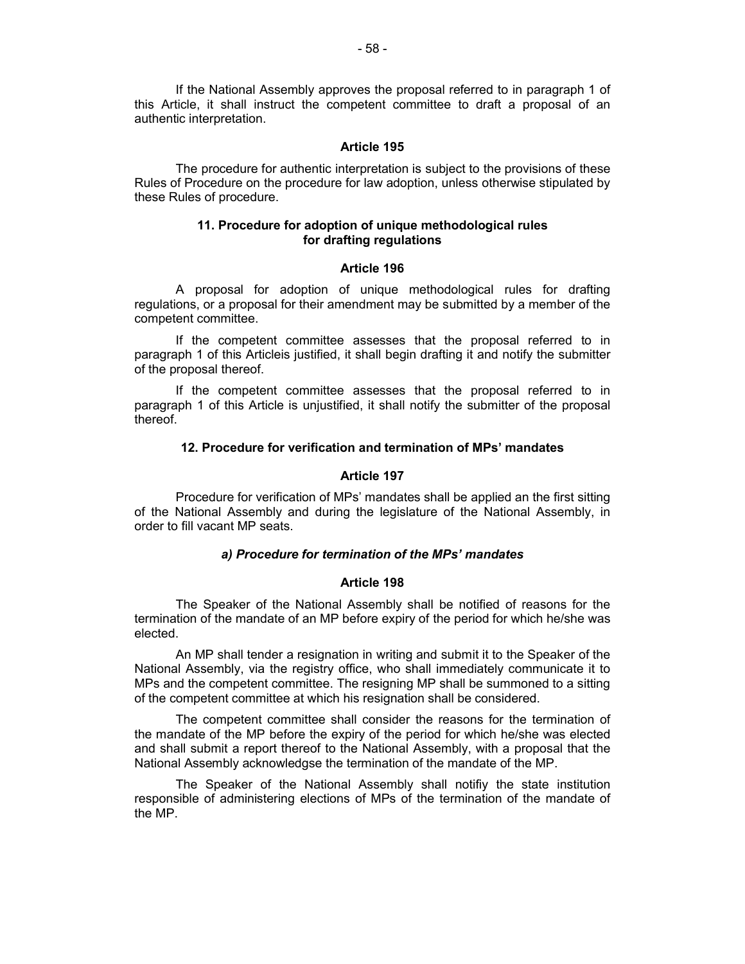If the National Assembly approves the proposal referred to in paragraph 1 of this Article, it shall instruct the competent committee to draft a proposal of an authentic interpretation.

### **Article 195**

The procedure for authentic interpretation is subject to the provisions of these Rules of Procedure on the procedure for law adoption, unless otherwise stipulated by these Rules of procedure.

## **11. Procedure for adoption of unique methodological rules for drafting regulations**

## **Article 196**

A proposal for adoption of unique methodological rules for drafting regulations, or a proposal for their amendment may be submitted by a member of the competent committee.

If the competent committee assesses that the proposal referred to in paragraph 1 of this Articleis justified, it shall begin drafting it and notify the submitter of the proposal thereof.

If the competent committee assesses that the proposal referred to in paragraph 1 of this Article is unjustified, it shall notify the submitter of the proposal thereof.

## **12. Procedure for verification and termination of MPs' mandates**

### **Article 197**

Procedure for verification of MPs' mandates shall be applied an the first sitting of the National Assembly and during the legislature of the National Assembly, in order to fill vacant MP seats.

### *a) Procedure for termination of the MPs' mandates*

### **Article 198**

The Speaker of the National Assembly shall be notified of reasons for the termination of the mandate of an MP before expiry of the period for which he/she was elected.

An MP shall tender a resignation in writing and submit it to the Speaker of the National Assembly, via the registry office, who shall immediately communicate it to MPs and the competent committee. The resigning MP shall be summoned to a sitting of the competent committee at which his resignation shall be considered.

The competent committee shall consider the reasons for the termination of the mandate of the MP before the expiry of the period for which he/she was elected and shall submit a report thereof to the National Assembly, with a proposal that the National Assembly acknowledgse the termination of the mandate of the MP.

The Speaker of the National Assembly shall notifiy the state institution responsible of administering elections of MPs of the termination of the mandate of the MP.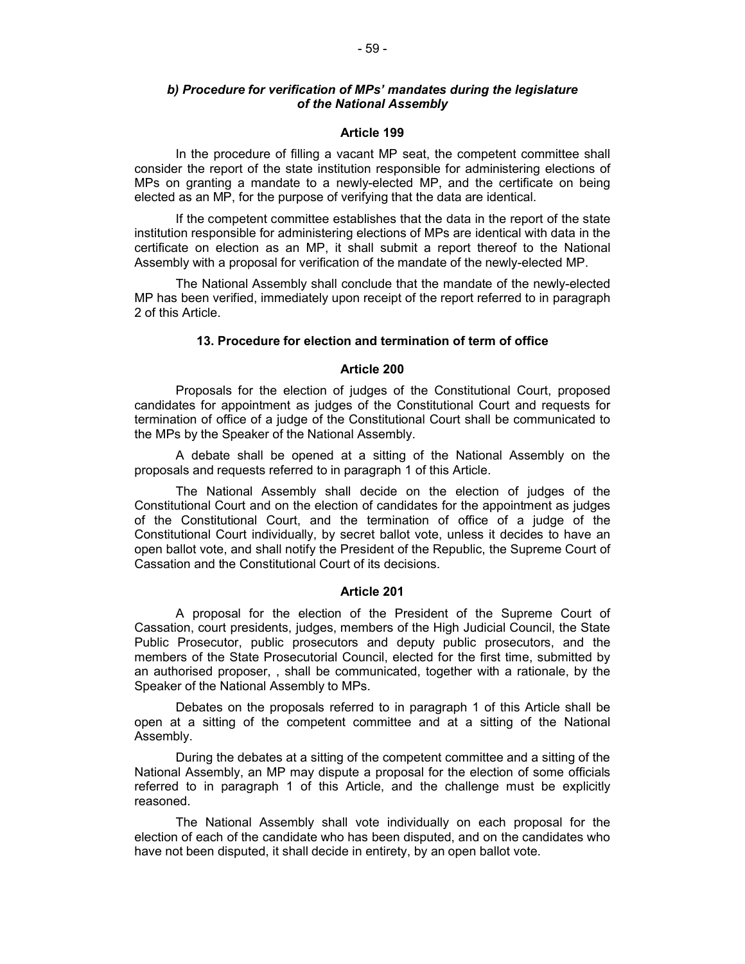## *b) Procedure for verification of MPs' mandates during the legislature of the National Assembly*

#### **Article 199**

In the procedure of filling a vacant MP seat, the competent committee shall consider the report of the state institution responsible for administering elections of MPs on granting a mandate to a newly-elected MP, and the certificate on being elected as an MP, for the purpose of verifying that the data are identical.

If the competent committee establishes that the data in the report of the state institution responsible for administering elections of MPs are identical with data in the certificate on election as an MP, it shall submit a report thereof to the National Assembly with a proposal for verification of the mandate of the newly-elected MP.

The National Assembly shall conclude that the mandate of the newly-elected MP has been verified, immediately upon receipt of the report referred to in paragraph 2 of this Article.

### **13. Procedure for election and termination of term of office**

## **Article 200**

Proposals for the election of judges of the Constitutional Court, proposed candidates for appointment as judges of the Constitutional Court and requests for termination of office of a judge of the Constitutional Court shall be communicated to the MPs by the Speaker of the National Assembly.

A debate shall be opened at a sitting of the National Assembly on the proposals and requests referred to in paragraph 1 of this Article.

The National Assembly shall decide on the election of judges of the Constitutional Court and on the election of candidates for the appointment as judges of the Constitutional Court, and the termination of office of a judge of the Constitutional Court individually, by secret ballot vote, unless it decides to have an open ballot vote, and shall notify the President of the Republic, the Supreme Court of Cassation and the Constitutional Court of its decisions.

#### **Article 201**

A proposal for the election of the President of the Supreme Court of Cassation, court presidents, judges, members of the High Judicial Council, the State Public Prosecutor, public prosecutors and deputy public prosecutors, and the members of the State Prosecutorial Council, elected for the first time, submitted by an authorised proposer, , shall be communicated, together with a rationale, by the Speaker of the National Assembly to MPs.

Debates on the proposals referred to in paragraph 1 of this Article shall be open at a sitting of the competent committee and at a sitting of the National Assembly.

During the debates at a sitting of the competent committee and a sitting of the National Assembly, an MP may dispute a proposal for the election of some officials referred to in paragraph 1 of this Article, and the challenge must be explicitly reasoned.

The National Assembly shall vote individually on each proposal for the election of each of the candidate who has been disputed, and on the candidates who have not been disputed, it shall decide in entirety, by an open ballot vote.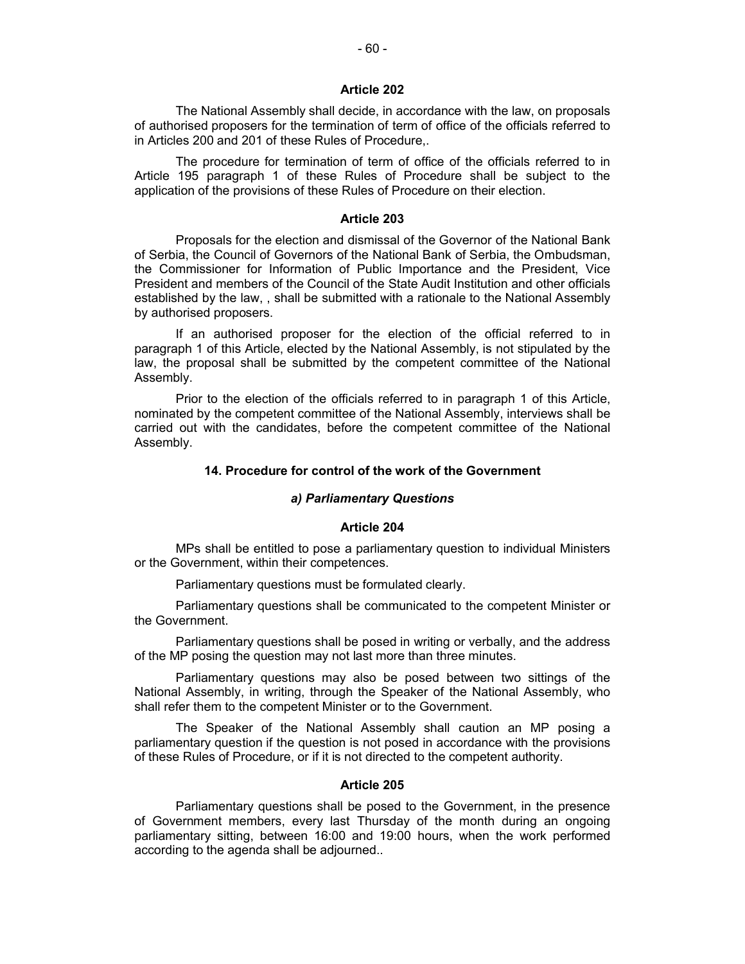The National Assembly shall decide, in accordance with the law, on proposals of authorised proposers for the termination of term of office of the officials referred to in Articles 200 and 201 of these Rules of Procedure,.

The procedure for termination of term of office of the officials referred to in Article 195 paragraph 1 of these Rules of Procedure shall be subject to the application of the provisions of these Rules of Procedure on their election.

#### **Article 203**

Proposals for the election and dismissal of the Governor of the National Bank of Serbia, the Council of Governors of the National Bank of Serbia, the Ombudsman, the Commissioner for Information of Public Importance and the President, Vice President and members of the Council of the State Audit Institution and other officials established by the law, , shall be submitted with a rationale to the National Assembly by authorised proposers.

If an authorised proposer for the election of the official referred to in paragraph 1 of this Article, elected by the National Assembly, is not stipulated by the law, the proposal shall be submitted by the competent committee of the National Assembly.

Prior to the election of the officials referred to in paragraph 1 of this Article, nominated by the competent committee of the National Assembly, interviews shall be carried out with the candidates, before the competent committee of the National Assembly.

## **14. Procedure for control of the work of the Government**

#### *а) Parliamentary Questions*

#### **Article 204**

MPs shall be entitled to pose a parliamentary question to individual Ministers or the Government, within their competences.

Parliamentary questions must be formulated clearly.

Parliamentary questions shall be communicated to the competent Minister or the Government.

Parliamentary questions shall be posed in writing or verbally, and the address of the MP posing the question may not last more than three minutes.

Parliamentary questions may also be posed between two sittings of the National Assembly, in writing, through the Speaker of the National Assembly, who shall refer them to the competent Minister or to the Government.

The Speaker of the National Assembly shall caution an MP posing a parliamentary question if the question is not posed in accordance with the provisions of these Rules of Procedure, or if it is not directed to the competent authority.

#### **Article 205**

Parliamentary questions shall be posed to the Government, in the presence of Government members, every last Thursday of the month during an ongoing parliamentary sitting, between 16:00 and 19:00 hours, when the work performed according to the agenda shall be adjourned..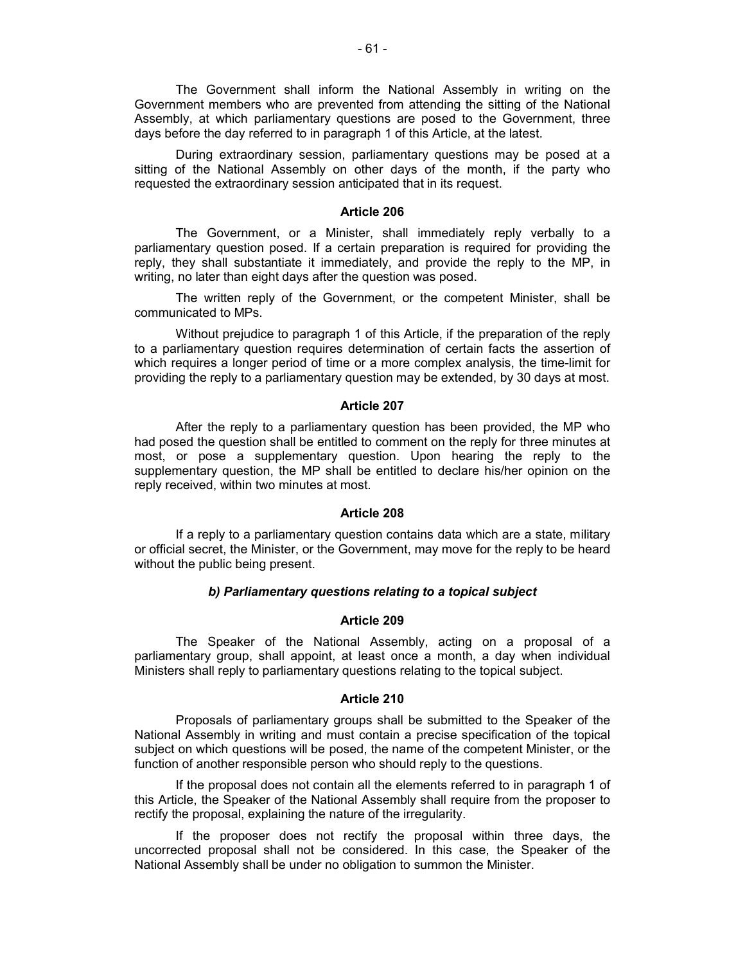The Government shall inform the National Assembly in writing on the Government members who are prevented from attending the sitting of the National Assembly, at which parliamentary questions are posed to the Government, three days before the day referred to in paragraph 1 of this Article, at the latest.

During extraordinary session, parliamentary questions may be posed at a sitting of the National Assembly on other days of the month, if the party who requested the extraordinary session anticipated that in its request.

#### **Article 206**

The Government, or a Minister, shall immediately reply verbally to a parliamentary question posed. If a certain preparation is required for providing the reply, they shall substantiate it immediately, and provide the reply to the MP, in writing, no later than eight days after the question was posed.

The written reply of the Government, or the competent Minister, shall be communicated to MPs.

Without prejudice to paragraph 1 of this Article, if the preparation of the reply to a parliamentary question requires determination of certain facts the assertion of which requires a longer period of time or a more complex analysis, the time-limit for providing the reply to a parliamentary question may be extended, by 30 days at most.

#### **Article 207**

After the reply to a parliamentary question has been provided, the MP who had posed the question shall be entitled to comment on the reply for three minutes at most, or pose a supplementary question. Upon hearing the reply to the supplementary question, the MP shall be entitled to declare his/her opinion on the reply received, within two minutes at most.

#### **Article 208**

If a reply to a parliamentary question contains data which are a state, military or official secret, the Minister, or the Government, may move for the reply to be heard without the public being present.

#### *b) Parliamentary questions relating to a topical subject*

#### **Article 209**

The Speaker of the National Assembly, acting on a proposal of a parliamentary group, shall appoint, at least once a month, a day when individual Ministers shall reply to parliamentary questions relating to the topical subject.

#### **Article 210**

Proposals of parliamentary groups shall be submitted to the Speaker of the National Assembly in writing and must contain a precise specification of the topical subject on which questions will be posed, the name of the competent Minister, or the function of another responsible person who should reply to the questions.

If the proposal does not contain all the elements referred to in paragraph 1 of this Article, the Speaker of the National Assembly shall require from the proposer to rectify the proposal, explaining the nature of the irregularity.

If the proposer does not rectify the proposal within three days, the uncorrected proposal shall not be considered. In this case, the Speaker of the National Assembly shall be under no obligation to summon the Minister.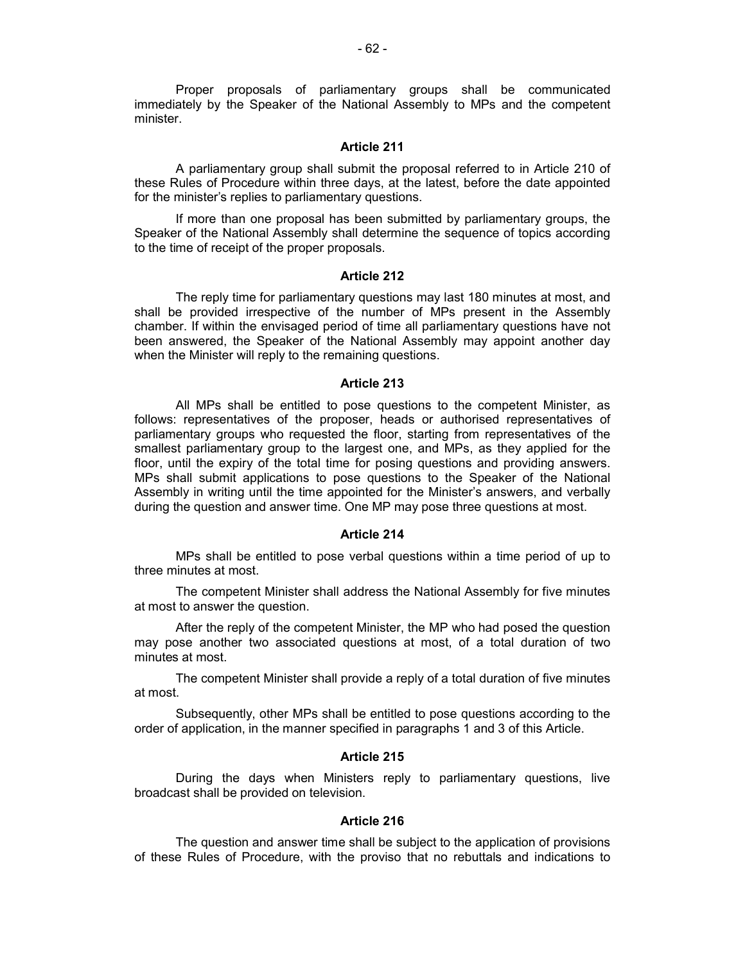Proper proposals of parliamentary groups shall be communicated immediately by the Speaker of the National Assembly to MPs and the competent minister.

## **Article 211**

А parliamentary group shall submit the proposal referred to in Article 210 of these Rules of Procedure within three days, at the latest, before the date appointed for the minister's replies to parliamentary questions.

If more than one proposal has been submitted by parliamentary groups, the Speaker of the National Assembly shall determine the sequence of topics according to the time of receipt of the proper proposals.

#### **Article 212**

The reply time for parliamentary questions may last 180 minutes at most, and shall be provided irrespective of the number of MPs present in the Assembly chamber. If within the envisaged period of time all parliamentary questions have not been answered, the Speaker of the National Assembly may appoint another day when the Minister will reply to the remaining questions.

### **Article 213**

All MPs shall be entitled to pose questions to the competent Minister, as follows: representatives of the proposer, heads or authorised representatives of parliamentary groups who requested the floor, starting from representatives of the smallest parliamentary group to the largest one, and MPs, as they applied for the floor, until the expiry of the total time for posing questions and providing answers. MPs shall submit applications to pose questions to the Speaker of the National Assembly in writing until the time appointed for the Minister's answers, and verbally during the question and answer time. One MP may pose three questions at most.

# **Article 214**

MPs shall be entitled to pose verbal questions within a time period of up to three minutes at most.

The competent Minister shall address the National Assembly for five minutes at most to answer the question.

After the reply of the competent Minister, the MP who had posed the question may pose another two associated questions at most, of a total duration of two minutes at most.

The competent Minister shall provide a reply of a total duration of five minutes at most.

Subsequently, other MPs shall be entitled to pose questions according to the order of application, in the manner specified in paragraphs 1 and 3 of this Article.

# **Article 215**

During the days when Ministers reply to parliamentary questions, live broadcast shall be provided on television.

#### **Article 216**

The question and answer time shall be subject to the application of provisions of these Rules of Procedure, with the proviso that no rebuttals and indications to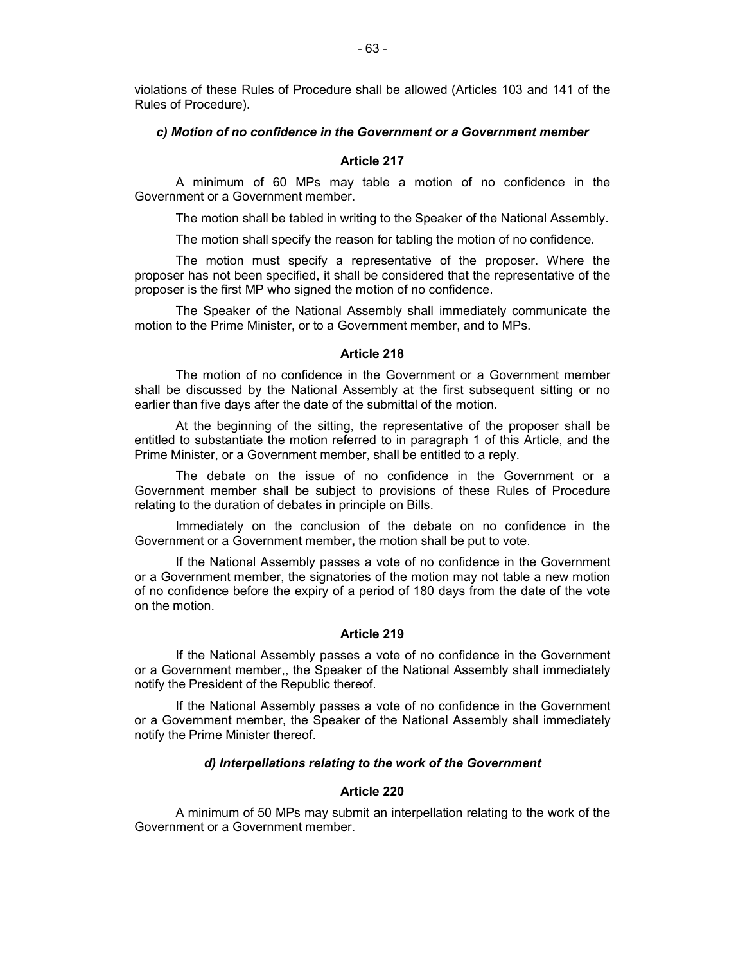violations of these Rules of Procedure shall be allowed (Articles 103 and 141 of the Rules of Procedure).

#### *c) Motion of no confidence in the Government or a Government member*

# **Article 217**

A minimum of 60 MPs may table a motion of no confidence in the Government or a Government member.

The motion shall be tabled in writing to the Speaker of the National Assembly.

The motion shall specify the reason for tabling the motion of no confidence.

The motion must specify a representative of the proposer. Where the proposer has not been specified, it shall be considered that the representative of the proposer is the first MP who signed the motion of no confidence.

The Speaker of the National Assembly shall immediately communicate the motion to the Prime Minister, or to a Government member, and to MPs.

#### **Article 218**

The motion of no confidence in the Government or a Government member shall be discussed by the National Assembly at the first subsequent sitting or no earlier than five days after the date of the submittal of the motion.

At the beginning of the sitting, the representative of the proposer shall be entitled to substantiate the motion referred to in paragraph 1 of this Article, and the Prime Minister, or a Government member, shall be entitled to a reply.

The debate on the issue of no confidence in the Government or a Government member shall be subject to provisions of these Rules of Procedure relating to the duration of debates in principle on Bills.

Immediately on the conclusion of the debate on no confidence in the Government or a Government member**,** the motion shall be put to vote.

If the National Assembly passes a vote of no confidence in the Government or a Government member, the signatories of the motion may not table a new motion of no confidence before the expiry of a period of 180 days from the date of the vote on the motion.

### **Article 219**

If the National Assembly passes a vote of no confidence in the Government or a Government member,, the Speaker of the National Assembly shall immediately notify the President of the Republic thereof.

If the National Assembly passes a vote of no confidence in the Government or a Government member, the Speaker of the National Assembly shall immediately notify the Prime Minister thereof.

## *d) Interpellations relating to the work of the Government*

### **Article 220**

A minimum of 50 MPs may submit an interpellation relating to the work of the Government or a Government member.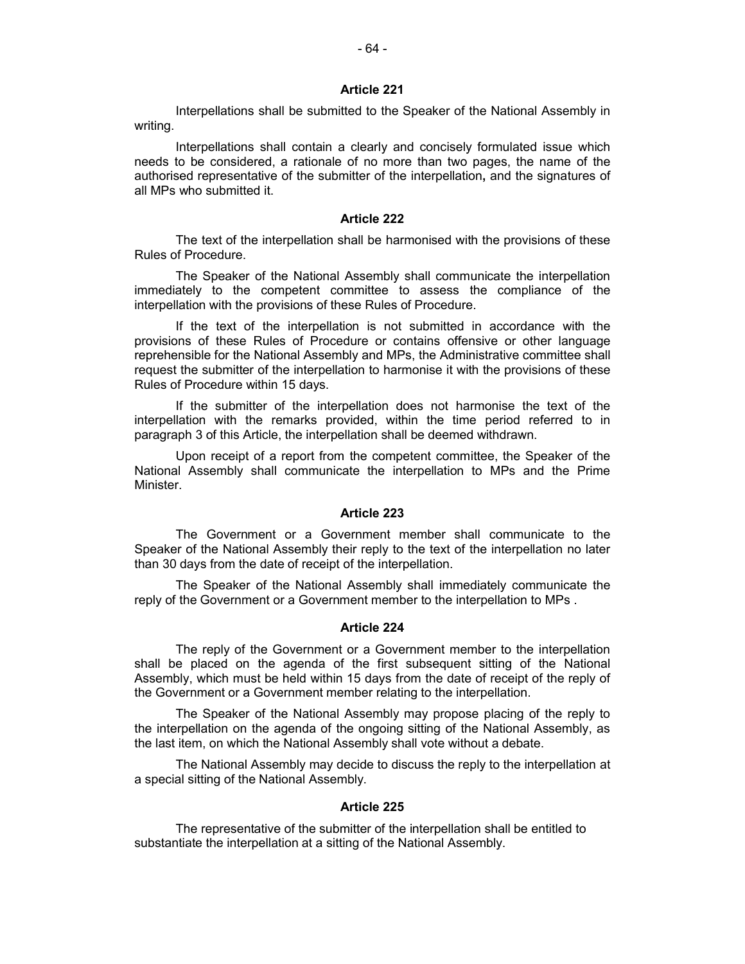Interpellations shall be submitted to the Speaker of the National Assembly in writing.

Interpellations shall contain a clearly and concisely formulated issue which needs to be considered, a rationale of no more than two pages, the name of the authorised representative of the submitter of the interpellation**,** and the signatures of all MPs who submitted it.

### **Article 222**

The text of the interpellation shall be harmonised with the provisions of these Rules of Procedure.

The Speaker of the National Assembly shall communicate the interpellation immediately to the competent committee to assess the compliance of the interpellation with the provisions of these Rules of Procedure.

If the text of the interpellation is not submitted in accordance with the provisions of these Rules of Procedure or contains offensive or other language reprehensible for the National Assembly and MPs, the Administrative committee shall request the submitter of the interpellation to harmonise it with the provisions of these Rules of Procedure within 15 days.

If the submitter of the interpellation does not harmonise the text of the interpellation with the remarks provided, within the time period referred to in paragraph 3 of this Article, the interpellation shall be deemed withdrawn.

Upon receipt of a report from the competent committee, the Speaker of the National Assembly shall communicate the interpellation to MPs and the Prime Minister.

## **Article 223**

The Government or a Government member shall communicate to the Speaker of the National Assembly their reply to the text of the interpellation no later than 30 days from the date of receipt of the interpellation.

The Speaker of the National Assembly shall immediately communicate the reply of the Government or a Government member to the interpellation to MPs .

### **Article 224**

The reply of the Government or a Government member to the interpellation shall be placed on the agenda of the first subsequent sitting of the National Assembly, which must be held within 15 days from the date of receipt of the reply of the Government or a Government member relating to the interpellation.

The Speaker of the National Assembly may propose placing of the reply to the interpellation on the agenda of the ongoing sitting of the National Assembly, as the last item, on which the National Assembly shall vote without a debate.

The National Assembly may decide to discuss the reply to the interpellation at a special sitting of the National Assembly.

### **Article 225**

The representative of the submitter of the interpellation shall be entitled to substantiate the interpellation at a sitting of the National Assembly.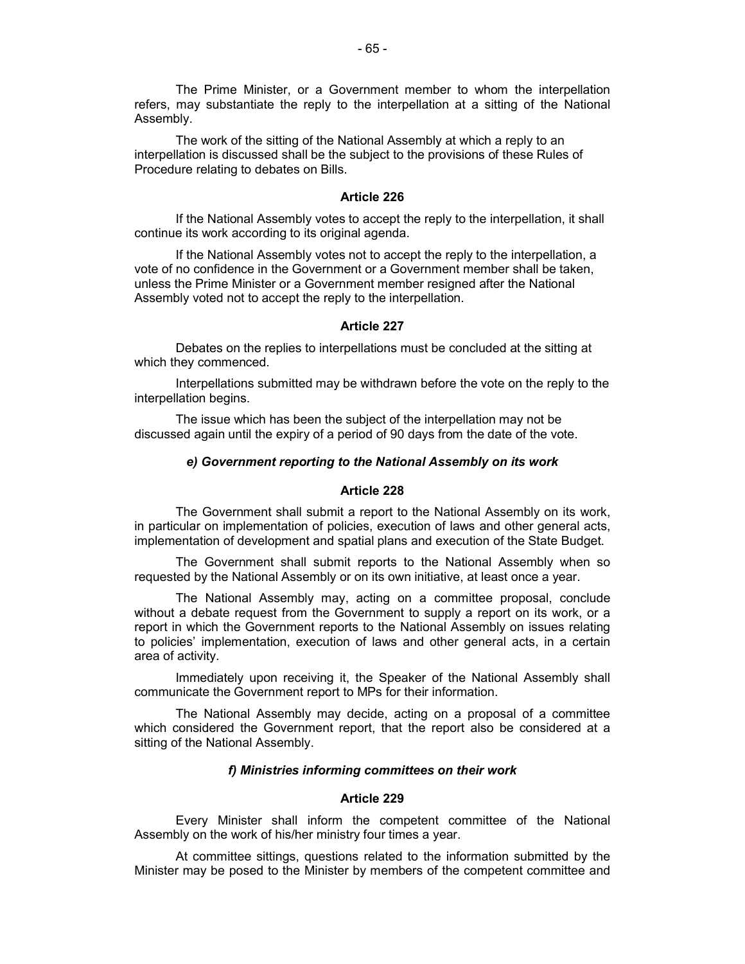The Prime Minister, or a Government member to whom the interpellation refers, may substantiate the reply to the interpellation at a sitting of the National Assembly.

The work of the sitting of the National Assembly at which a reply to an interpellation is discussed shall be the subject to the provisions of these Rules of Procedure relating to debates on Bills.

# **Article 226**

If the National Assembly votes to accept the reply to the interpellation, it shall continue its work according to its original agenda.

If the National Assembly votes not to accept the reply to the interpellation, a vote of no confidence in the Government or a Government member shall be taken, unless the Prime Minister or a Government member resigned after the National Assembly voted not to accept the reply to the interpellation.

#### **Article 227**

Debates on the replies to interpellations must be concluded at the sitting at which they commenced.

Interpellations submitted may be withdrawn before the vote on the reply to the interpellation begins.

The issue which has been the subject of the interpellation may not be discussed again until the expiry of a period of 90 days from the date of the vote.

#### *e) Government reporting to the National Assembly on its work*

### **Article 228**

The Government shall submit a report to the National Assembly on its work, in particular on implementation of policies, execution of laws and other general acts, implementation of development and spatial plans and execution of the State Budget.

The Government shall submit reports to the National Assembly when so requested by the National Assembly or on its own initiative, at least once a year.

The National Assembly may, acting on a committee proposal, conclude without a debate request from the Government to supply a report on its work, or a report in which the Government reports to the National Assembly on issues relating to policies' implementation, execution of laws and other general acts, in a certain area of activity.

Immediately upon receiving it, the Speaker of the National Assembly shall communicate the Government report to MPs for their information.

The National Assembly may decide, acting on a proposal of a committee which considered the Government report, that the report also be considered at a sitting of the National Assembly.

### *f) Ministries informing committees on their work*

#### **Article 229**

Every Minister shall inform the competent committee of the National Assembly on the work of his/her ministry four times a year.

At committee sittings, questions related to the information submitted by the Minister may be posed to the Minister by members of the competent committee and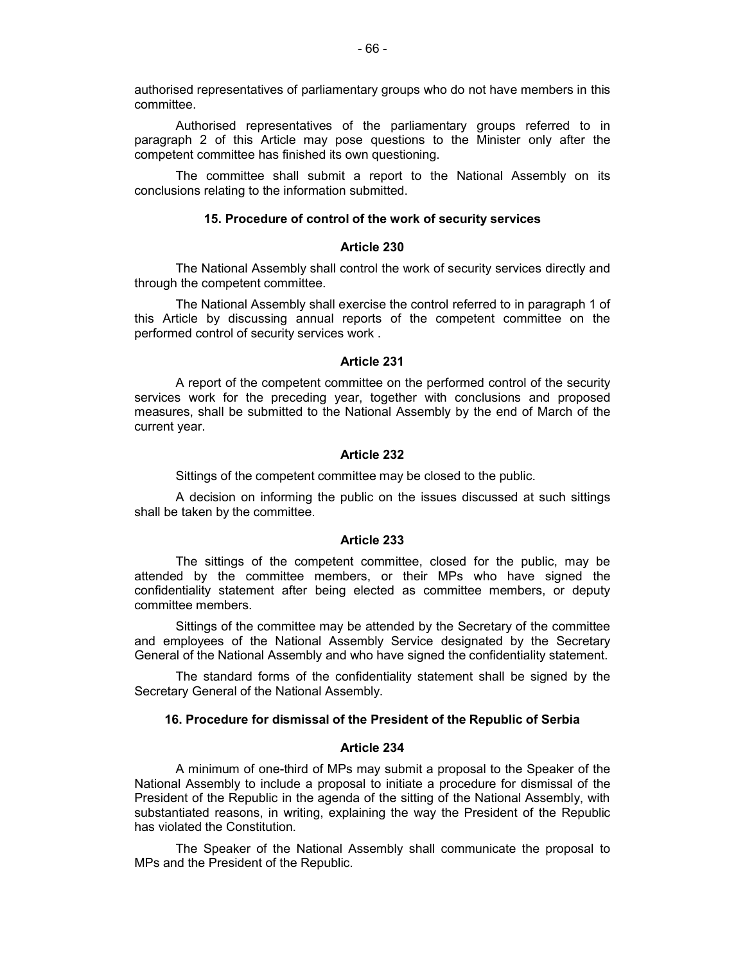authorised representatives of parliamentary groups who do not have members in this committee.

Authorised representatives of the parliamentary groups referred to in paragraph 2 of this Article may pose questions to the Minister only after the competent committee has finished its own questioning.

The committee shall submit a report to the National Assembly on its conclusions relating to the information submitted.

# **15. Procedure of control of the work of security services**

### **Article 230**

The National Assembly shall control the work of security services directly and through the competent committee.

The National Assembly shall exercise the control referred to in paragraph 1 of this Article by discussing annual reports of the competent committee on the performed control of security services work .

# **Article 231**

A report of the competent committee on the performed control of the security services work for the preceding year, together with conclusions and proposed measures, shall be submitted to the National Assembly by the end of March of the current year.

# **Article 232**

Sittings of the competent committee may be closed to the public.

A decision on informing the public on the issues discussed at such sittings shall be taken by the committee.

#### **Article 233**

The sittings of the competent committee, closed for the public, may be attended by the committee members, or their MPs who have signed the confidentiality statement after being elected as committee members, or deputy committee members.

Sittings of the committee may be attended by the Secretary of the committee and employees of the National Assembly Service designated by the Secretary General of the National Assembly and who have signed the confidentiality statement.

The standard forms of the confidentiality statement shall be signed by the Secretary General of the National Assembly.

### **16. Procedure for dismissal of the President of the Republic of Serbia**

#### **Article 234**

A minimum of one-third of MPs may submit a proposal to the Speaker of the National Assembly to include a proposal to initiate a procedure for dismissal of the President of the Republic in the agenda of the sitting of the National Assembly, with substantiated reasons, in writing, explaining the way the President of the Republic has violated the Constitution.

The Speaker of the National Assembly shall communicate the proposal to MPs and the President of the Republic.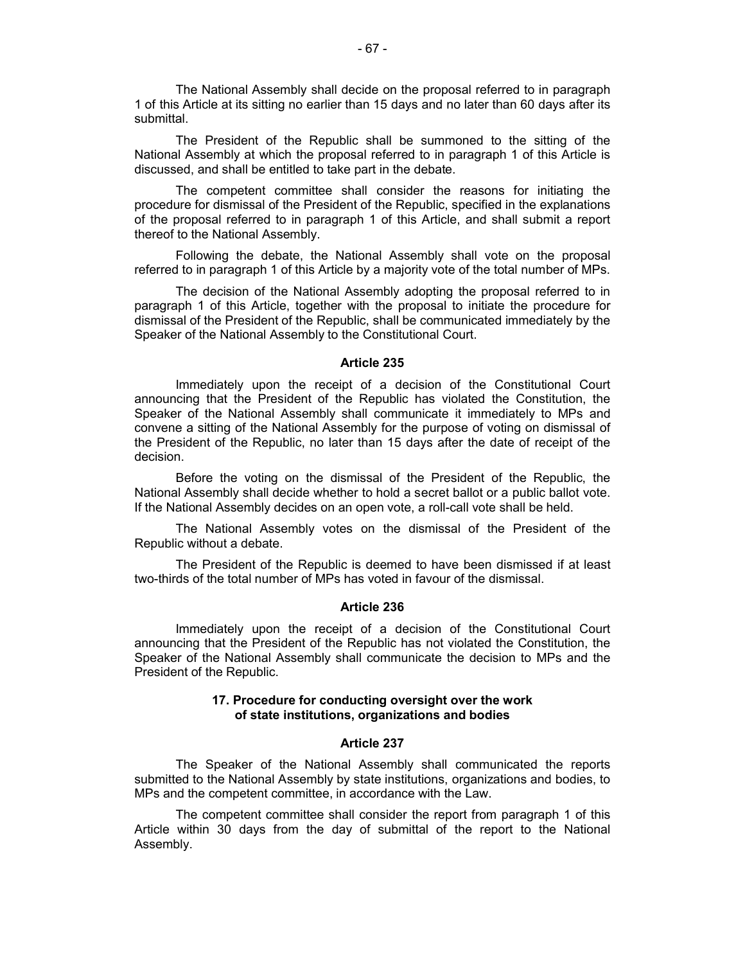The National Assembly shall decide on the proposal referred to in paragraph 1 of this Article at its sitting no earlier than 15 days and no later than 60 days after its submittal.

The President of the Republic shall be summoned to the sitting of the National Assembly at which the proposal referred to in paragraph 1 of this Article is discussed, and shall be entitled to take part in the debate.

The competent committee shall consider the reasons for initiating the procedure for dismissal of the President of the Republic, specified in the explanations of the proposal referred to in paragraph 1 of this Article, and shall submit a report thereof to the National Assembly.

Following the debate, the National Assembly shall vote on the proposal referred to in paragraph 1 of this Article by a majority vote of the total number of MPs.

The decision of the National Assembly adopting the proposal referred to in paragraph 1 of this Article, together with the proposal to initiate the procedure for dismissal of the President of the Republic, shall be communicated immediately by the Speaker of the National Assembly to the Constitutional Court.

### **Article 235**

Immediately upon the receipt of a decision of the Constitutional Court announcing that the President of the Republic has violated the Constitution, the Speaker of the National Assembly shall communicate it immediately to MPs and convene a sitting of the National Assembly for the purpose of voting on dismissal of the President of the Republic, no later than 15 days after the date of receipt of the decision.

Before the voting on the dismissal of the President of the Republic, the National Assembly shall decide whether to hold a secret ballot or a public ballot vote. If the National Assembly decides on an open vote, a roll-call vote shall be held.

The National Assembly votes on the dismissal of the President of the Republic without a debate.

The President of the Republic is deemed to have been dismissed if at least two-thirds of the total number of MPs has voted in favour of the dismissal.

#### **Article 236**

Immediately upon the receipt of a decision of the Constitutional Court announcing that the President of the Republic has not violated the Constitution, the Speaker of the National Assembly shall communicate the decision to MPs and the President of the Republic.

### **17. Procedure for conducting oversight over the work of state institutions, organizations and bodies**

## **Article 237**

The Speaker of the National Assembly shall communicated the reports submitted to the National Assembly by state institutions, organizations and bodies, to MPs and the competent committee, in accordance with the Law.

The competent committee shall consider the report from paragraph 1 of this Article within 30 days from the day of submittal of the report to the National Assembly.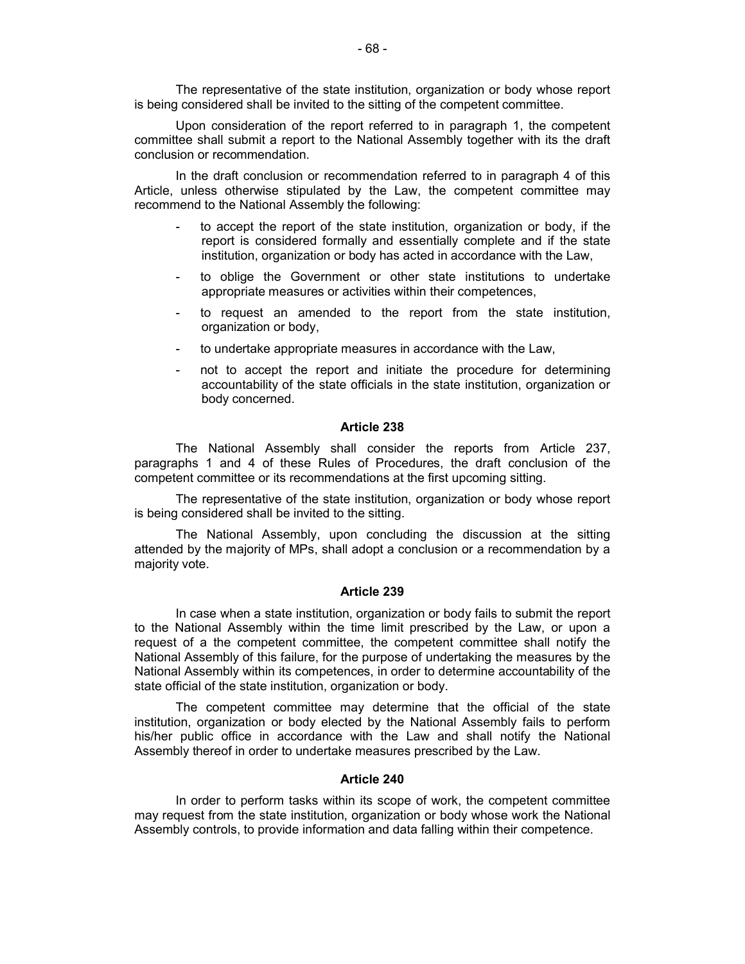The representative of the state institution, organization or body whose report is being considered shall be invited to the sitting of the competent committee.

Upon consideration of the report referred to in paragraph 1, the competent committee shall submit a report to the National Assembly together with its the draft conclusion or recommendation.

In the draft conclusion or recommendation referred to in paragraph 4 of this Article, unless otherwise stipulated by the Law, the competent committee may recommend to the National Assembly the following:

- to accept the report of the state institution, organization or body, if the report is considered formally and essentially complete and if the state institution, organization or body has acted in accordance with the Law,
- to oblige the Government or other state institutions to undertake appropriate measures or activities within their competences,
- to request an amended to the report from the state institution, organization or body,
- to undertake appropriate measures in accordance with the Law,
- not to accept the report and initiate the procedure for determining accountability of the state officials in the state institution, organization or body concerned.

#### **Article 238**

The National Assembly shall consider the reports from Article 237, paragraphs 1 and 4 of these Rules of Procedures, the draft conclusion of the competent committee or its recommendations at the first upcoming sitting.

The representative of the state institution, organization or body whose report is being considered shall be invited to the sitting.

The National Assembly, upon concluding the discussion at the sitting attended by the majority of MPs, shall adopt a conclusion or a recommendation by a majority vote.

### **Article 239**

In case when a state institution, organization or body fails to submit the report to the National Assembly within the time limit prescribed by the Law, or upon a request of a the competent committee, the competent committee shall notify the National Assembly of this failure, for the purpose of undertaking the measures by the National Assembly within its competences, in order to determine accountability of the state official of the state institution, organization or body.

The competent committee may determine that the official of the state institution, organization or body elected by the National Assembly fails to perform his/her public office in accordance with the Law and shall notify the National Assembly thereof in order to undertake measures prescribed by the Law.

### **Article 240**

In order to perform tasks within its scope of work, the competent committee may request from the state institution, organization or body whose work the National Assembly controls, to provide information and data falling within their competence.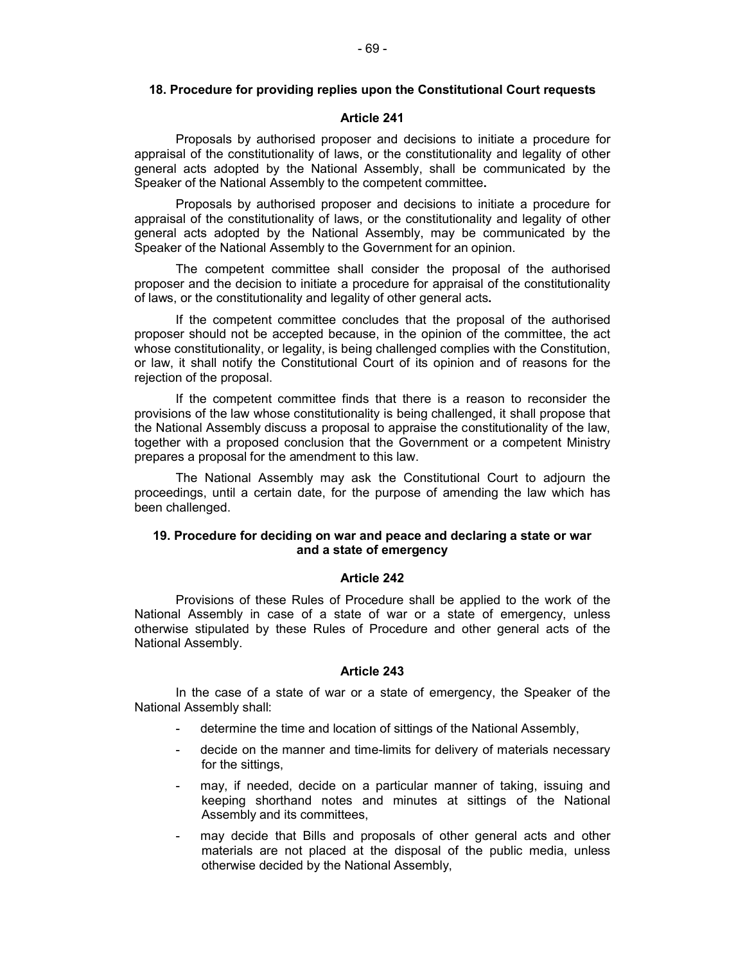### **18. Procedure for providing replies upon the Constitutional Court requests**

#### **Article 241**

Proposals by authorised proposer and decisions to initiate a procedure for appraisal of the constitutionality of laws, or the constitutionality and legality of other general acts adopted by the National Assembly, shall be communicated by the Speaker of the National Assembly to the competent committee**.**

Proposals by authorised proposer and decisions to initiate a procedure for appraisal of the constitutionality of laws, or the constitutionality and legality of other general acts adopted by the National Assembly, may be communicated by the Speaker of the National Assembly to the Government for an opinion.

The competent committee shall consider the proposal of the authorised proposer and the decision to initiate a procedure for appraisal of the constitutionality of laws, or the constitutionality and legality of other general acts**.**

If the competent committee concludes that the proposal of the authorised proposer should not be accepted because, in the opinion of the committee, the act whose constitutionality, or legality, is being challenged complies with the Constitution, or law, it shall notify the Constitutional Court of its opinion and of reasons for the rejection of the proposal.

If the competent committee finds that there is a reason to reconsider the provisions of the law whose constitutionality is being challenged, it shall propose that the National Assembly discuss a proposal to appraise the constitutionality of the law, together with a proposed conclusion that the Government or a competent Ministry prepares a proposal for the amendment to this law.

The National Assembly may ask the Constitutional Court to adjourn the proceedings, until a certain date, for the purpose of amending the law which has been challenged.

# **19. Procedure for deciding on war and peace and declaring a state or war and a state of emergency**

#### **Article 242**

Provisions of these Rules of Procedure shall be applied to the work of the National Assembly in case of a state of war or a state of emergency, unless otherwise stipulated by these Rules of Procedure and other general acts of the National Assembly.

#### **Article 243**

In the case of a state of war or a state of emergency, the Speaker of the National Assembly shall:

- determine the time and location of sittings of the National Assembly,
- decide on the manner and time-limits for delivery of materials necessary for the sittings,
- may, if needed, decide on a particular manner of taking, issuing and keeping shorthand notes and minutes at sittings of the National Assembly and its committees,
- may decide that Bills and proposals of other general acts and other materials are not placed at the disposal of the public media, unless otherwise decided by the National Assembly,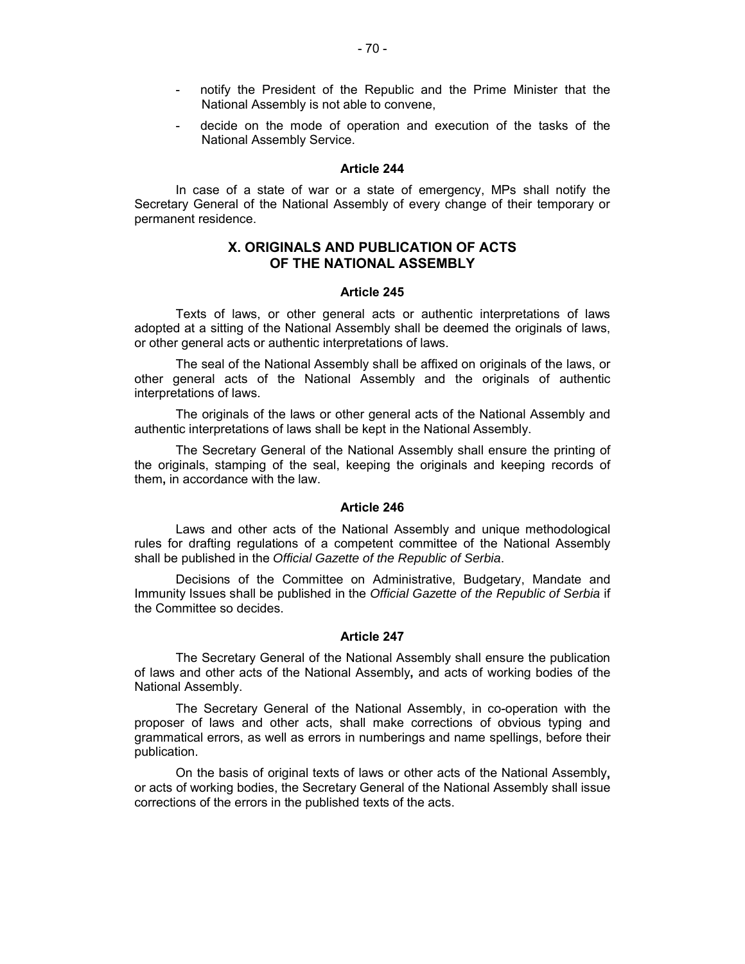- notify the President of the Republic and the Prime Minister that the National Assembly is not able to convene,
- decide on the mode of operation and execution of the tasks of the National Assembly Service.

In case of a state of war or a state of emergency, MPs shall notify the Secretary General of the National Assembly of every change of their temporary or permanent residence.

# **Х. ORIGINALS AND PUBLICATION OF ACTS OF THE NATIONAL ASSEMBLY**

#### **Article 245**

Texts of laws, or other general acts or authentic interpretations of laws adopted at a sitting of the National Assembly shall be deemed the originals of laws, or other general acts or authentic interpretations of laws.

The seal of the National Assembly shall be affixed on originals of the laws, or other general acts of the National Assembly and the originals of authentic interpretations of laws.

The originals of the laws or other general acts of the National Assembly and authentic interpretations of laws shall be kept in the National Assembly.

The Secretary General of the National Assembly shall ensure the printing of the originals, stamping of the seal, keeping the originals and keeping records of them**,** in accordance with the law.

#### **Article 246**

Laws and other acts of the National Assembly and unique methodological rules for drafting regulations of a competent committee of the National Assembly shall be published in the *Official Gazette of the Republic of Serbia*.

Decisions of the Committee on Administrative, Budgetary, Mandate and Immunity Issues shall be published in the *Official Gazette of the Republic of Serbia* if the Committee so decides.

#### **Article 247**

The Secretary General of the National Assembly shall ensure the publication of laws and other acts of the National Assembly**,** and acts of working bodies of the National Assembly.

The Secretary General of the National Assembly, in co-operation with the proposer of laws and other acts, shall make corrections of obvious typing and grammatical errors, as well as errors in numberings and name spellings, before their publication.

On the basis of original texts of laws or other acts of the National Assembly**,**  or acts of working bodies, the Secretary General of the National Assembly shall issue corrections of the errors in the published texts of the acts.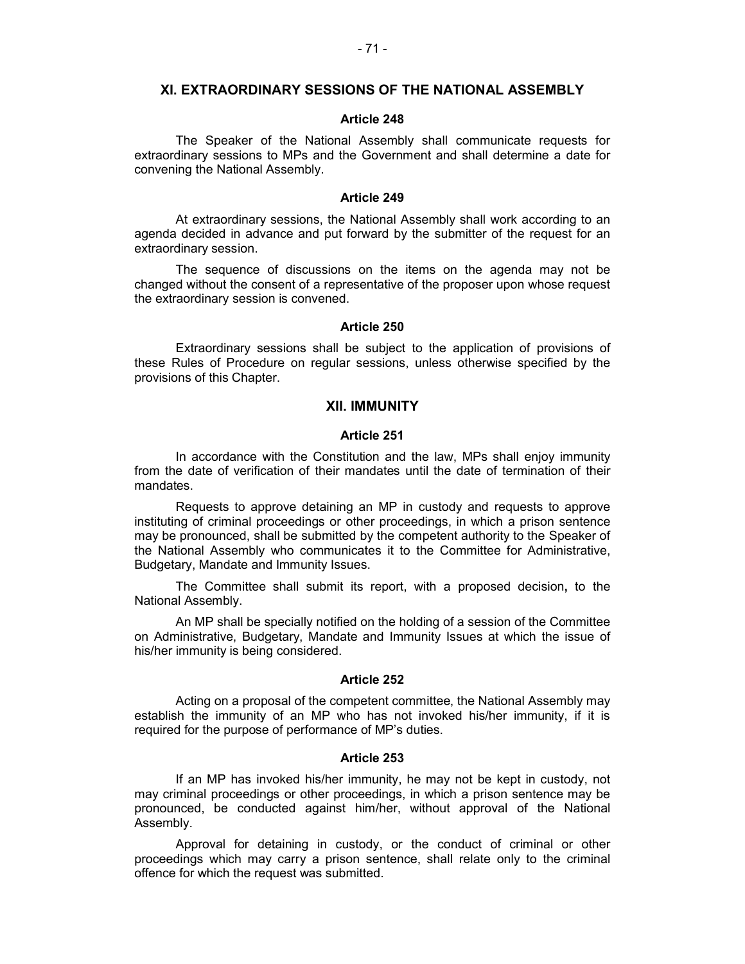# **XI. EXTRAORDINARY SESSIONS OF THE NATIONAL ASSEMBLY**

#### **Article 248**

The Speaker of the National Assembly shall communicate requests for extraordinary sessions to MPs and the Government and shall determine a date for convening the National Assembly.

#### **Article 249**

At extraordinary sessions, the National Assembly shall work according to an agenda decided in advance and put forward by the submitter of the request for an extraordinary session.

The sequence of discussions on the items on the agenda may not be changed without the consent of a representative of the proposer upon whose request the extraordinary session is convened.

#### **Article 250**

Extraordinary sessions shall be subject to the application of provisions of these Rules of Procedure on regular sessions, unless otherwise specified by the provisions of this Chapter.

# **XII. IMMUNITY**

## **Article 251**

In accordance with the Constitution and the law, MPs shall enjoy immunity from the date of verification of their mandates until the date of termination of their mandates.

Requests to approve detaining an MP in custody and requests to approve instituting of criminal proceedings or other proceedings, in which a prison sentence may be pronounced, shall be submitted by the competent authority to the Speaker of the National Assembly who communicates it to the Committee for Administrative, Budgetary, Mandate and Immunity Issues.

The Committee shall submit its report, with a proposed decision**,** to the National Assembly.

An MP shall be specially notified on the holding of a session of the Committee on Administrative, Budgetary, Mandate and Immunity Issues at which the issue of his/her immunity is being considered.

#### **Article 252**

Acting on a proposal of the competent committee, the National Assembly may establish the immunity of an MP who has not invoked his/her immunity, if it is required for the purpose of performance of MP's duties.

#### **Article 253**

If an MP has invoked his/her immunity, he may not be kept in custody, not may criminal proceedings or other proceedings, in which a prison sentence may be pronounced, be conducted against him/her, without approval of the National Assembly.

Approval for detaining in custody, or the conduct of criminal or other proceedings which may carry a prison sentence, shall relate only to the criminal offence for which the request was submitted.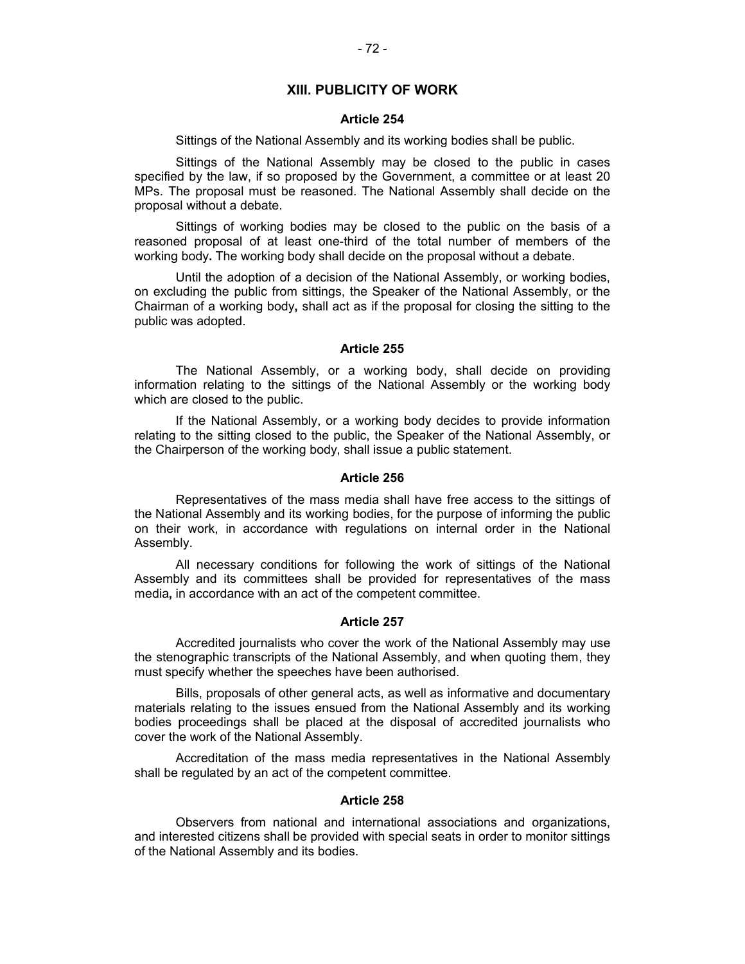# **XIII. PUBLICITY OF WORK**

#### **Article 254**

Sittings of the National Assembly and its working bodies shall be public.

Sittings of the National Assembly may be closed to the public in cases specified by the law, if so proposed by the Government, a committee or at least 20 MPs. The proposal must be reasoned. The National Assembly shall decide on the proposal without a debate.

Sittings of working bodies may be closed to the public on the basis of a reasoned proposal of at least one-third of the total number of members of the working body**.** The working body shall decide on the proposal without a debate.

Until the adoption of a decision of the National Assembly, or working bodies, on excluding the public from sittings, the Speaker of the National Assembly, or the Chairman of a working body**,** shall act as if the proposal for closing the sitting to the public was adopted.

## **Article 255**

The National Assembly, or a working body, shall decide on providing information relating to the sittings of the National Assembly or the working body which are closed to the public.

If the National Assembly, or a working body decides to provide information relating to the sitting closed to the public, the Speaker of the National Assembly, or the Chairperson of the working body, shall issue a public statement.

#### **Article 256**

Representatives of the mass media shall have free access to the sittings of the National Assembly and its working bodies, for the purpose of informing the public on their work, in accordance with regulations on internal order in the National Assembly.

All necessary conditions for following the work of sittings of the National Assembly and its committees shall be provided for representatives of the mass media**,** in accordance with an act of the competent committee.

### **Article 257**

Accredited journalists who cover the work of the National Assembly may use the stenographic transcripts of the National Assembly, and when quoting them, they must specify whether the speeches have been authorised.

Bills, proposals of other general acts, as well as informative and documentary materials relating to the issues ensued from the National Assembly and its working bodies proceedings shall be placed at the disposal of accredited journalists who cover the work of the National Assembly.

Accreditation of the mass media representatives in the National Assembly shall be regulated by an act of the competent committee.

#### **Article 258**

Observers from national and international associations and organizations, and interested citizens shall be provided with special seats in order to monitor sittings of the National Assembly and its bodies.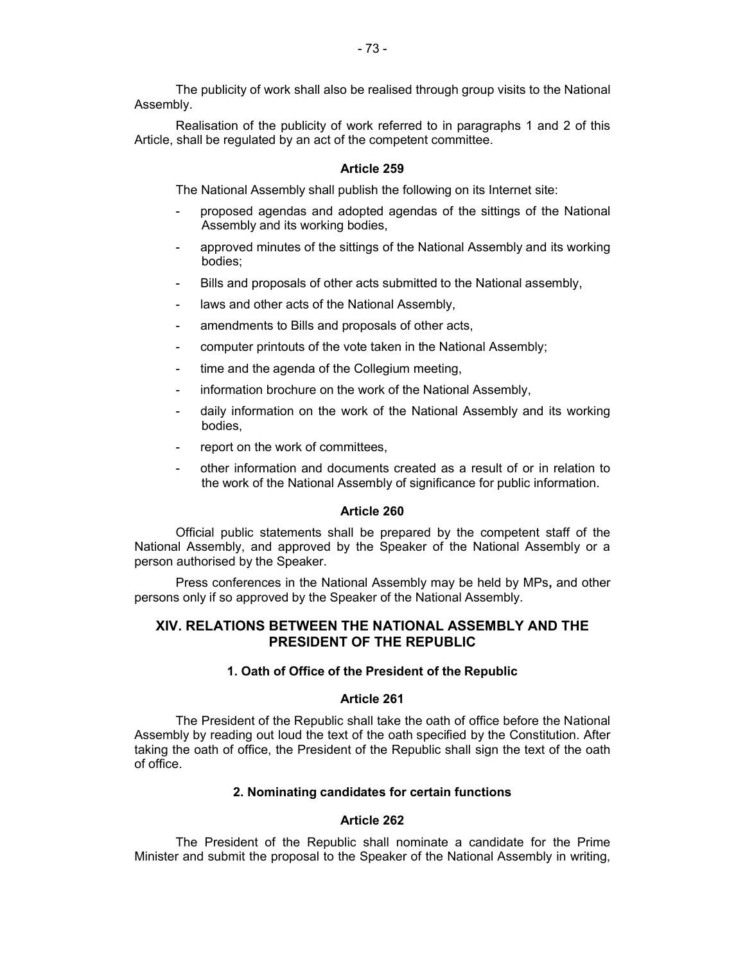The publicity of work shall also be realised through group visits to the National Assembly.

Realisation of the publicity of work referred to in paragraphs 1 and 2 of this Article, shall be regulated by an act of the competent committee.

# **Article 259**

The National Assembly shall publish the following on its Internet site:

- proposed agendas and adopted agendas of the sittings of the National Assembly and its working bodies,
- approved minutes of the sittings of the National Assembly and its working bodies;
- Bills and proposals of other acts submitted to the National assembly,
- laws and other acts of the National Assembly,
- amendments to Bills and proposals of other acts,
- computer printouts of the vote taken in the National Assembly;
- time and the agenda of the Collegium meeting,
- information brochure on the work of the National Assembly,
- daily information on the work of the National Assembly and its working bodies,
- report on the work of committees,
- other information and documents created as a result of or in relation to the work of the National Assembly of significance for public information.

### **Article 260**

Official public statements shall be prepared by the competent staff of the National Assembly, and approved by the Speaker of the National Assembly or a person authorised by the Speaker.

Press conferences in the National Assembly may be held by MPs**,** and other persons only if so approved by the Speaker of the National Assembly.

# **XIV. RELATIONS BETWEEN THE NATIONAL ASSEMBLY AND THE PRESIDENT OF THE REPUBLIC**

## **1. Oath of Office of the President of the Republic**

### **Article 261**

The President of the Republic shall take the oath of office before the National Assembly by reading out loud the text of the oath specified by the Constitution. After taking the oath of office, the President of the Republic shall sign the text of the oath of office.

# **2. Nominating candidates for certain functions**

### **Article 262**

The President of the Republic shall nominate a candidate for the Prime Minister and submit the proposal to the Speaker of the National Assembly in writing,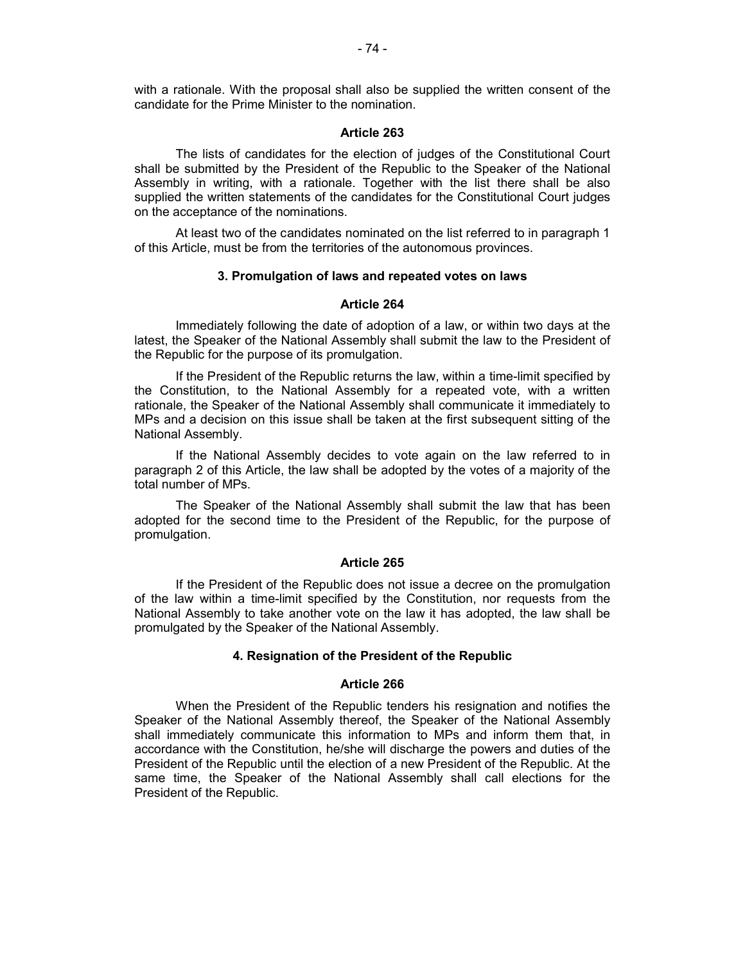with a rationale. With the proposal shall also be supplied the written consent of the candidate for the Prime Minister to the nomination.

### **Article 263**

The lists of candidates for the election of judges of the Constitutional Court shall be submitted by the President of the Republic to the Speaker of the National Assembly in writing, with a rationale. Together with the list there shall be also supplied the written statements of the candidates for the Constitutional Court judges on the acceptance of the nominations.

At least two of the candidates nominated on the list referred to in paragraph 1 of this Article, must be from the territories of the autonomous provinces.

### **3. Promulgation of laws and repeated votes on laws**

### **Article 264**

Immediately following the date of adoption of a law, or within two days at the latest, the Speaker of the National Assembly shall submit the law to the President of the Republic for the purpose of its promulgation.

If the President of the Republic returns the law, within a time-limit specified by the Constitution, to the National Assembly for a repeated vote, with a written rationale, the Speaker of the National Assembly shall communicate it immediately to MPs and a decision on this issue shall be taken at the first subsequent sitting of the National Assembly.

If the National Assembly decides to vote again on the law referred to in paragraph 2 of this Article, the law shall be adopted by the votes of a majority of the total number of MPs.

The Speaker of the National Assembly shall submit the law that has been adopted for the second time to the President of the Republic, for the purpose of promulgation.

## **Article 265**

If the President of the Republic does not issue a decree on the promulgation of the law within a time-limit specified by the Constitution, nor requests from the National Assembly to take another vote on the law it has adopted, the law shall be promulgated by the Speaker of the National Assembly.

# **4. Resignation of the President of the Republic**

#### **Article 266**

When the President of the Republic tenders his resignation and notifies the Speaker of the National Assembly thereof, the Speaker of the National Assembly shall immediately communicate this information to MPs and inform them that, in accordance with the Constitution, he/she will discharge the powers and duties of the President of the Republic until the election of a new President of the Republic. At the same time, the Speaker of the National Assembly shall call elections for the President of the Republic.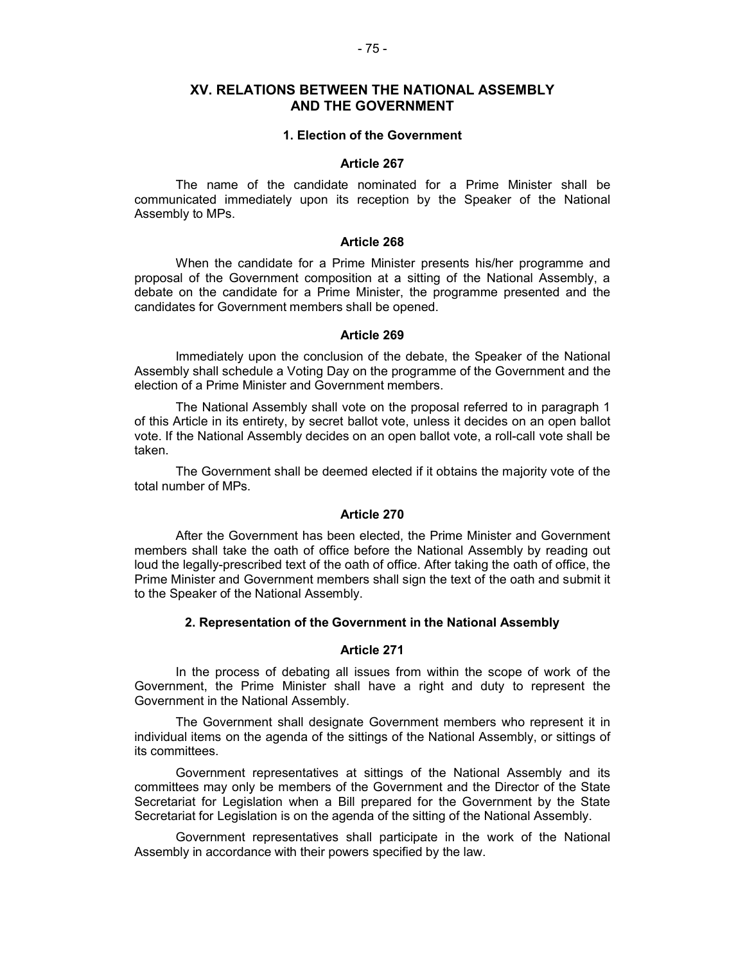# **XV. RELATIONS BETWEEN THE NATIONAL ASSEMBLY AND THE GOVERNMENT**

#### **1. Election of the Government**

### **Article 267**

The name of the candidate nominated for a Prime Minister shall be communicated immediately upon its reception by the Speaker of the National Assembly to MPs.

## **Article 268**

When the candidate for a Prime Minister presents his/her programme and proposal of the Government composition at a sitting of the National Assembly, a debate on the candidate for a Prime Minister, the programme presented and the candidates for Government members shall be opened.

### **Article 269**

Immediately upon the conclusion of the debate, the Speaker of the National Assembly shall schedule a Voting Day on the programme of the Government and the election of a Prime Minister and Government members.

The National Assembly shall vote on the proposal referred to in paragraph 1 of this Article in its entirety, by secret ballot vote, unless it decides on an open ballot vote. If the National Assembly decides on an open ballot vote, a roll-call vote shall be taken.

The Government shall be deemed elected if it obtains the majority vote of the total number of MPs.

#### **Article 270**

After the Government has been elected, the Prime Minister and Government members shall take the oath of office before the National Assembly by reading out loud the legally-prescribed text of the oath of office. After taking the oath of office, the Prime Minister and Government members shall sign the text of the oath and submit it to the Speaker of the National Assembly.

# **2. Representation of the Government in the National Assembly**

# **Article 271**

In the process of debating all issues from within the scope of work of the Government, the Prime Minister shall have a right and duty to represent the Government in the National Assembly.

The Government shall designate Government members who represent it in individual items on the agenda of the sittings of the National Assembly, or sittings of its committees.

Government representatives at sittings of the National Assembly and its committees may only be members of the Government and the Director of the State Secretariat for Legislation when a Bill prepared for the Government by the State Secretariat for Legislation is on the agenda of the sitting of the National Assembly.

Government representatives shall participate in the work of the National Assembly in accordance with their powers specified by the law.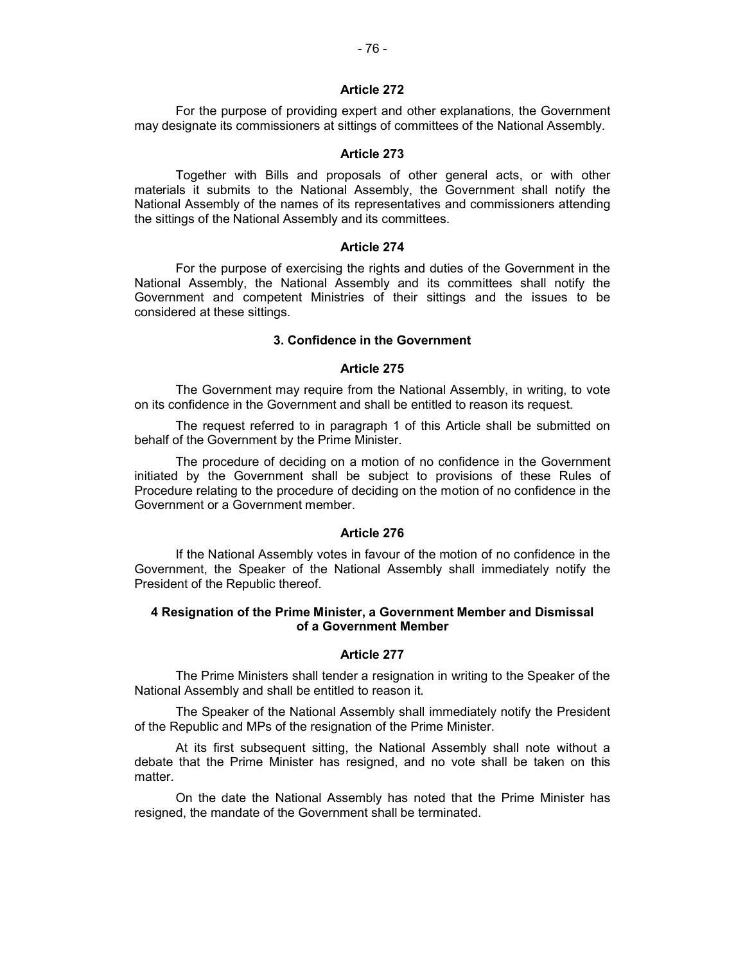## **Article 272**

For the purpose of providing expert and other explanations, the Government may designate its commissioners at sittings of committees of the National Assembly.

## **Article 273**

Together with Bills and proposals of other general acts, or with other materials it submits to the National Assembly, the Government shall notify the National Assembly of the names of its representatives and commissioners attending the sittings of the National Assembly and its committees.

### **Article 274**

For the purpose of exercising the rights and duties of the Government in the National Assembly, the National Assembly and its committees shall notify the Government and competent Ministries of their sittings and the issues to be considered at these sittings.

## **3. Confidence in the Government**

# **Article 275**

The Government may require from the National Assembly, in writing, to vote on its confidence in the Government and shall be entitled to reason its request.

The request referred to in paragraph 1 of this Article shall be submitted on behalf of the Government by the Prime Minister.

The procedure of deciding on a motion of no confidence in the Government initiated by the Government shall be subject to provisions of these Rules of Procedure relating to the procedure of deciding on the motion of no confidence in the Government or a Government member.

#### **Article 276**

If the National Assembly votes in favour of the motion of no confidence in the Government, the Speaker of the National Assembly shall immediately notify the President of the Republic thereof.

# **4 Resignation of the Prime Minister, a Government Member and Dismissal of a Government Member**

#### **Article 277**

The Prime Ministers shall tender a resignation in writing to the Speaker of the National Assembly and shall be entitled to reason it.

The Speaker of the National Assembly shall immediately notify the President of the Republic and MPs of the resignation of the Prime Minister.

At its first subsequent sitting, the National Assembly shall note without a debate that the Prime Minister has resigned, and no vote shall be taken on this matter.

On the date the National Assembly has noted that the Prime Minister has resigned, the mandate of the Government shall be terminated.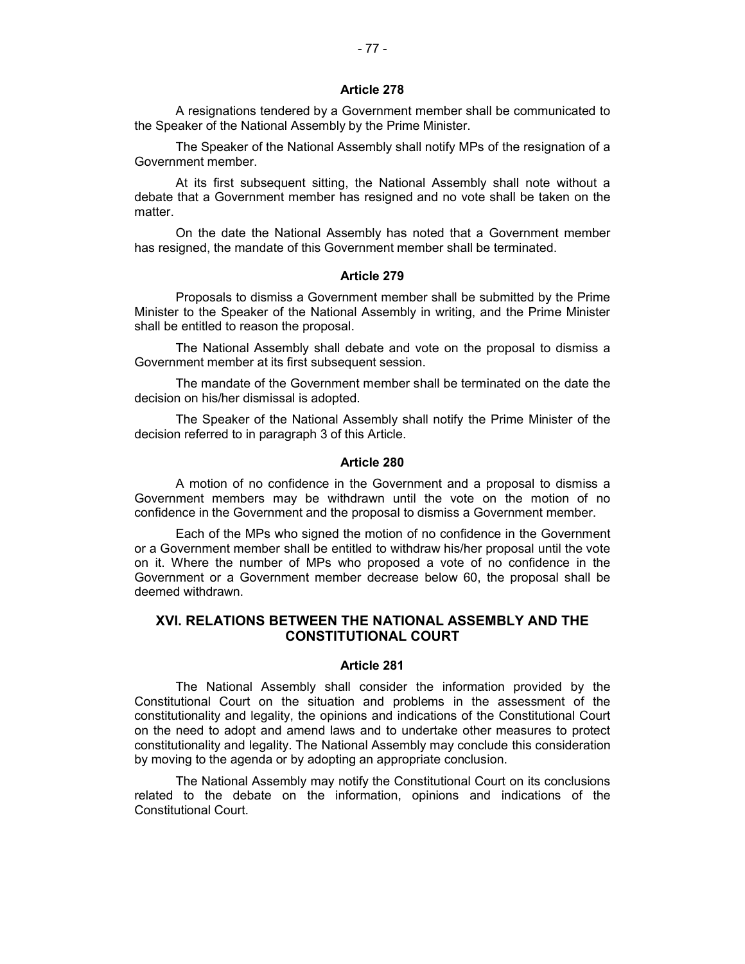### **Article 278**

A resignations tendered by a Government member shall be communicated to the Speaker of the National Assembly by the Prime Minister.

The Speaker of the National Assembly shall notify MPs of the resignation of a Government member.

At its first subsequent sitting, the National Assembly shall note without a debate that a Government member has resigned and no vote shall be taken on the matter.

On the date the National Assembly has noted that a Government member has resigned, the mandate of this Government member shall be terminated.

### **Article 279**

Proposals to dismiss a Government member shall be submitted by the Prime Minister to the Speaker of the National Assembly in writing, and the Prime Minister shall be entitled to reason the proposal.

The National Assembly shall debate and vote on the proposal to dismiss a Government member at its first subsequent session.

The mandate of the Government member shall be terminated on the date the decision on his/her dismissal is adopted.

The Speaker of the National Assembly shall notify the Prime Minister of the decision referred to in paragraph 3 of this Article.

### **Article 280**

A motion of no confidence in the Government and a proposal to dismiss a Government members may be withdrawn until the vote on the motion of no confidence in the Government and the proposal to dismiss a Government member.

Each of the MPs who signed the motion of no confidence in the Government or a Government member shall be entitled to withdraw his/her proposal until the vote on it. Where the number of MPs who proposed a vote of no confidence in the Government or a Government member decrease below 60, the proposal shall be deemed withdrawn.

# **XVI. RELATIONS BETWEEN THE NATIONAL ASSEMBLY AND THE CONSTITUTIONAL COURT**

# **Article 281**

The National Assembly shall consider the information provided by the Constitutional Court on the situation and problems in the assessment of the constitutionality and legality, the opinions and indications of the Constitutional Court on the need to adopt and amend laws and to undertake other measures to protect constitutionality and legality. The National Assembly may conclude this consideration by moving to the agenda or by adopting an appropriate conclusion.

The National Assembly may notify the Constitutional Court on its conclusions related to the debate on the information, opinions and indications of the Constitutional Court.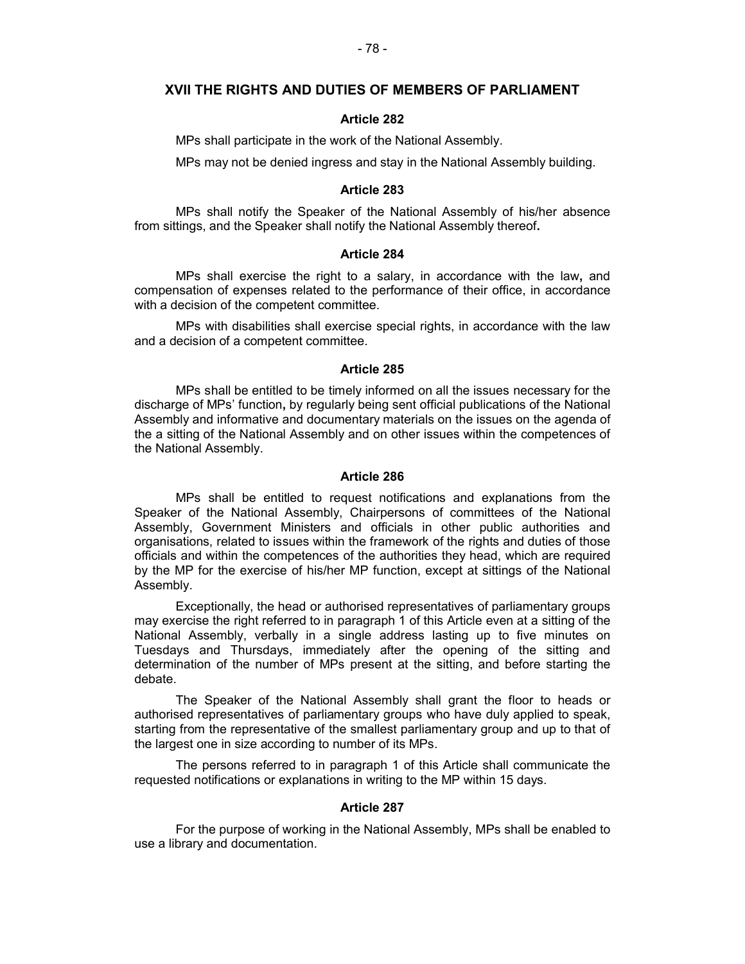## **XVII THE RIGHTS AND DUTIES OF MEMBERS OF PARLIAMENT**

### **Article 282**

MPs shall participate in the work of the National Assembly.

MPs may not be denied ingress and stay in the National Assembly building.

### **Article 283**

MPs shall notify the Speaker of the National Assembly of his/her absence from sittings, and the Speaker shall notify the National Assembly thereof**.**

## **Article 284**

MPs shall exercise the right to a salary, in accordance with the law**,** and compensation of expenses related to the performance of their office, in accordance with a decision of the competent committee.

MPs with disabilities shall exercise special rights, in accordance with the law and a decision of a competent committee.

# **Article 285**

MPs shall be entitled to be timely informed on all the issues necessary for the discharge of MPs' function**,** by regularly being sent official publications of the National Assembly and informative and documentary materials on the issues on the agenda of the a sitting of the National Assembly and on other issues within the competences of the National Assembly.

# **Article 286**

MPs shall be entitled to request notifications and explanations from the Speaker of the National Assembly, Chairpersons of committees of the National Assembly, Government Ministers and officials in other public authorities and organisations, related to issues within the framework of the rights and duties of those officials and within the competences of the authorities they head, which are required by the MP for the exercise of his/her MP function, except at sittings of the National Assembly.

Exceptionally, the head or authorised representatives of parliamentary groups may exercise the right referred to in paragraph 1 of this Article even at a sitting of the National Assembly, verbally in a single address lasting up to five minutes on Tuesdays and Thursdays, immediately after the opening of the sitting and determination of the number of MPs present at the sitting, and before starting the debate.

The Speaker of the National Assembly shall grant the floor to heads or authorised representatives of parliamentary groups who have duly applied to speak, starting from the representative of the smallest parliamentary group and up to that of the largest one in size according to number of its MPs.

The persons referred to in paragraph 1 of this Article shall communicate the requested notifications or explanations in writing to the MP within 15 days.

## **Article 287**

For the purpose of working in the National Assembly, MPs shall be enabled to use a library and documentation.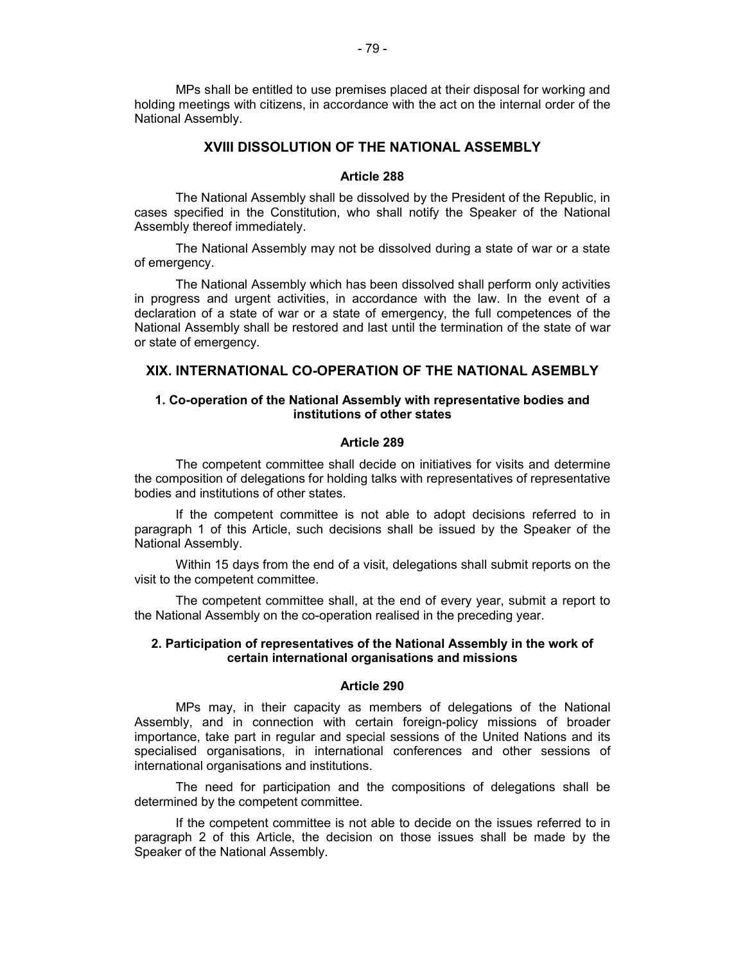MPs shall be entitled to use premises placed at their disposal for working and holding meetings with citizens, in accordance with the act on the internal order of the National Assembly.

# **XVIII DISSOLUTION OF THE NATIONAL ASSEMBLY**

#### **Article 288**

The National Assembly shall be dissolved by the President of the Republic, in cases specified in the Constitution, who shall notify the Speaker of the National Assembly thereof immediately.

The National Assembly may not be dissolved during a state of war or a state of emergency.

The National Assembly which has been dissolved shall perform only activities in progress and urgent activities, in accordance with the law. In the event of a declaration of a state of war or a state of emergency, the full competences of the National Assembly shall be restored and last until the termination of the state of war or state of emergency.

# **XIX. INTERNATIONAL CO-OPERATION OF THE NATIONAL ASEMBLY**

# **1. Co-operation of the National Assembly with representative bodies and institutions of other states**

# **Article 289**

The competent committee shall decide on initiatives for visits and determine the composition of delegations for holding talks with representatives of representative bodies and institutions of other states.

If the competent committee is not able to adopt decisions referred to in paragraph 1 of this Article, such decisions shall be issued by the Speaker of the National Assembly.

Within 15 days from the end of a visit, delegations shall submit reports on the visit to the competent committee.

The competent committee shall, at the end of every year, submit a report to the National Assembly on the co-operation realised in the preceding year.

## **2. Participation of representatives of the National Assembly in the work of certain international organisations and missions**

#### **Article 290**

MPs may, in their capacity as members of delegations of the National Assembly, and in connection with certain foreign-policy missions of broader importance, take part in regular and special sessions of the United Nations and its specialised organisations, in international conferences and other sessions of international organisations and institutions.

The need for participation and the compositions of delegations shall be determined by the competent committee.

If the competent committee is not able to decide on the issues referred to in paragraph 2 of this Article, the decision on those issues shall be made by the Speaker of the National Assembly.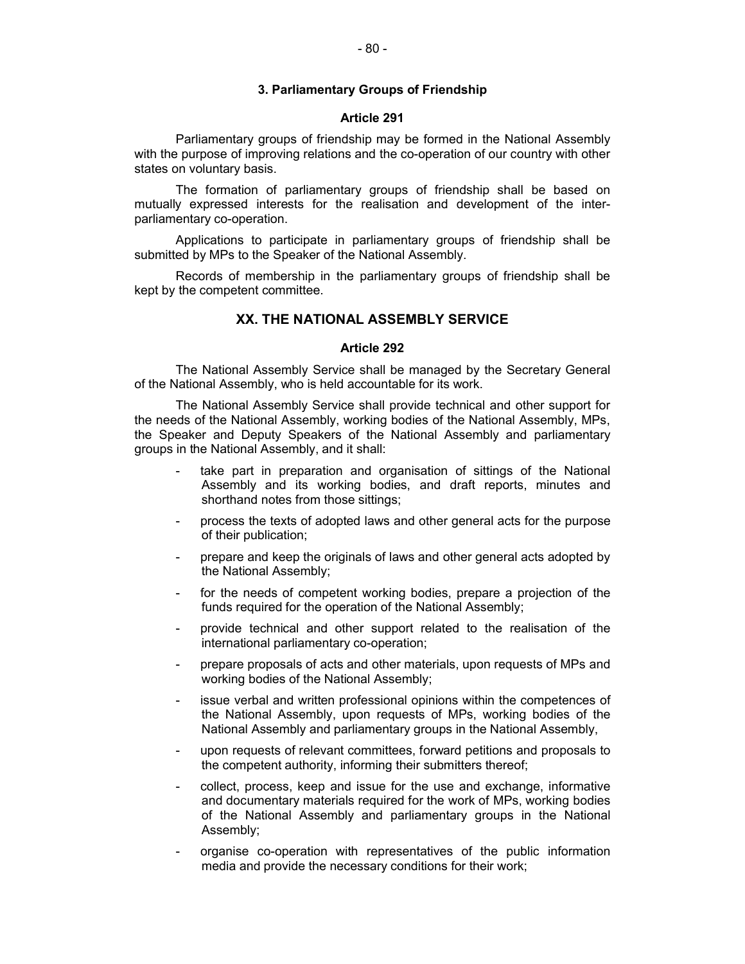## **3. Parliamentary Groups of Friendship**

### **Article 291**

Parliamentary groups of friendship may be formed in the National Assembly with the purpose of improving relations and the co-operation of our country with other states on voluntary basis.

The formation of parliamentary groups of friendship shall be based on mutually expressed interests for the realisation and development of the interparliamentary co-operation.

Applications to participate in parliamentary groups of friendship shall be submitted by MPs to the Speaker of the National Assembly.

Records of membership in the parliamentary groups of friendship shall be kept by the competent committee.

# **XX. THE NATIONAL ASSEMBLY SERVICE**

# **Article 292**

The National Assembly Service shall be managed by the Secretary General of the National Assembly, who is held accountable for its work.

The National Assembly Service shall provide technical and other support for the needs of the National Assembly, working bodies of the National Assembly, MPs, the Speaker and Deputy Speakers of the National Assembly and parliamentary groups in the National Assembly, and it shall:

- take part in preparation and organisation of sittings of the National Assembly and its working bodies, and draft reports, minutes and shorthand notes from those sittings;
- process the texts of adopted laws and other general acts for the purpose of their publication;
- prepare and keep the originals of laws and other general acts adopted by the National Assembly;
- for the needs of competent working bodies, prepare a projection of the funds required for the operation of the National Assembly;
- provide technical and other support related to the realisation of the international parliamentary co-operation;
- prepare proposals of acts and other materials, upon requests of MPs and working bodies of the National Assembly;
- issue verbal and written professional opinions within the competences of the National Assembly, upon requests of MPs, working bodies of the National Assembly and parliamentary groups in the National Assembly,
- upon requests of relevant committees, forward petitions and proposals to the competent authority, informing their submitters thereof;
- collect, process, keep and issue for the use and exchange, informative and documentary materials required for the work of MPs, working bodies of the National Assembly and parliamentary groups in the National Assembly;
- organise co-operation with representatives of the public information media and provide the necessary conditions for their work;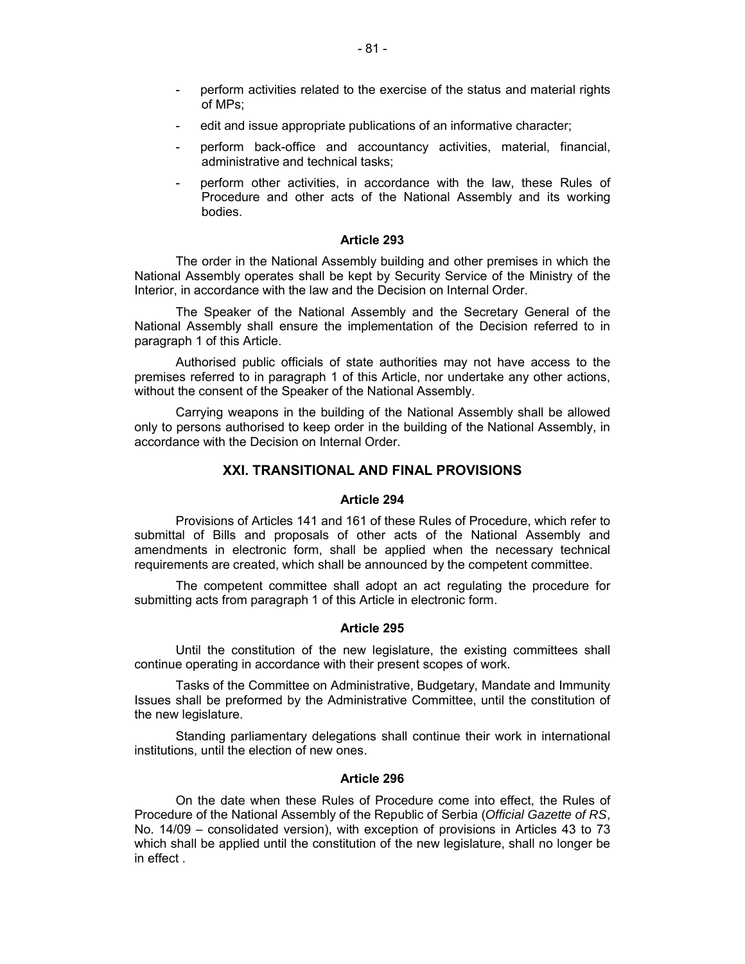- perform activities related to the exercise of the status and material rights of MPs;
- edit and issue appropriate publications of an informative character;
- perform back-office and accountancy activities, material, financial, administrative and technical tasks;
- perform other activities, in accordance with the law, these Rules of Procedure and other acts of the National Assembly and its working bodies.

# **Article 293**

The order in the National Assembly building and other premises in which the National Assembly operates shall be kept by Security Service of the Ministry of the Interior, in accordance with the law and the Decision on Internal Order.

The Speaker of the National Assembly and the Secretary General of the National Assembly shall ensure the implementation of the Decision referred to in paragraph 1 of this Article.

Authorised public officials of state authorities may not have access to the premises referred to in paragraph 1 of this Article, nor undertake any other actions, without the consent of the Speaker of the National Assembly.

Carrying weapons in the building of the National Assembly shall be allowed only to persons authorised to keep order in the building of the National Assembly, in accordance with the Decision on Internal Order.

# **XXI. TRANSITIONAL AND FINAL PROVISIONS**

### **Article 294**

Provisions of Articles 141 and 161 of these Rules of Procedure, which refer to submittal of Bills and proposals of other acts of the National Assembly and amendments in electronic form, shall be applied when the necessary technical requirements are created, which shall be announced by the competent committee.

The competent committee shall adopt an act regulating the procedure for submitting acts from paragraph 1 of this Article in electronic form.

### **Article 295**

Until the constitution of the new legislature, the existing committees shall continue operating in accordance with their present scopes of work.

Tasks of the Committee on Administrative, Budgetary, Mandate and Immunity Issues shall be preformed by the Administrative Committee, until the constitution of the new legislature.

Standing parliamentary delegations shall continue their work in international institutions, until the election of new ones.

# **Article 296**

On the date when these Rules of Procedure come into effect, the Rules of Procedure of the National Assembly of the Republic of Serbia (*Official Gazette of RS*, No. 14/09 – consolidated version), with exception of provisions in Articles 43 to 73 which shall be applied until the constitution of the new legislature, shall no longer be in effect .